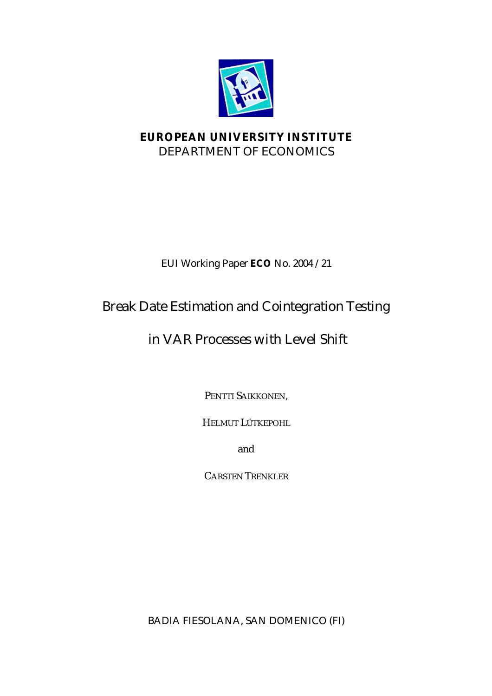

## **EUROPEAN UNIVERSITY INSTITUTE** DEPARTMENT OF ECONOMICS

## EUI Working Paper **ECO** No. 2004 /21

# Break Date Estimation and Cointegration Testing

# in VAR Processes with Level Shift

PENTTI SAIKKONEN,

HELMUT LÜTKEPOHL

and

CARSTEN TRENKLER

BADIA FIESOLANA, SAN DOMENICO (FI)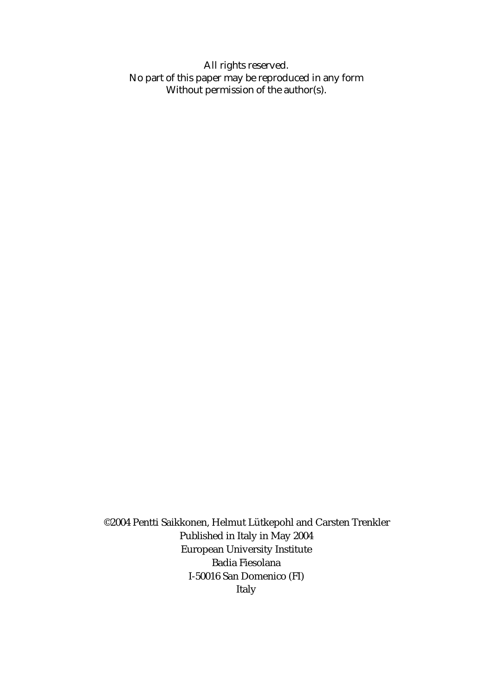All rights reserved. No part of this paper may be reproduced in any form Without permission of the author(s).

©2004 Pentti Saikkonen, Helmut Lütkepohl and Carsten Trenkler Published in Italy in May 2004 European University Institute Badia Fiesolana I-50016 San Domenico (FI) Italy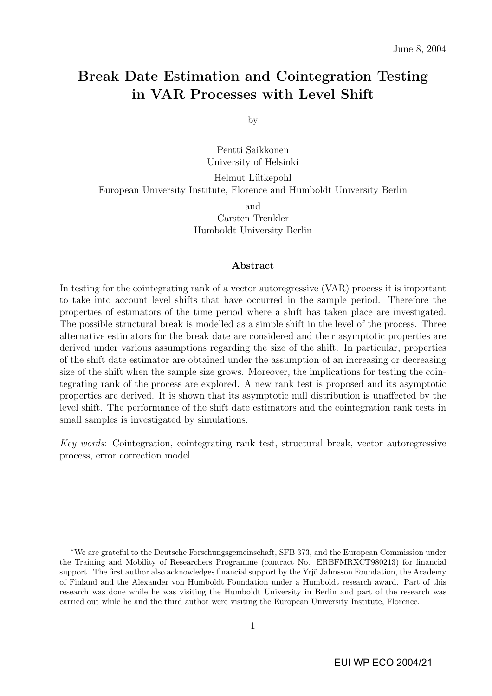## Break Date Estimation and Cointegration Testing in VAR Processes with Level Shift

by

Pentti Saikkonen University of Helsinki

Helmut Lütkepohl European University Institute, Florence and Humboldt University Berlin and Carsten Trenkler Humboldt University Berlin

#### Abstract

In testing for the cointegrating rank of a vector autoregressive (VAR) process it is important to take into account level shifts that have occurred in the sample period. Therefore the properties of estimators of the time period where a shift has taken place are investigated. The possible structural break is modelled as a simple shift in the level of the process. Three alternative estimators for the break date are considered and their asymptotic properties are derived under various assumptions regarding the size of the shift. In particular, properties of the shift date estimator are obtained under the assumption of an increasing or decreasing size of the shift when the sample size grows. Moreover, the implications for testing the cointegrating rank of the process are explored. A new rank test is proposed and its asymptotic properties are derived. It is shown that its asymptotic null distribution is unaffected by the level shift. The performance of the shift date estimators and the cointegration rank tests in small samples is investigated by simulations.

Key words: Cointegration, cointegrating rank test, structural break, vector autoregressive process, error correction model

<sup>∗</sup>We are grateful to the Deutsche Forschungsgemeinschaft, SFB 373, and the European Commission under the Training and Mobility of Researchers Programme (contract No. ERBFMRXCT980213) for financial support. The first author also acknowledges financial support by the Yrjö Jahnsson Foundation, the Academy of Finland and the Alexander von Humboldt Foundation under a Humboldt research award. Part of this research was done while he was visiting the Humboldt University in Berlin and part of the research was carried out while he and the third author were visiting the European University Institute, Florence.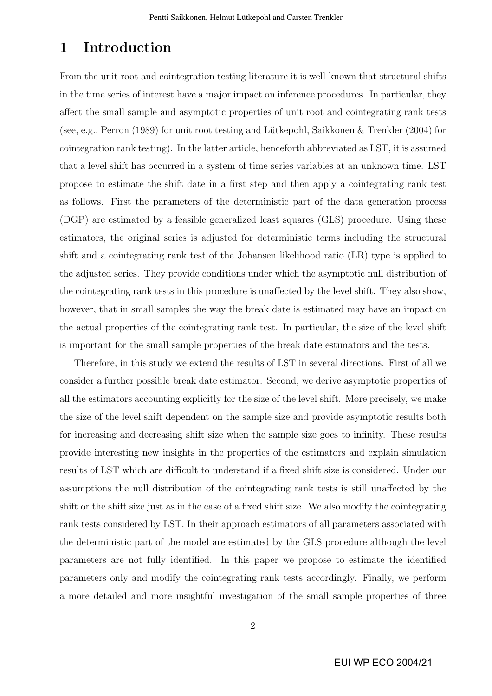## 1 Introduction

From the unit root and cointegration testing literature it is well-known that structural shifts in the time series of interest have a major impact on inference procedures. In particular, they affect the small sample and asymptotic properties of unit root and cointegrating rank tests (see, e.g., Perron (1989) for unit root testing and Lütkepohl, Saikkonen  $\&$  Trenkler (2004) for cointegration rank testing). In the latter article, henceforth abbreviated as LST, it is assumed that a level shift has occurred in a system of time series variables at an unknown time. LST propose to estimate the shift date in a first step and then apply a cointegrating rank test as follows. First the parameters of the deterministic part of the data generation process (DGP) are estimated by a feasible generalized least squares (GLS) procedure. Using these estimators, the original series is adjusted for deterministic terms including the structural shift and a cointegrating rank test of the Johansen likelihood ratio (LR) type is applied to the adjusted series. They provide conditions under which the asymptotic null distribution of the cointegrating rank tests in this procedure is unaffected by the level shift. They also show, however, that in small samples the way the break date is estimated may have an impact on the actual properties of the cointegrating rank test. In particular, the size of the level shift is important for the small sample properties of the break date estimators and the tests.

Therefore, in this study we extend the results of LST in several directions. First of all we consider a further possible break date estimator. Second, we derive asymptotic properties of all the estimators accounting explicitly for the size of the level shift. More precisely, we make the size of the level shift dependent on the sample size and provide asymptotic results both for increasing and decreasing shift size when the sample size goes to infinity. These results provide interesting new insights in the properties of the estimators and explain simulation results of LST which are difficult to understand if a fixed shift size is considered. Under our assumptions the null distribution of the cointegrating rank tests is still unaffected by the shift or the shift size just as in the case of a fixed shift size. We also modify the cointegrating rank tests considered by LST. In their approach estimators of all parameters associated with the deterministic part of the model are estimated by the GLS procedure although the level parameters are not fully identified. In this paper we propose to estimate the identified parameters only and modify the cointegrating rank tests accordingly. Finally, we perform a more detailed and more insightful investigation of the small sample properties of three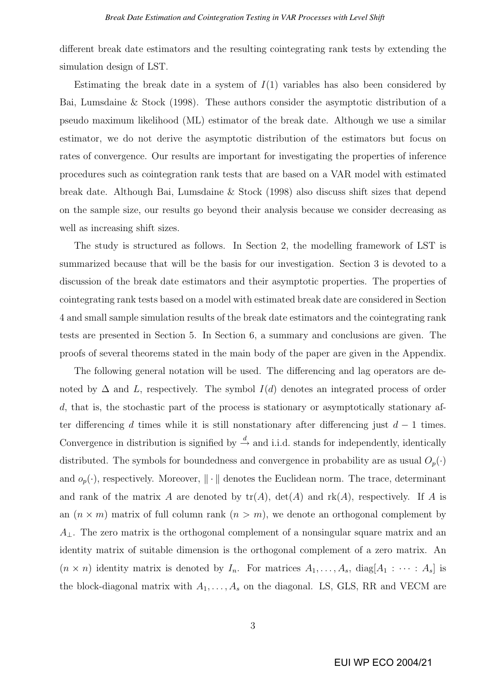different break date estimators and the resulting cointegrating rank tests by extending the simulation design of LST.

Estimating the break date in a system of  $I(1)$  variables has also been considered by Bai, Lumsdaine & Stock (1998). These authors consider the asymptotic distribution of a pseudo maximum likelihood (ML) estimator of the break date. Although we use a similar estimator, we do not derive the asymptotic distribution of the estimators but focus on rates of convergence. Our results are important for investigating the properties of inference procedures such as cointegration rank tests that are based on a VAR model with estimated break date. Although Bai, Lumsdaine & Stock (1998) also discuss shift sizes that depend on the sample size, our results go beyond their analysis because we consider decreasing as well as increasing shift sizes.

The study is structured as follows. In Section 2, the modelling framework of LST is summarized because that will be the basis for our investigation. Section 3 is devoted to a discussion of the break date estimators and their asymptotic properties. The properties of cointegrating rank tests based on a model with estimated break date are considered in Section 4 and small sample simulation results of the break date estimators and the cointegrating rank tests are presented in Section 5. In Section 6, a summary and conclusions are given. The proofs of several theorems stated in the main body of the paper are given in the Appendix.

The following general notation will be used. The differencing and lag operators are denoted by  $\Delta$  and L, respectively. The symbol  $I(d)$  denotes an integrated process of order d, that is, the stochastic part of the process is stationary or asymptotically stationary after differencing d times while it is still nonstationary after differencing just  $d - 1$  times. Convergence in distribution is signified by  $\stackrel{d}{\rightarrow}$  and i.i.d. stands for independently, identically distributed. The symbols for boundedness and convergence in probability are as usual  $O_p(\cdot)$ and  $o_p(\cdot)$ , respectively. Moreover,  $\|\cdot\|$  denotes the Euclidean norm. The trace, determinant and rank of the matrix A are denoted by  $tr(A)$ ,  $det(A)$  and  $rk(A)$ , respectively. If A is an  $(n \times m)$  matrix of full column rank  $(n > m)$ , we denote an orthogonal complement by  $A_{\perp}$ . The zero matrix is the orthogonal complement of a nonsingular square matrix and an identity matrix of suitable dimension is the orthogonal complement of a zero matrix. An  $(n \times n)$  identity matrix is denoted by  $I_n$ . For matrices  $A_1, \ldots, A_s$ , diag $[A_1 : \cdots : A_s]$  is the block-diagonal matrix with  $A_1, \ldots, A_s$  on the diagonal. LS, GLS, RR and VECM are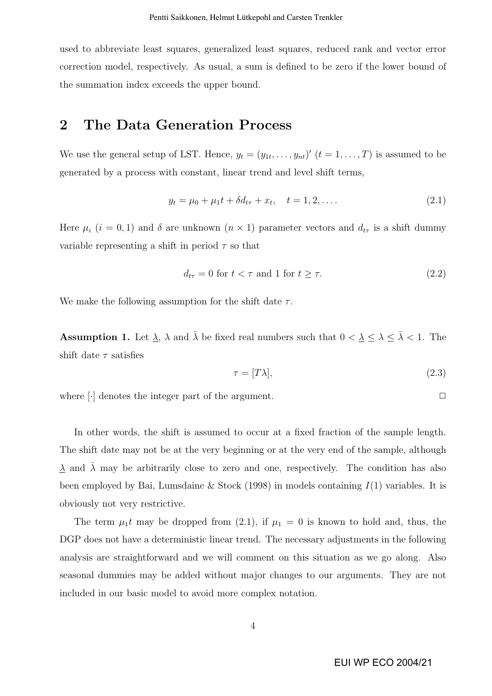used to abbreviate least squares, generalized least squares, reduced rank and vector error correction model, respectively. As usual, a sum is defined to be zero if the lower bound of the summation index exceeds the upper bound.

### 2 The Data Generation Process

We use the general setup of LST. Hence,  $y_t = (y_{1t}, \ldots, y_{nt})'$   $(t = 1, \ldots, T)$  is assumed to be generated by a process with constant, linear trend and level shift terms,

$$
y_t = \mu_0 + \mu_1 t + \delta d_{t\tau} + x_t, \quad t = 1, 2, \dots
$$
\n(2.1)

Here  $\mu_i$  (i = 0, 1) and  $\delta$  are unknown (n × 1) parameter vectors and  $d_{t\tau}$  is a shift dummy variable representing a shift in period  $\tau$  so that

$$
d_{t\tau} = 0 \text{ for } t < \tau \text{ and } 1 \text{ for } t \ge \tau. \tag{2.2}
$$

We make the following assumption for the shift date  $\tau$ .

**Assumption 1.** Let  $\underline{\lambda}$ ,  $\lambda$  and  $\overline{\lambda}$  be fixed real numbers such that  $0 < \underline{\lambda} \leq \lambda \leq \overline{\lambda} < 1$ . The shift date  $\tau$  satisfies

$$
\tau = [T\lambda],\tag{2.3}
$$

where  $\lceil \cdot \rceil$  denotes the integer part of the argument.  $\Box$ 

In other words, the shift is assumed to occur at a fixed fraction of the sample length. The shift date may not be at the very beginning or at the very end of the sample, although  $\lambda$  and  $\lambda$  may be arbitrarily close to zero and one, respectively. The condition has also been employed by Bai, Lumsdaine & Stock (1998) in models containing  $I(1)$  variables. It is obviously not very restrictive.

The term  $\mu_1 t$  may be dropped from (2.1), if  $\mu_1 = 0$  is known to hold and, thus, the DGP does not have a deterministic linear trend. The necessary adjustments in the following analysis are straightforward and we will comment on this situation as we go along. Also seasonal dummies may be added without major changes to our arguments. They are not included in our basic model to avoid more complex notation.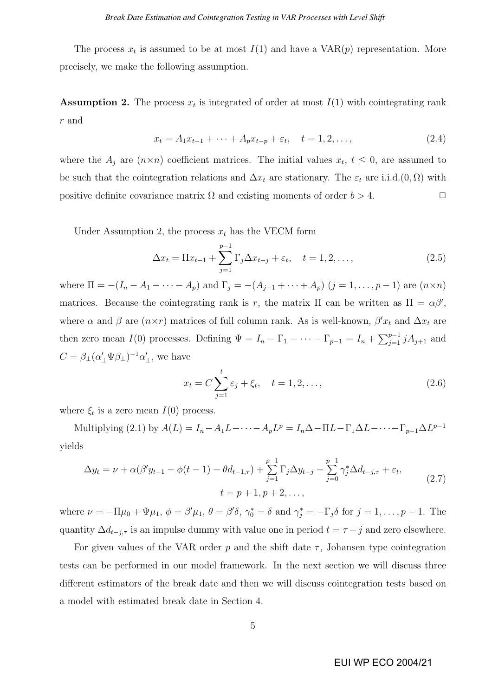The process  $x_t$  is assumed to be at most  $I(1)$  and have a  $VAR(p)$  representation. More precisely, we make the following assumption.

**Assumption 2.** The process  $x_t$  is integrated of order at most  $I(1)$  with cointegrating rank r and

$$
x_t = A_1 x_{t-1} + \dots + A_p x_{t-p} + \varepsilon_t, \quad t = 1, 2, \dots,
$$
\n(2.4)

where the  $A_j$  are  $(n \times n)$  coefficient matrices. The initial values  $x_t, t \leq 0$ , are assumed to be such that the cointegration relations and  $\Delta x_t$  are stationary. The  $\varepsilon_t$  are i.i.d. $(0, \Omega)$  with positive definite covariance matrix  $\Omega$  and existing moments of order  $b > 4$ .

Under Assumption 2, the process  $x_t$  has the VECM form

$$
\Delta x_t = \Pi x_{t-1} + \sum_{j=1}^{p-1} \Gamma_j \Delta x_{t-j} + \varepsilon_t, \quad t = 1, 2, ..., \tag{2.5}
$$

where  $\Pi = -(I_n - A_1 - \cdots - A_p)$  and  $\Gamma_j = -(A_{j+1} + \cdots + A_p)$   $(j = 1, \ldots, p-1)$  are  $(n \times n)$ matrices. Because the cointegrating rank is r, the matrix  $\Pi$  can be written as  $\Pi = \alpha \beta'$ , where  $\alpha$  and  $\beta$  are  $(n \times r)$  matrices of full column rank. As is well-known,  $\beta' x_t$  and  $\Delta x_t$  are then zero mean  $I(0)$  processes. Defining  $\Psi = I_n - \Gamma_1 - \cdots - \Gamma_{p-1} = I_n + \sum_{i=1}^{p-1} I_i$  $_{j=1}^{p-1} jA_{j+1}$  and  $C = \beta_{\perp} (\alpha_{\perp}' \Psi \beta_{\perp})^{-1} \alpha_{\perp}'$ , we have

$$
x_t = C \sum_{j=1}^t \varepsilon_j + \xi_t, \quad t = 1, 2, ..., \tag{2.6}
$$

where  $\xi_t$  is a zero mean  $I(0)$  process.

Multiplying (2.1) by  $A(L) = I_n - A_1 L - \cdots - A_p L^p = I_n \Delta - \Pi L - \Gamma_1 \Delta L - \cdots - \Gamma_{p-1} \Delta L^{p-1}$ yields

$$
\Delta y_t = \nu + \alpha(\beta' y_{t-1} - \phi(t-1) - \theta d_{t-1,\tau}) + \sum_{j=1}^{p-1} \Gamma_j \Delta y_{t-j} + \sum_{j=0}^{p-1} \gamma_j^* \Delta d_{t-j,\tau} + \varepsilon_t,
$$
  

$$
t = p+1, p+2, ...,
$$
 (2.7)

where  $\nu = -\Pi \mu_0 + \Psi \mu_1$ ,  $\phi = \beta' \mu_1$ ,  $\theta = \beta' \delta$ ,  $\gamma_0^* = \delta$  and  $\gamma_j^* = -\Gamma_j \delta$  for  $j = 1, \ldots, p-1$ . The quantity  $\Delta d_{t-j,\tau}$  is an impulse dummy with value one in period  $t = \tau + j$  and zero elsewhere.

For given values of the VAR order p and the shift date  $\tau$ , Johansen type cointegration tests can be performed in our model framework. In the next section we will discuss three different estimators of the break date and then we will discuss cointegration tests based on a model with estimated break date in Section 4.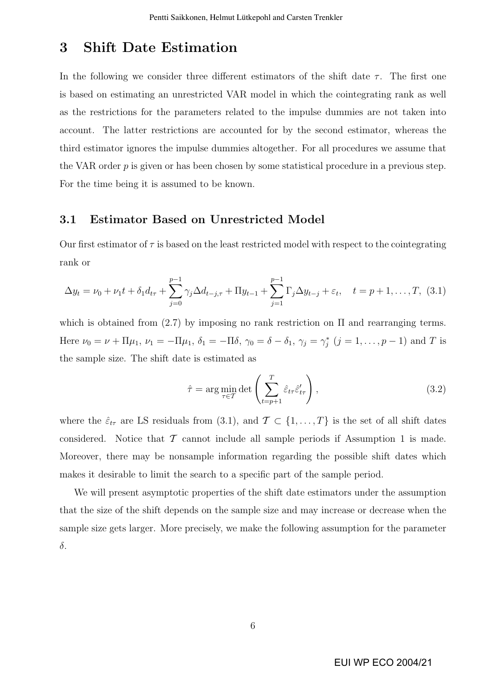## 3 Shift Date Estimation

In the following we consider three different estimators of the shift date  $\tau$ . The first one is based on estimating an unrestricted VAR model in which the cointegrating rank as well as the restrictions for the parameters related to the impulse dummies are not taken into account. The latter restrictions are accounted for by the second estimator, whereas the third estimator ignores the impulse dummies altogether. For all procedures we assume that the VAR order p is given or has been chosen by some statistical procedure in a previous step. For the time being it is assumed to be known.

#### 3.1 Estimator Based on Unrestricted Model

Our first estimator of  $\tau$  is based on the least restricted model with respect to the cointegrating rank or

$$
\Delta y_t = \nu_0 + \nu_1 t + \delta_1 d_{t\tau} + \sum_{j=0}^{p-1} \gamma_j \Delta d_{t-j,\tau} + \Pi y_{t-1} + \sum_{j=1}^{p-1} \Gamma_j \Delta y_{t-j} + \varepsilon_t, \quad t = p+1, \dots, T, (3.1)
$$

which is obtained from  $(2.7)$  by imposing no rank restriction on  $\Pi$  and rearranging terms. Here  $\nu_0 = \nu + \Pi \mu_1, \ \nu_1 = -\Pi \mu_1, \ \delta_1 = -\Pi \delta, \ \gamma_0 = \delta - \delta_1, \ \gamma_j = \gamma_j^* \ (j = 1, \dots, p-1)$  and T is the sample size. The shift date is estimated as

$$
\hat{\tau} = \arg\min_{\tau \in \mathcal{T}} \det \left( \sum_{t=p+1}^{T} \hat{\varepsilon}_{t\tau} \hat{\varepsilon}'_{t\tau} \right),\tag{3.2}
$$

where the  $\hat{\varepsilon}_{t\tau}$  are LS residuals from (3.1), and  $\mathcal{T} \subset \{1,\ldots,T\}$  is the set of all shift dates considered. Notice that  $\mathcal T$  cannot include all sample periods if Assumption 1 is made. Moreover, there may be nonsample information regarding the possible shift dates which makes it desirable to limit the search to a specific part of the sample period.

We will present asymptotic properties of the shift date estimators under the assumption that the size of the shift depends on the sample size and may increase or decrease when the sample size gets larger. More precisely, we make the following assumption for the parameter δ.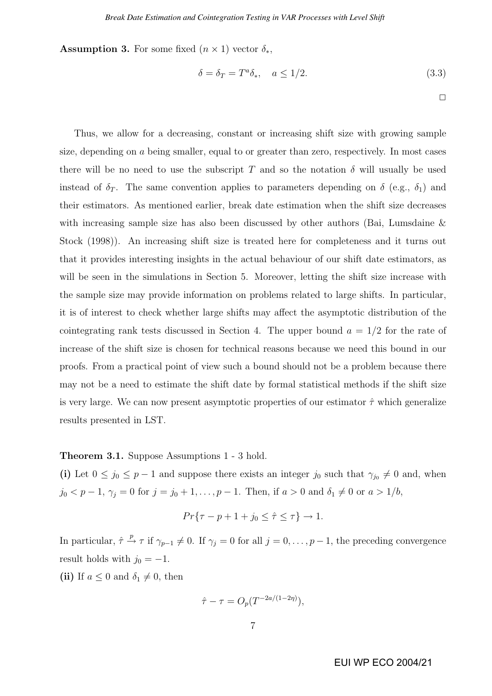**Assumption 3.** For some fixed  $(n \times 1)$  vector  $\delta_*$ ,

$$
\delta = \delta_T = T^a \delta_*, \quad a \le 1/2. \tag{3.3}
$$

 $\Box$ 

Thus, we allow for a decreasing, constant or increasing shift size with growing sample size, depending on a being smaller, equal to or greater than zero, respectively. In most cases there will be no need to use the subscript T and so the notation  $\delta$  will usually be used instead of  $\delta_T$ . The same convention applies to parameters depending on  $\delta$  (e.g.,  $\delta_1$ ) and their estimators. As mentioned earlier, break date estimation when the shift size decreases with increasing sample size has also been discussed by other authors (Bai, Lumsdaine & Stock (1998)). An increasing shift size is treated here for completeness and it turns out that it provides interesting insights in the actual behaviour of our shift date estimators, as will be seen in the simulations in Section 5. Moreover, letting the shift size increase with the sample size may provide information on problems related to large shifts. In particular, it is of interest to check whether large shifts may affect the asymptotic distribution of the cointegrating rank tests discussed in Section 4. The upper bound  $a = 1/2$  for the rate of increase of the shift size is chosen for technical reasons because we need this bound in our proofs. From a practical point of view such a bound should not be a problem because there may not be a need to estimate the shift date by formal statistical methods if the shift size is very large. We can now present asymptotic properties of our estimator  $\hat{\tau}$  which generalize results presented in LST.

#### Theorem 3.1. Suppose Assumptions 1 - 3 hold.

(i) Let  $0 \le j_0 \le p-1$  and suppose there exists an integer  $j_0$  such that  $\gamma_{j_0} \neq 0$  and, when  $j_0 < p-1, \, \gamma_j = 0$  for  $j = j_0 + 1, \ldots, p-1$ . Then, if  $a > 0$  and  $\delta_1 \neq 0$  or  $a > 1/b$ ,

$$
Pr{\tau - p + 1 + j_0 \le \hat{\tau} \le \tau} \to 1.
$$

In particular,  $\hat{\tau} \stackrel{p}{\to} \tau$  if  $\gamma_{p-1} \neq 0$ . If  $\gamma_j = 0$  for all  $j = 0, \ldots, p-1$ , the preceding convergence result holds with  $j_0 = -1$ .

(ii) If  $a \leq 0$  and  $\delta_1 \neq 0$ , then

$$
\hat{\tau} - \tau = O_p(T^{-2a/(1-2\eta)}),
$$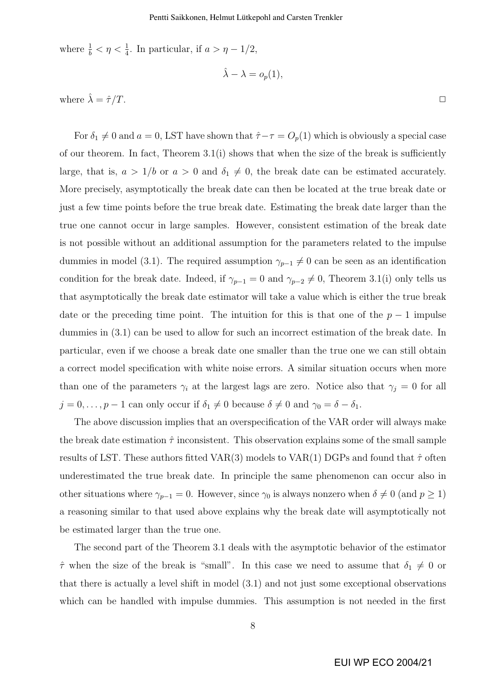where  $\frac{1}{b} < \eta < \frac{1}{4}$ . In particular, if  $a > \eta - 1/2$ ,

$$
\hat{\lambda} - \lambda = o_p(1),
$$

where  $\hat{\lambda} = \hat{\tau}/T$ .

For  $\delta_1 \neq 0$  and  $a = 0$ , LST have shown that  $\hat{\tau} - \tau = O_p(1)$  which is obviously a special case of our theorem. In fact, Theorem  $3.1(i)$  shows that when the size of the break is sufficiently large, that is,  $a > 1/b$  or  $a > 0$  and  $\delta_1 \neq 0$ , the break date can be estimated accurately. More precisely, asymptotically the break date can then be located at the true break date or just a few time points before the true break date. Estimating the break date larger than the true one cannot occur in large samples. However, consistent estimation of the break date is not possible without an additional assumption for the parameters related to the impulse dummies in model (3.1). The required assumption  $\gamma_{p-1} \neq 0$  can be seen as an identification condition for the break date. Indeed, if  $\gamma_{p-1} = 0$  and  $\gamma_{p-2} \neq 0$ , Theorem 3.1(i) only tells us that asymptotically the break date estimator will take a value which is either the true break date or the preceding time point. The intuition for this is that one of the  $p-1$  impulse dummies in (3.1) can be used to allow for such an incorrect estimation of the break date. In particular, even if we choose a break date one smaller than the true one we can still obtain a correct model specification with white noise errors. A similar situation occurs when more than one of the parameters  $\gamma_i$  at the largest lags are zero. Notice also that  $\gamma_j = 0$  for all  $j = 0, \ldots, p - 1$  can only occur if  $\delta_1 \neq 0$  because  $\delta \neq 0$  and  $\gamma_0 = \delta - \delta_1$ .

The above discussion implies that an overspecification of the VAR order will always make the break date estimation  $\hat{\tau}$  inconsistent. This observation explains some of the small sample results of LST. These authors fitted VAR(3) models to VAR(1) DGPs and found that  $\hat{\tau}$  often underestimated the true break date. In principle the same phenomenon can occur also in other situations where  $\gamma_{p-1} = 0$ . However, since  $\gamma_0$  is always nonzero when  $\delta \neq 0$  (and  $p \geq 1$ ) a reasoning similar to that used above explains why the break date will asymptotically not be estimated larger than the true one.

The second part of the Theorem 3.1 deals with the asymptotic behavior of the estimator  $\hat{\tau}$  when the size of the break is "small". In this case we need to assume that  $\delta_1 \neq 0$  or that there is actually a level shift in model (3.1) and not just some exceptional observations which can be handled with impulse dummies. This assumption is not needed in the first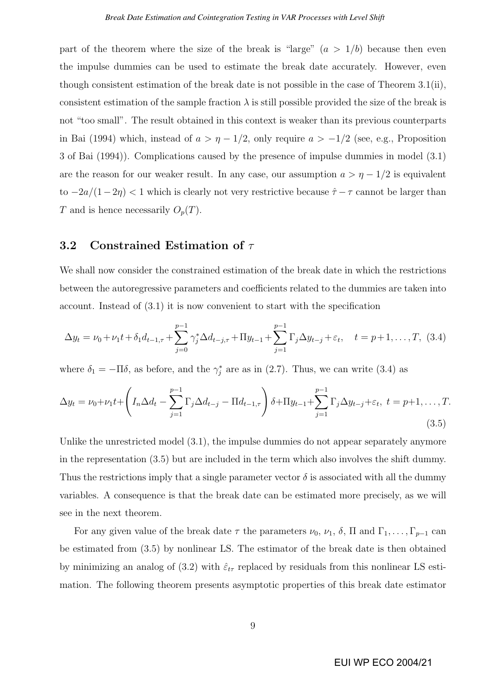part of the theorem where the size of the break is "large"  $(a > 1/b)$  because then even the impulse dummies can be used to estimate the break date accurately. However, even though consistent estimation of the break date is not possible in the case of Theorem 3.1(ii), consistent estimation of the sample fraction  $\lambda$  is still possible provided the size of the break is not "too small". The result obtained in this context is weaker than its previous counterparts in Bai (1994) which, instead of  $a > \eta - 1/2$ , only require  $a > -1/2$  (see, e.g., Proposition 3 of Bai (1994)). Complications caused by the presence of impulse dummies in model (3.1) are the reason for our weaker result. In any case, our assumption  $a > \eta - 1/2$  is equivalent to  $-2a/(1-2\eta) < 1$  which is clearly not very restrictive because  $\hat{\tau} - \tau$  cannot be larger than T and is hence necessarily  $O_p(T)$ .

#### 3.2 Constrained Estimation of  $\tau$

We shall now consider the constrained estimation of the break date in which the restrictions between the autoregressive parameters and coefficients related to the dummies are taken into account. Instead of (3.1) it is now convenient to start with the specification

$$
\Delta y_t = \nu_0 + \nu_1 t + \delta_1 d_{t-1,\tau} + \sum_{j=0}^{p-1} \gamma_j^* \Delta d_{t-j,\tau} + \Pi y_{t-1} + \sum_{j=1}^{p-1} \Gamma_j \Delta y_{t-j} + \varepsilon_t, \quad t = p+1, \dots, T, \tag{3.4}
$$

where  $\delta_1 = -\Pi \delta$ , as before, and the  $\gamma_j^*$  are as in (2.7). Thus, we can write (3.4) as

$$
\Delta y_t = \nu_0 + \nu_1 t + \left( I_n \Delta d_t - \sum_{j=1}^{p-1} \Gamma_j \Delta d_{t-j} - \Pi d_{t-1,\tau} \right) \delta + \Pi y_{t-1} + \sum_{j=1}^{p-1} \Gamma_j \Delta y_{t-j} + \varepsilon_t, \ t = p+1, \dots, T.
$$
\n(3.5)

Unlike the unrestricted model (3.1), the impulse dummies do not appear separately anymore in the representation (3.5) but are included in the term which also involves the shift dummy. Thus the restrictions imply that a single parameter vector  $\delta$  is associated with all the dummy variables. A consequence is that the break date can be estimated more precisely, as we will see in the next theorem.

For any given value of the break date  $\tau$  the parameters  $\nu_0$ ,  $\nu_1$ ,  $\delta$ ,  $\Pi$  and  $\Gamma_1, \ldots, \Gamma_{p-1}$  can be estimated from (3.5) by nonlinear LS. The estimator of the break date is then obtained by minimizing an analog of (3.2) with  $\hat{\varepsilon}_{t\tau}$  replaced by residuals from this nonlinear LS estimation. The following theorem presents asymptotic properties of this break date estimator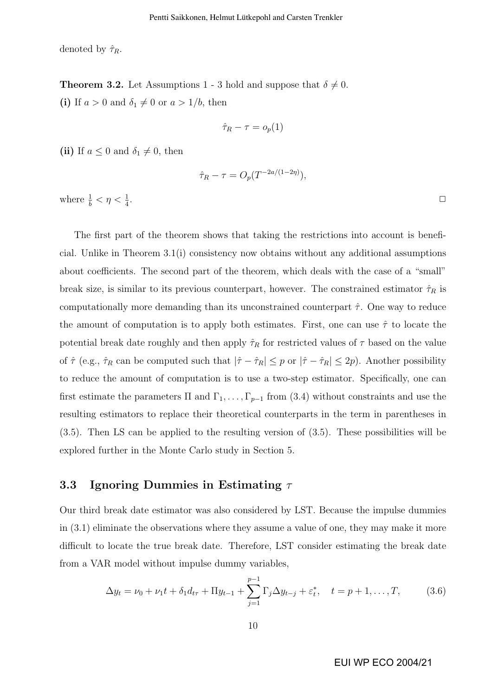denoted by  $\hat{\tau}_R$ .

**Theorem 3.2.** Let Assumptions 1 - 3 hold and suppose that  $\delta \neq 0$ . (i) If  $a > 0$  and  $\delta_1 \neq 0$  or  $a > 1/b$ , then

$$
\hat{\tau}_R - \tau = o_p(1)
$$

(ii) If  $a \leq 0$  and  $\delta_1 \neq 0$ , then

$$
\hat{\tau}_R - \tau = O_p(T^{-2a/(1-2\eta)}),
$$

where  $\frac{1}{b} < \eta < \frac{1}{4}$ 

The first part of the theorem shows that taking the restrictions into account is beneficial. Unlike in Theorem 3.1(i) consistency now obtains without any additional assumptions about coefficients. The second part of the theorem, which deals with the case of a "small" break size, is similar to its previous counterpart, however. The constrained estimator  $\hat{\tau}_R$  is computationally more demanding than its unconstrained counterpart  $\hat{\tau}$ . One way to reduce the amount of computation is to apply both estimates. First, one can use  $\hat{\tau}$  to locate the potential break date roughly and then apply  $\hat{\tau}_R$  for restricted values of  $\tau$  based on the value of  $\hat{\tau}$  (e.g.,  $\hat{\tau}_R$  can be computed such that  $|\hat{\tau} - \hat{\tau}_R| \leq p$  or  $|\hat{\tau} - \hat{\tau}_R| \leq 2p$ ). Another possibility to reduce the amount of computation is to use a two-step estimator. Specifically, one can first estimate the parameters  $\Pi$  and  $\Gamma_1, \ldots, \Gamma_{p-1}$  from (3.4) without constraints and use the resulting estimators to replace their theoretical counterparts in the term in parentheses in (3.5). Then LS can be applied to the resulting version of (3.5). These possibilities will be explored further in the Monte Carlo study in Section 5.

#### 3.3 Ignoring Dummies in Estimating  $\tau$

Our third break date estimator was also considered by LST. Because the impulse dummies in (3.1) eliminate the observations where they assume a value of one, they may make it more difficult to locate the true break date. Therefore, LST consider estimating the break date from a VAR model without impulse dummy variables,

$$
\Delta y_t = \nu_0 + \nu_1 t + \delta_1 d_{t\tau} + \Pi y_{t-1} + \sum_{j=1}^{p-1} \Gamma_j \Delta y_{t-j} + \varepsilon_t^*, \quad t = p+1, \dots, T,
$$
 (3.6)

EUI WP ECO 2004/21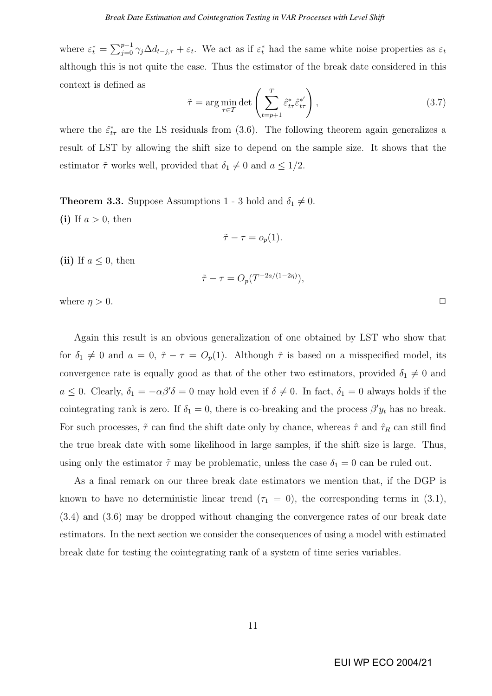where  $\varepsilon_t^* =$  $\nabla^{p-1}$  $j=0 \gamma_j \Delta d_{t-j,\tau} + \varepsilon_t$ . We act as if  $\varepsilon_t^*$  had the same white noise properties as  $\varepsilon_t$ although this is not quite the case. Thus the estimator of the break date considered in this context is defined as

$$
\tilde{\tau} = \arg\min_{\tau \in \mathcal{T}} \det \left( \sum_{t=p+1}^{T} \hat{\varepsilon}_{t\tau}^* \hat{\varepsilon}_{t\tau}^{*'} \right),\tag{3.7}
$$

where the  $\hat{\varepsilon}^*_{t\tau}$  are the LS residuals from (3.6). The following theorem again generalizes a result of LST by allowing the shift size to depend on the sample size. It shows that the estimator  $\tilde{\tau}$  works well, provided that  $\delta_1 \neq 0$  and  $a \leq 1/2$ .

**Theorem 3.3.** Suppose Assumptions 1 - 3 hold and  $\delta_1 \neq 0$ . (i) If  $a > 0$ , then

$$
\tilde{\tau} - \tau = o_p(1).
$$

(ii) If  $a \leq 0$ , then

$$
\tilde{\tau} - \tau = O_p(T^{-2a/(1-2\eta)}),
$$

where  $\eta > 0$ .

Again this result is an obvious generalization of one obtained by LST who show that for  $\delta_1 \neq 0$  and  $a = 0$ ,  $\tilde{\tau} - \tau = O_p(1)$ . Although  $\tilde{\tau}$  is based on a misspecified model, its convergence rate is equally good as that of the other two estimators, provided  $\delta_1 \neq 0$  and  $a \leq 0$ . Clearly,  $\delta_1 = -\alpha \beta' \delta = 0$  may hold even if  $\delta \neq 0$ . In fact,  $\delta_1 = 0$  always holds if the cointegrating rank is zero. If  $\delta_1 = 0$ , there is co-breaking and the process  $\beta' y_t$  has no break. For such processes,  $\tilde{\tau}$  can find the shift date only by chance, whereas  $\hat{\tau}$  and  $\hat{\tau}_R$  can still find the true break date with some likelihood in large samples, if the shift size is large. Thus, using only the estimator  $\tilde{\tau}$  may be problematic, unless the case  $\delta_1 = 0$  can be ruled out.

As a final remark on our three break date estimators we mention that, if the DGP is known to have no deterministic linear trend  $(\tau_1 = 0)$ , the corresponding terms in (3.1), (3.4) and (3.6) may be dropped without changing the convergence rates of our break date estimators. In the next section we consider the consequences of using a model with estimated break date for testing the cointegrating rank of a system of time series variables.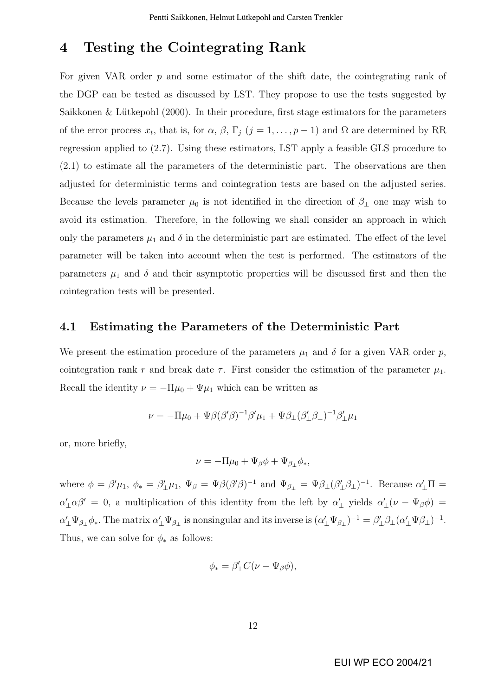## 4 Testing the Cointegrating Rank

For given VAR order p and some estimator of the shift date, the cointegrating rank of the DGP can be tested as discussed by LST. They propose to use the tests suggested by Saikkonen  $&$  Lütkepohl (2000). In their procedure, first stage estimators for the parameters of the error process  $x_t$ , that is, for  $\alpha$ ,  $\beta$ ,  $\Gamma_j$   $(j = 1, \ldots, p-1)$  and  $\Omega$  are determined by RR regression applied to (2.7). Using these estimators, LST apply a feasible GLS procedure to (2.1) to estimate all the parameters of the deterministic part. The observations are then adjusted for deterministic terms and cointegration tests are based on the adjusted series. Because the levels parameter  $\mu_0$  is not identified in the direction of  $\beta_{\perp}$  one may wish to avoid its estimation. Therefore, in the following we shall consider an approach in which only the parameters  $\mu_1$  and  $\delta$  in the deterministic part are estimated. The effect of the level parameter will be taken into account when the test is performed. The estimators of the parameters  $\mu_1$  and  $\delta$  and their asymptotic properties will be discussed first and then the cointegration tests will be presented.

#### 4.1 Estimating the Parameters of the Deterministic Part

We present the estimation procedure of the parameters  $\mu_1$  and  $\delta$  for a given VAR order p, cointegration rank r and break date  $\tau$ . First consider the estimation of the parameter  $\mu_1$ . Recall the identity  $\nu = -\Pi \mu_0 + \Psi \mu_1$  which can be written as

$$
\nu = -\Pi\mu_0 + \Psi\beta(\beta'\beta)^{-1}\beta'\mu_1 + \Psi\beta_\perp(\beta'_\perp\beta_\perp)^{-1}\beta'_\perp\mu_1
$$

or, more briefly,

$$
\nu = -\Pi \mu_0 + \Psi_\beta \phi + \Psi_{\beta_\perp} \phi_*,
$$

where  $\phi = \beta' \mu_1$ ,  $\phi_* = \beta'_{\perp} \mu_1$ ,  $\Psi_{\beta} = \Psi \beta (\beta' \beta)^{-1}$  and  $\Psi_{\beta_{\perp}} = \Psi \beta_{\perp} (\beta'_{\perp} \beta_{\perp})^{-1}$ . Because  $\alpha'_{\perp} \Pi =$  $\alpha'_\perp \alpha \beta' = 0$ , a multiplication of this identity from the left by  $\alpha'_\perp$  yields  $\alpha'_\perp(\nu - \Psi_\beta \phi) =$  $\alpha'_\perp \Psi_{\beta_\perp} \phi_*$ . The matrix  $\alpha'_\perp \Psi_{\beta_\perp}$  is nonsingular and its inverse is  $(\alpha'_\perp \Psi_{\beta_\perp})^{-1} = \beta'_\perp \beta_\perp (\alpha'_\perp \Psi_{\beta_\perp})^{-1}$ . Thus, we can solve for  $\phi_*$  as follows:

$$
\phi_* = \beta'_{\perp} C(\nu - \Psi_{\beta}\phi),
$$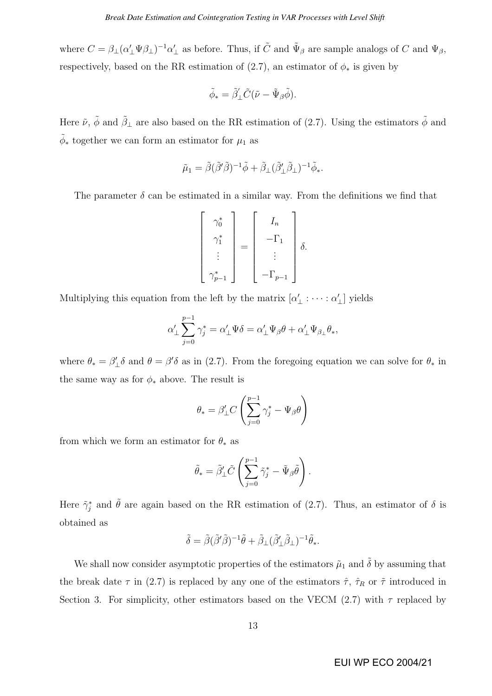where  $C = \beta_{\perp} (\alpha'_{\perp} \Psi \beta_{\perp})^{-1} \alpha'_{\perp}$  as before. Thus, if  $\tilde{C}$  and  $\Psi_{\beta}$  are sample analogs of C and  $\Psi_{\beta}$ , respectively, based on the RR estimation of  $(2.7)$ , an estimator of  $\phi_*$  is given by

$$
\tilde{\phi}_* = \tilde{\beta}'_{\perp} \tilde{C} (\tilde{\nu} - \tilde{\Psi}_{\beta} \tilde{\phi}).
$$

Here  $\tilde{\nu}$ ,  $\tilde{\phi}$  and  $\tilde{\beta}_{\perp}$  are also based on the RR estimation of (2.7). Using the estimators  $\tilde{\phi}$  and  $\tilde{\phi}_*$  together we can form an estimator for  $\mu_1$  as

$$
\tilde{\mu}_1 = \tilde{\beta}(\tilde{\beta}'\tilde{\beta})^{-1}\tilde{\phi} + \tilde{\beta}_{\perp}(\tilde{\beta}'_{\perp}\tilde{\beta}_{\perp})^{-1}\tilde{\phi}_*.
$$

The parameter  $\delta$  can be estimated in a similar way. From the definitions we find that

$$
\begin{bmatrix}\n\gamma_0^* \\
\gamma_1^* \\
\vdots \\
\gamma_{p-1}^*\n\end{bmatrix} = \begin{bmatrix}\nI_n \\
-\Gamma_1 \\
\vdots \\
-\Gamma_{p-1}\n\end{bmatrix} \delta.
$$

Multiplying this equation from the left by the matrix  $[\alpha'_\perp : \cdots : \alpha'_\perp]$  yields

$$
\alpha'_\perp\sum_{j=0}^{p-1}\gamma_j^*=\alpha'_\perp\Psi\delta=\alpha'_\perp\Psi_\beta\theta+\alpha'_\perp\Psi_{\beta_\perp}\theta_*,
$$

where  $\theta_* = \beta'_\perp \delta$  and  $\theta = \beta' \delta$  as in (2.7). From the foregoing equation we can solve for  $\theta_*$  in the same way as for  $\phi_*$  above. The result is

$$
\theta_* = \beta'_\perp C \left( \sum_{j=0}^{p-1} \gamma_j^* - \Psi_\beta \theta \right)
$$

from which we form an estimator for  $\theta_*$  as

$$
\tilde{\theta}_* = \tilde{\beta}'_{\perp} \tilde{C} \left( \sum_{j=0}^{p-1} \tilde{\gamma}_j^* - \tilde{\Psi}_{\beta} \tilde{\theta} \right).
$$

Here  $\tilde{\gamma}_j^*$  and  $\tilde{\theta}$  are again based on the RR estimation of (2.7). Thus, an estimator of  $\delta$  is obtained as

$$
\tilde{\delta}=\tilde{\beta}(\tilde{\beta}'\tilde{\beta})^{-1}\tilde{\theta}+\tilde{\beta}_{\perp}(\tilde{\beta}'_{\perp}\tilde{\beta}_{\perp})^{-1}\tilde{\theta}_{*}.
$$

We shall now consider asymptotic properties of the estimators  $\tilde{\mu}_1$  and  $\tilde{\delta}$  by assuming that the break date  $\tau$  in (2.7) is replaced by any one of the estimators  $\hat{\tau}$ ,  $\hat{\tau}_R$  or  $\tilde{\tau}$  introduced in Section 3. For simplicity, other estimators based on the VECM (2.7) with  $\tau$  replaced by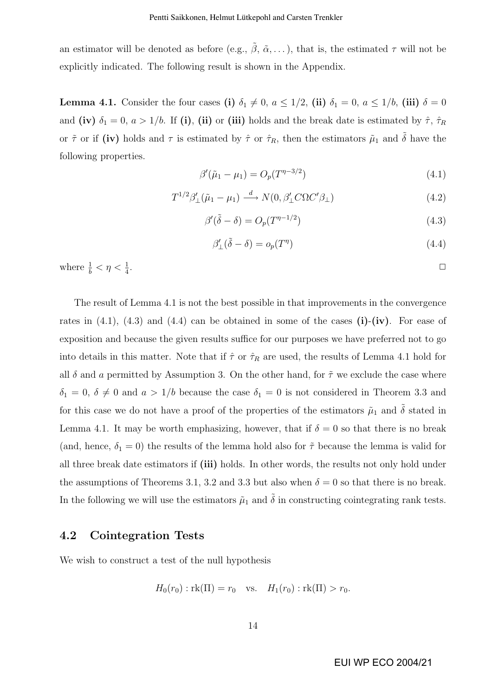an estimator will be denoted as before (e.g.,  $\tilde{\beta}$ ,  $\tilde{\alpha}$ , ...), that is, the estimated  $\tau$  will not be explicitly indicated. The following result is shown in the Appendix.

**Lemma 4.1.** Consider the four cases (i)  $\delta_1 \neq 0$ ,  $a \leq 1/2$ , (ii)  $\delta_1 = 0$ ,  $a \leq 1/b$ , (iii)  $\delta = 0$ and (iv)  $\delta_1 = 0$ ,  $a > 1/b$ . If (i), (ii) or (iii) holds and the break date is estimated by  $\hat{\tau}$ ,  $\hat{\tau}_R$ or  $\tilde{\tau}$  or if (iv) holds and  $\tau$  is estimated by  $\hat{\tau}$  or  $\hat{\tau}_R$ , then the estimators  $\tilde{\mu}_1$  and  $\tilde{\delta}$  have the following properties.

$$
\beta'(\tilde{\mu}_1 - \mu_1) = O_p(T^{\eta - 3/2})
$$
\n(4.1)

$$
T^{1/2}\beta'_{\perp}(\tilde{\mu}_1 - \mu_1) \stackrel{d}{\longrightarrow} N(0, \beta'_{\perp}C\Omega C'\beta_{\perp})
$$
\n(4.2)

$$
\beta'(\tilde{\delta} - \delta) = O_p(T^{\eta - 1/2})
$$
\n(4.3)

$$
\beta'_{\perp}(\tilde{\delta} - \delta) = o_p(T^{\eta}) \tag{4.4}
$$

where  $\frac{1}{b} < \eta < \frac{1}{4}$ . ✷

The result of Lemma 4.1 is not the best possible in that improvements in the convergence rates in  $(4.1)$ ,  $(4.3)$  and  $(4.4)$  can be obtained in some of the cases  $(i)-(iv)$ . For ease of exposition and because the given results suffice for our purposes we have preferred not to go into details in this matter. Note that if  $\hat{\tau}$  or  $\hat{\tau}_R$  are used, the results of Lemma 4.1 hold for all  $\delta$  and a permitted by Assumption 3. On the other hand, for  $\tilde{\tau}$  we exclude the case where  $\delta_1 = 0, \delta \neq 0$  and  $a > 1/b$  because the case  $\delta_1 = 0$  is not considered in Theorem 3.3 and for this case we do not have a proof of the properties of the estimators  $\tilde{\mu}_1$  and  $\tilde{\delta}$  stated in Lemma 4.1. It may be worth emphasizing, however, that if  $\delta = 0$  so that there is no break (and, hence,  $\delta_1 = 0$ ) the results of the lemma hold also for  $\tilde{\tau}$  because the lemma is valid for all three break date estimators if (iii) holds. In other words, the results not only hold under the assumptions of Theorems 3.1, 3.2 and 3.3 but also when  $\delta = 0$  so that there is no break. In the following we will use the estimators  $\tilde{\mu}_1$  and  $\tilde{\delta}$  in constructing cointegrating rank tests.

#### 4.2 Cointegration Tests

We wish to construct a test of the null hypothesis

$$
H_0(r_0): \text{rk}(\Pi) = r_0 \text{ vs. } H_1(r_0): \text{rk}(\Pi) > r_0.
$$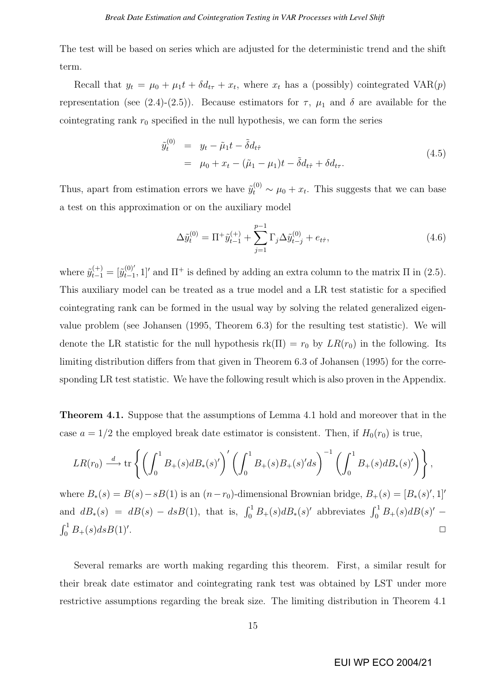The test will be based on series which are adjusted for the deterministic trend and the shift term.

Recall that  $y_t = \mu_0 + \mu_1 t + \delta d_{t\tau} + x_t$ , where  $x_t$  has a (possibly) cointegrated VAR(p) representation (see (2.4)-(2.5)). Because estimators for  $\tau$ ,  $\mu_1$  and  $\delta$  are available for the cointegrating rank  $r_0$  specified in the null hypothesis, we can form the series

$$
\tilde{y}_t^{(0)} = y_t - \tilde{\mu}_1 t - \tilde{\delta} d_{t\hat{\tau}} \n= \mu_0 + x_t - (\tilde{\mu}_1 - \mu_1)t - \tilde{\delta} d_{t\hat{\tau}} + \delta d_{t\tau}.
$$
\n(4.5)

Thus, apart from estimation errors we have  $\tilde{y}_t^{(0)} \sim \mu_0 + x_t$ . This suggests that we can base a test on this approximation or on the auxiliary model

$$
\Delta \tilde{y}_t^{(0)} = \Pi^+ \tilde{y}_{t-1}^{(+)} + \sum_{j=1}^{p-1} \Gamma_j \Delta \tilde{y}_{t-j}^{(0)} + e_{t\hat{\tau}}, \qquad (4.6)
$$

where  $\tilde{y}_{t-1}^{(+)} = [\tilde{y}_{t-1}^{(0)}]$  $_{t-1}^{(0)}$ , 1]' and  $\Pi^+$  is defined by adding an extra column to the matrix  $\Pi$  in (2.5). This auxiliary model can be treated as a true model and a LR test statistic for a specified cointegrating rank can be formed in the usual way by solving the related generalized eigenvalue problem (see Johansen (1995, Theorem 6.3) for the resulting test statistic). We will denote the LR statistic for the null hypothesis  $rk(\Pi) = r_0$  by  $LR(r_0)$  in the following. Its limiting distribution differs from that given in Theorem 6.3 of Johansen (1995) for the corresponding LR test statistic. We have the following result which is also proven in the Appendix.

Theorem 4.1. Suppose that the assumptions of Lemma 4.1 hold and moreover that in the case  $a = 1/2$  the employed break date estimator is consistent. Then, if  $H_0(r_0)$  is true,

$$
LR(r_0)\stackrel{d}{\longrightarrow}\mathrm{tr}\left\{\left(\int_0^1B_+(s)dB_*(s)'\right)'\left(\int_0^1B_+(s)B_+(s)'ds\right)^{-1}\left(\int_0^1B_+(s)dB_*(s)'\right)\right\},
$$

where  $B_*(s) = B(s) - sB(1)$  is an  $(n - r_0)$ -dimensional Brownian bridge,  $B_+(s) = [B_*(s)^\prime, 1]^\prime$ and  $dB_*(s) = dB(s) - dsB(1)$ , that is,  $\int_0^1 B_+(s)dB_*(s)$ ' abbreviates  $\int_0^1 B_+(s)dB(s)$ ' –  $r<sup>1</sup>$  $\int_0^1 B_+(s)ds B(1)$ . ✷

Several remarks are worth making regarding this theorem. First, a similar result for their break date estimator and cointegrating rank test was obtained by LST under more restrictive assumptions regarding the break size. The limiting distribution in Theorem 4.1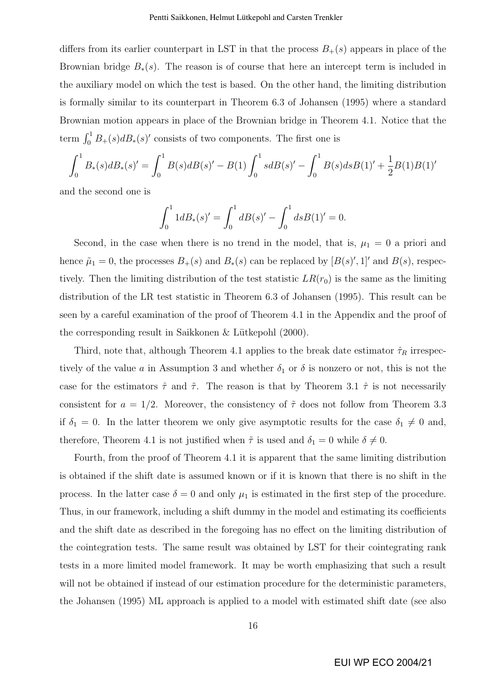differs from its earlier counterpart in LST in that the process  $B_{+}(s)$  appears in place of the Brownian bridge  $B_*(s)$ . The reason is of course that here an intercept term is included in the auxiliary model on which the test is based. On the other hand, the limiting distribution is formally similar to its counterpart in Theorem 6.3 of Johansen (1995) where a standard Brownian motion appears in place of the Brownian bridge in Theorem 4.1. Notice that the term  $\int_0^1 B_+(s) dB_*(s)'$  consists of two components. The first one is

$$
\int_0^1 B_*(s) dB_*(s)' = \int_0^1 B(s) dB(s)' - B(1) \int_0^1 s dB(s)' - \int_0^1 B(s) ds B(1)' + \frac{1}{2} B(1) B(1)'
$$

and the second one is

$$
\int_0^1 1 dB_*(s)' = \int_0^1 dB(s)' - \int_0^1 ds B(1)' = 0.
$$

Second, in the case when there is no trend in the model, that is,  $\mu_1 = 0$  a priori and hence  $\tilde{\mu}_1 = 0$ , the processes  $B_+(s)$  and  $B_*(s)$  can be replaced by  $[B(s)', 1]'$  and  $B(s)$ , respectively. Then the limiting distribution of the test statistic  $LR(r_0)$  is the same as the limiting distribution of the LR test statistic in Theorem 6.3 of Johansen (1995). This result can be seen by a careful examination of the proof of Theorem 4.1 in the Appendix and the proof of the corresponding result in Saikkonen  $\&$  Lütkepohl (2000).

Third, note that, although Theorem 4.1 applies to the break date estimator  $\hat{\tau}_R$  irrespectively of the value a in Assumption 3 and whether  $\delta_1$  or  $\delta$  is nonzero or not, this is not the case for the estimators  $\hat{\tau}$  and  $\tilde{\tau}$ . The reason is that by Theorem 3.1  $\hat{\tau}$  is not necessarily consistent for  $a = 1/2$ . Moreover, the consistency of  $\tilde{\tau}$  does not follow from Theorem 3.3 if  $\delta_1 = 0$ . In the latter theorem we only give asymptotic results for the case  $\delta_1 \neq 0$  and, therefore, Theorem 4.1 is not justified when  $\tilde{\tau}$  is used and  $\delta_1 = 0$  while  $\delta \neq 0$ .

Fourth, from the proof of Theorem 4.1 it is apparent that the same limiting distribution is obtained if the shift date is assumed known or if it is known that there is no shift in the process. In the latter case  $\delta = 0$  and only  $\mu_1$  is estimated in the first step of the procedure. Thus, in our framework, including a shift dummy in the model and estimating its coefficients and the shift date as described in the foregoing has no effect on the limiting distribution of the cointegration tests. The same result was obtained by LST for their cointegrating rank tests in a more limited model framework. It may be worth emphasizing that such a result will not be obtained if instead of our estimation procedure for the deterministic parameters, the Johansen (1995) ML approach is applied to a model with estimated shift date (see also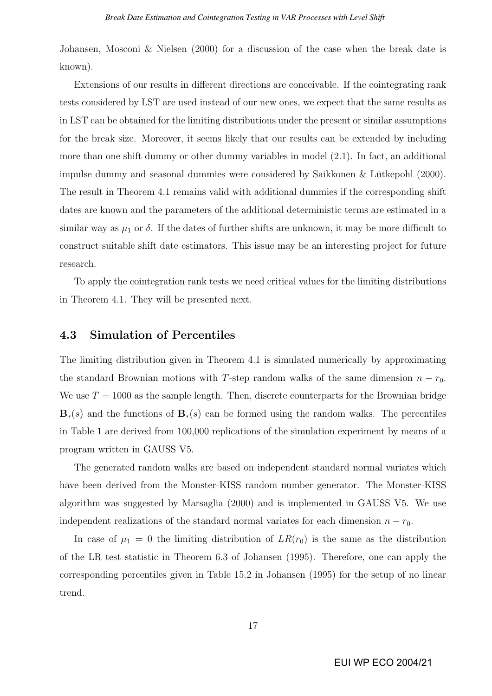Johansen, Mosconi & Nielsen (2000) for a discussion of the case when the break date is known).

Extensions of our results in different directions are conceivable. If the cointegrating rank tests considered by LST are used instead of our new ones, we expect that the same results as in LST can be obtained for the limiting distributions under the present or similar assumptions for the break size. Moreover, it seems likely that our results can be extended by including more than one shift dummy or other dummy variables in model (2.1). In fact, an additional impulse dummy and seasonal dummies were considered by Saikkonen  $&$  Lütkepohl (2000). The result in Theorem 4.1 remains valid with additional dummies if the corresponding shift dates are known and the parameters of the additional deterministic terms are estimated in a similar way as  $\mu_1$  or  $\delta$ . If the dates of further shifts are unknown, it may be more difficult to construct suitable shift date estimators. This issue may be an interesting project for future research.

To apply the cointegration rank tests we need critical values for the limiting distributions in Theorem 4.1. They will be presented next.

#### 4.3 Simulation of Percentiles

The limiting distribution given in Theorem 4.1 is simulated numerically by approximating the standard Brownian motions with T-step random walks of the same dimension  $n - r_0$ . We use  $T = 1000$  as the sample length. Then, discrete counterparts for the Brownian bridge  $\mathbf{B}_*(s)$  and the functions of  $\mathbf{B}_*(s)$  can be formed using the random walks. The percentiles in Table 1 are derived from 100,000 replications of the simulation experiment by means of a program written in GAUSS V5.

The generated random walks are based on independent standard normal variates which have been derived from the Monster-KISS random number generator. The Monster-KISS algorithm was suggested by Marsaglia (2000) and is implemented in GAUSS V5. We use independent realizations of the standard normal variates for each dimension  $n - r_0$ .

In case of  $\mu_1 = 0$  the limiting distribution of  $LR(r_0)$  is the same as the distribution of the LR test statistic in Theorem 6.3 of Johansen (1995). Therefore, one can apply the corresponding percentiles given in Table 15.2 in Johansen (1995) for the setup of no linear trend.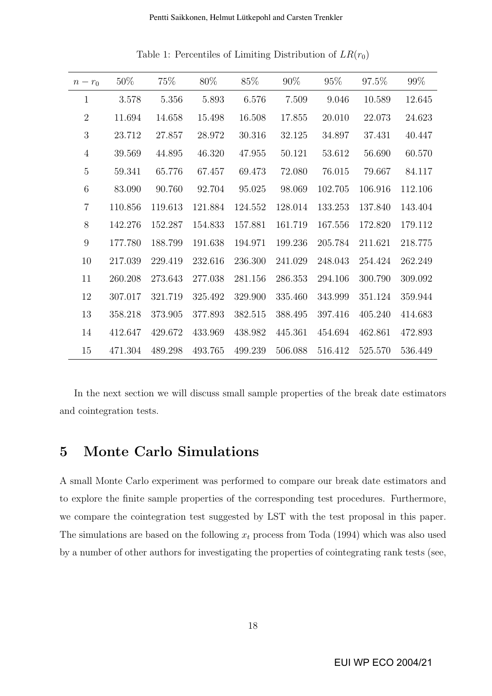| $n-r_0$        | 50%     | 75%     | 80%     | 85%     | 90%     | 95%     | 97.5%   | 99%     |
|----------------|---------|---------|---------|---------|---------|---------|---------|---------|
| $\mathbf{1}$   | 3.578   | 5.356   | 5.893   | 6.576   | 7.509   | 9.046   | 10.589  | 12.645  |
| $\overline{2}$ | 11.694  | 14.658  | 15.498  | 16.508  | 17.855  | 20.010  | 22.073  | 24.623  |
| 3              | 23.712  | 27.857  | 28.972  | 30.316  | 32.125  | 34.897  | 37.431  | 40.447  |
| $\overline{4}$ | 39.569  | 44.895  | 46.320  | 47.955  | 50.121  | 53.612  | 56.690  | 60.570  |
| $\overline{5}$ | 59.341  | 65.776  | 67.457  | 69.473  | 72.080  | 76.015  | 79.667  | 84.117  |
| 6              | 83.090  | 90.760  | 92.704  | 95.025  | 98.069  | 102.705 | 106.916 | 112.106 |
| $\overline{7}$ | 110.856 | 119.613 | 121.884 | 124.552 | 128.014 | 133.253 | 137.840 | 143.404 |
| 8              | 142.276 | 152.287 | 154.833 | 157.881 | 161.719 | 167.556 | 172.820 | 179.112 |
| 9              | 177.780 | 188.799 | 191.638 | 194.971 | 199.236 | 205.784 | 211.621 | 218.775 |
| 10             | 217.039 | 229.419 | 232.616 | 236.300 | 241.029 | 248.043 | 254.424 | 262.249 |
| 11             | 260.208 | 273.643 | 277.038 | 281.156 | 286.353 | 294.106 | 300.790 | 309.092 |
| 12             | 307.017 | 321.719 | 325.492 | 329.900 | 335.460 | 343.999 | 351.124 | 359.944 |
| 13             | 358.218 | 373.905 | 377.893 | 382.515 | 388.495 | 397.416 | 405.240 | 414.683 |
| 14             | 412.647 | 429.672 | 433.969 | 438.982 | 445.361 | 454.694 | 462.861 | 472.893 |
| 15             | 471.304 | 489.298 | 493.765 | 499.239 | 506.088 | 516.412 | 525.570 | 536.449 |

Table 1: Percentiles of Limiting Distribution of  $LR(r_0)$ 

In the next section we will discuss small sample properties of the break date estimators and cointegration tests.

## 5 Monte Carlo Simulations

A small Monte Carlo experiment was performed to compare our break date estimators and to explore the finite sample properties of the corresponding test procedures. Furthermore, we compare the cointegration test suggested by LST with the test proposal in this paper. The simulations are based on the following  $x_t$  process from Toda (1994) which was also used by a number of other authors for investigating the properties of cointegrating rank tests (see,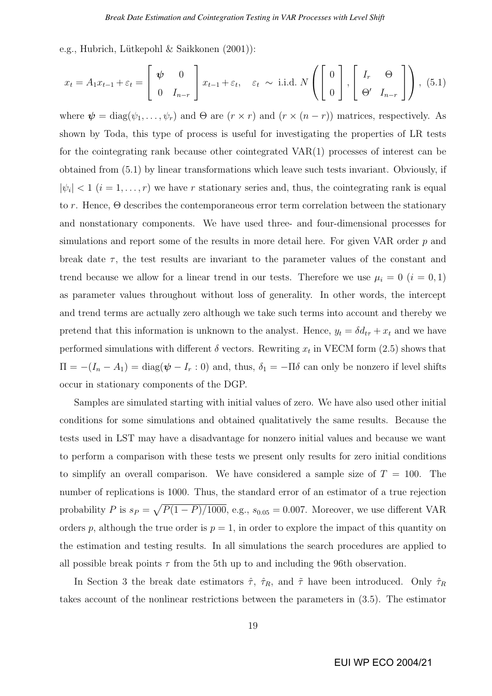e.g., Hubrich, Lütkepohl & Saikkonen (2001)):

$$
x_t = A_1 x_{t-1} + \varepsilon_t = \begin{bmatrix} \psi & 0 \\ 0 & I_{n-r} \end{bmatrix} x_{t-1} + \varepsilon_t, \quad \varepsilon_t \sim \text{ i.i.d. } N \left( \begin{bmatrix} 0 \\ 0 \end{bmatrix}, \begin{bmatrix} I_r & \Theta \\ \Theta' & I_{n-r} \end{bmatrix} \right), (5.1)
$$

where  $\psi = \text{diag}(\psi_1, \dots, \psi_r)$  and  $\Theta$  are  $(r \times r)$  and  $(r \times (n-r))$  matrices, respectively. As shown by Toda, this type of process is useful for investigating the properties of LR tests for the cointegrating rank because other cointegrated VAR(1) processes of interest can be obtained from (5.1) by linear transformations which leave such tests invariant. Obviously, if  $|\psi_i|$  < 1 (i = 1, ..., r) we have r stationary series and, thus, the cointegrating rank is equal to r. Hence, Θ describes the contemporaneous error term correlation between the stationary and nonstationary components. We have used three- and four-dimensional processes for simulations and report some of the results in more detail here. For given VAR order  $p$  and break date  $\tau$ , the test results are invariant to the parameter values of the constant and trend because we allow for a linear trend in our tests. Therefore we use  $\mu_i = 0$   $(i = 0, 1)$ as parameter values throughout without loss of generality. In other words, the intercept and trend terms are actually zero although we take such terms into account and thereby we pretend that this information is unknown to the analyst. Hence,  $y_t = \delta d_{t\tau} + x_t$  and we have performed simulations with different  $\delta$  vectors. Rewriting  $x_t$  in VECM form (2.5) shows that  $\Pi = -(I_n - A_1) = \text{diag}(\psi - I_r : 0)$  and, thus,  $\delta_1 = -\Pi \delta$  can only be nonzero if level shifts occur in stationary components of the DGP.

Samples are simulated starting with initial values of zero. We have also used other initial conditions for some simulations and obtained qualitatively the same results. Because the tests used in LST may have a disadvantage for nonzero initial values and because we want to perform a comparison with these tests we present only results for zero initial conditions to simplify an overall comparison. We have considered a sample size of  $T = 100$ . The number of replications is 1000. Thus, the standard error of an estimator of a true rejection probability P is  $s_P =$ p  $P(1 - P)/1000$ , e.g.,  $s_{0.05} = 0.007$ . Moreover, we use different VAR orders p, although the true order is  $p = 1$ , in order to explore the impact of this quantity on the estimation and testing results. In all simulations the search procedures are applied to all possible break points  $\tau$  from the 5th up to and including the 96th observation.

In Section 3 the break date estimators  $\hat{\tau}$ ,  $\hat{\tau}_R$ , and  $\tilde{\tau}$  have been introduced. Only  $\hat{\tau}_R$ takes account of the nonlinear restrictions between the parameters in (3.5). The estimator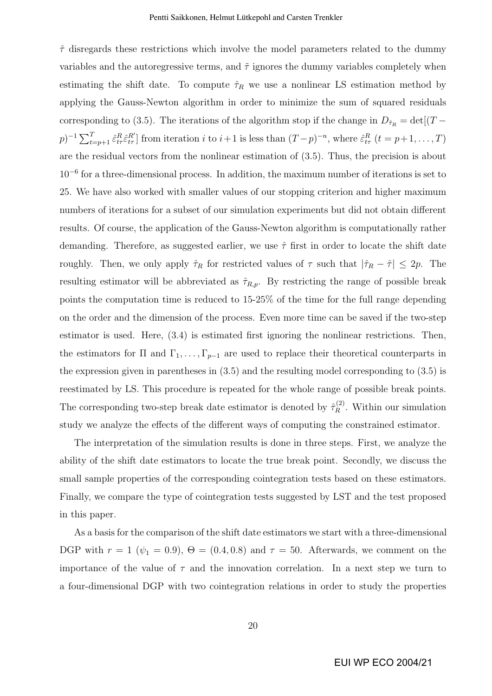$\hat{\tau}$  disregards these restrictions which involve the model parameters related to the dummy variables and the autoregressive terms, and  $\tilde{\tau}$  ignores the dummy variables completely when estimating the shift date. To compute  $\hat{\tau}_R$  we use a nonlinear LS estimation method by applying the Gauss-Newton algorithm in order to minimize the sum of squared residuals corresponding to (3.5). The iterations of the algorithm stop if the change in  $D_{\hat{\tau}_R} = det[(T (p)^{-1} \sum_{t=p+1}^{T} \hat{\varepsilon}^{R}_{t\tau} \hat{\varepsilon}^{R'}_{t\tau}$  from iteration i to  $i+1$  is less than  $(T-p)^{-n}$ , where  $\hat{\varepsilon}^{R}_{t\tau}$   $(t=p+1,\ldots,T)$ are the residual vectors from the nonlinear estimation of (3.5). Thus, the precision is about 10<sup>−</sup><sup>6</sup> for a three-dimensional process. In addition, the maximum number of iterations is set to 25. We have also worked with smaller values of our stopping criterion and higher maximum numbers of iterations for a subset of our simulation experiments but did not obtain different results. Of course, the application of the Gauss-Newton algorithm is computationally rather demanding. Therefore, as suggested earlier, we use  $\hat{\tau}$  first in order to locate the shift date roughly. Then, we only apply  $\hat{\tau}_R$  for restricted values of  $\tau$  such that  $|\hat{\tau}_R - \hat{\tau}| \leq 2p$ . The resulting estimator will be abbreviated as  $\hat{\tau}_{R,p}$ . By restricting the range of possible break points the computation time is reduced to 15-25% of the time for the full range depending on the order and the dimension of the process. Even more time can be saved if the two-step estimator is used. Here, (3.4) is estimated first ignoring the nonlinear restrictions. Then, the estimators for  $\Pi$  and  $\Gamma_1, \ldots, \Gamma_{p-1}$  are used to replace their theoretical counterparts in the expression given in parentheses in (3.5) and the resulting model corresponding to (3.5) is reestimated by LS. This procedure is repeated for the whole range of possible break points. The corresponding two-step break date estimator is denoted by  $\hat{\tau}_R^{(2)}$  $\mathbb{R}^{(2)}$ . Within our simulation study we analyze the effects of the different ways of computing the constrained estimator.

The interpretation of the simulation results is done in three steps. First, we analyze the ability of the shift date estimators to locate the true break point. Secondly, we discuss the small sample properties of the corresponding cointegration tests based on these estimators. Finally, we compare the type of cointegration tests suggested by LST and the test proposed in this paper.

As a basis for the comparison of the shift date estimators we start with a three-dimensional DGP with  $r = 1$  ( $\psi_1 = 0.9$ ),  $\Theta = (0.4, 0.8)$  and  $\tau = 50$ . Afterwards, we comment on the importance of the value of  $\tau$  and the innovation correlation. In a next step we turn to a four-dimensional DGP with two cointegration relations in order to study the properties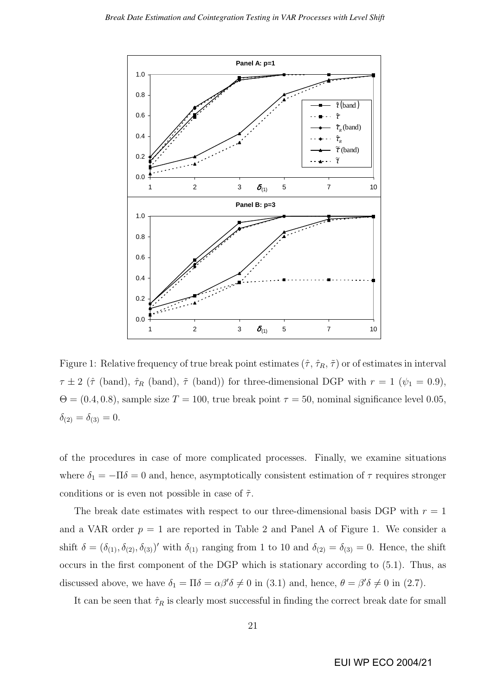

Figure 1: Relative frequency of true break point estimates  $(\hat{\tau}, \hat{\tau}_R, \tilde{\tau})$  or of estimates in interval  $\tau \pm 2$  ( $\hat{\tau}$  (band),  $\hat{\tau}_R$  (band),  $\tilde{\tau}$  (band)) for three-dimensional DGP with  $r = 1$  ( $\psi_1 = 0.9$ ),  $\Theta = (0.4, 0.8)$ , sample size  $T = 100$ , true break point  $\tau = 50$ , nominal significance level 0.05,  $\delta_{(2)} = \delta_{(3)} = 0.$ 

of the procedures in case of more complicated processes. Finally, we examine situations where  $\delta_1 = -\Pi \delta = 0$  and, hence, asymptotically consistent estimation of  $\tau$  requires stronger conditions or is even not possible in case of  $\tilde{\tau}$ .

The break date estimates with respect to our three-dimensional basis DGP with  $r = 1$ and a VAR order  $p = 1$  are reported in Table 2 and Panel A of Figure 1. We consider a shift  $\delta = (\delta_{(1)}, \delta_{(2)}, \delta_{(3)})'$  with  $\delta_{(1)}$  ranging from 1 to 10 and  $\delta_{(2)} = \delta_{(3)} = 0$ . Hence, the shift occurs in the first component of the DGP which is stationary according to (5.1). Thus, as discussed above, we have  $\delta_1 = \Pi \delta = \alpha \beta' \delta \neq 0$  in (3.1) and, hence,  $\theta = \beta' \delta \neq 0$  in (2.7).

It can be seen that  $\hat{\tau}_R$  is clearly most successful in finding the correct break date for small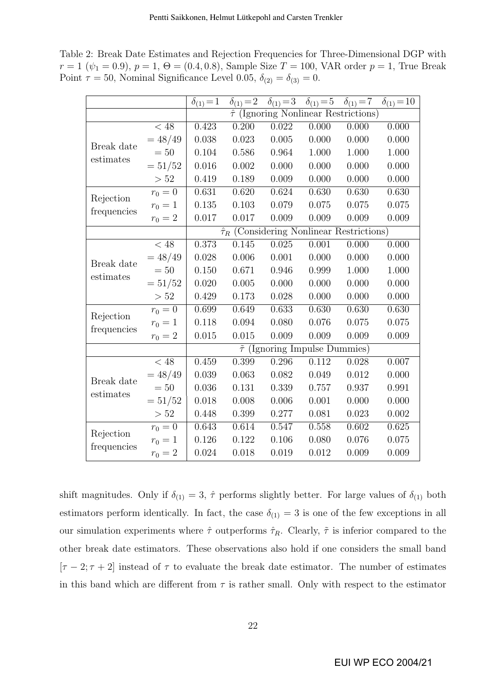Table 2: Break Date Estimates and Rejection Frequencies for Three-Dimensional DGP with  $r = 1 \ (\psi_1 = 0.9), p = 1, \Theta = (0.4, 0.8),$  Sample Size  $T = 100$ , VAR order  $p = 1$ , True Break Point  $\tau = 50$ , Nominal Significance Level 0.05,  $\delta_{(2)} = \delta_{(3)} = 0$ .

|             |                      | $\delta_{(1)} = 1$                                  | $\delta_{(1)} = 2$                             |                                           | $\delta_{(1)} = 3$ $\delta_{(1)} = 5$ | $\delta_{(1)} = 7$ | $\delta_{(1)} = 10$ |  |  |
|-------------|----------------------|-----------------------------------------------------|------------------------------------------------|-------------------------------------------|---------------------------------------|--------------------|---------------------|--|--|
|             |                      |                                                     | $\hat{\tau}$ (Ignoring Nonlinear Restrictions) |                                           |                                       |                    |                     |  |  |
|             | $< 48\,$             | 0.423                                               | 0.200                                          | 0.022                                     | 0.000                                 | 0.000              | 0.000               |  |  |
| Break date  | $= 48/49$            | 0.038                                               | 0.023                                          | 0.005                                     | 0.000                                 | 0.000              | 0.000               |  |  |
| estimates   | $=50$                | 0.104                                               | 0.586                                          | 0.964                                     | 1.000                                 | 1.000              | 1.000               |  |  |
|             | $=51/52$             | 0.016                                               | 0.002                                          | 0.000                                     | 0.000                                 | 0.000              | 0.000               |  |  |
|             | > 52                 | 0.419                                               | 0.189                                          | 0.009                                     | 0.000                                 | 0.000              | 0.000               |  |  |
|             | $r_0 = 0$            | 0.631                                               | 0.620                                          | 0.624                                     | 0.630                                 | 0.630              | 0.630               |  |  |
| Rejection   | $r_0 = 1$            | 0.135                                               | 0.103                                          | 0.079                                     | 0.075                                 | 0.075              | 0.075               |  |  |
| frequencies | $r_0 = 2$            | 0.017                                               | 0.017                                          | 0.009                                     | 0.009                                 | 0.009              | 0.009               |  |  |
|             |                      | $\hat{\tau}_R$ (Considering Nonlinear Restrictions) |                                                |                                           |                                       |                    |                     |  |  |
|             | $< 48$               | 0.373                                               | 0.145                                          | 0.025                                     | 0.001                                 | 0.000              | 0.000               |  |  |
| Break date  | $=48/49$             | 0.028                                               | 0.006                                          | 0.001                                     | 0.000                                 | 0.000              | 0.000               |  |  |
|             | $=50$                | 0.150                                               | 0.671                                          | 0.946                                     | 0.999                                 | 1.000              | 1.000               |  |  |
| estimates   | $=51/52$             | 0.020                                               | 0.005                                          | 0.000                                     | 0.000                                 | 0.000              | 0.000               |  |  |
|             | > 52                 | 0.429                                               | 0.173                                          | 0.028                                     | 0.000                                 | 0.000              | 0.000               |  |  |
| Rejection   | $r_0 = 0$            | 0.699                                               | 0.649                                          | 0.633                                     | 0.630                                 | 0.630              | 0.630               |  |  |
|             | $r_0 = 1$            | 0.118                                               | 0.094                                          | 0.080                                     | 0.076                                 | 0.075              | 0.075               |  |  |
| frequencies | $r_0=2\,$            | 0.015                                               | 0.015                                          | 0.009                                     | 0.009                                 | 0.009              | 0.009               |  |  |
|             |                      |                                                     |                                                | $\tilde{\tau}$ (Ignoring Impulse Dummies) |                                       |                    |                     |  |  |
|             | $< 48$               | 0.459                                               | 0.399                                          | 0.296                                     | 0.112                                 | 0.028              | 0.007               |  |  |
| Break date  | $= 48/49$            | 0.039                                               | 0.063                                          | 0.082                                     | 0.049                                 | 0.012              | 0.000               |  |  |
| estimates   | $=50$                | 0.036                                               | 0.131                                          | 0.339                                     | 0.757                                 | 0.937              | 0.991               |  |  |
|             | $=51/52$             | 0.018                                               | 0.008                                          | 0.006                                     | 0.001                                 | 0.000              | 0.000               |  |  |
|             | > 52                 | 0.448                                               | 0.399                                          | 0.277                                     | 0.081                                 | 0.023              | 0.002               |  |  |
|             | $r_0 = \overline{0}$ | 0.643                                               | 0.614                                          | 0.547                                     | 0.558                                 | 0.602              | 0.625               |  |  |
| Rejection   | $r_0 = 1$            | 0.126                                               | 0.122                                          | 0.106                                     | 0.080                                 | 0.076              | 0.075               |  |  |
| frequencies | $r_0 = 2$            | 0.024                                               | 0.018                                          | 0.019                                     | 0.012                                 | 0.009              | 0.009               |  |  |

shift magnitudes. Only if  $\delta_{(1)} = 3$ ,  $\hat{\tau}$  performs slightly better. For large values of  $\delta_{(1)}$  both estimators perform identically. In fact, the case  $\delta_{(1)} = 3$  is one of the few exceptions in all our simulation experiments where  $\hat{\tau}$  outperforms  $\hat{\tau}_R$ . Clearly,  $\tilde{\tau}$  is inferior compared to the other break date estimators. These observations also hold if one considers the small band  $[\tau - 2; \tau + 2]$  instead of  $\tau$  to evaluate the break date estimator. The number of estimates in this band which are different from  $\tau$  is rather small. Only with respect to the estimator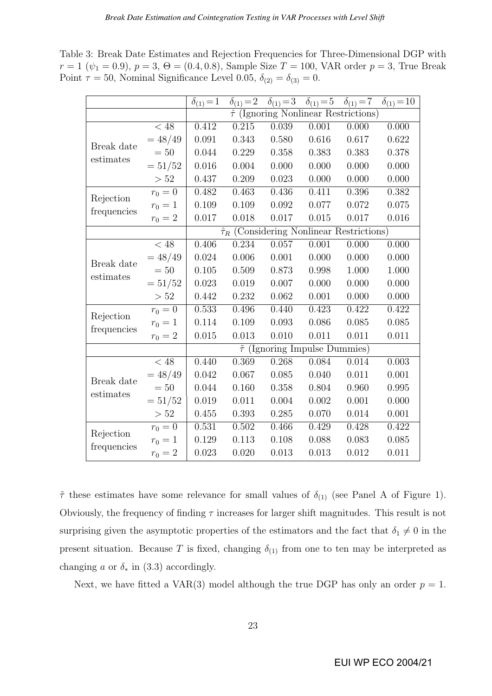Table 3: Break Date Estimates and Rejection Frequencies for Three-Dimensional DGP with  $r = 1 \ (\psi_1 = 0.9), p = 3, \Theta = (0.4, 0.8),$  Sample Size  $T = 100$ , VAR order  $p = 3$ , True Break Point  $\tau = 50$ , Nominal Significance Level 0.05,  $\delta_{(2)} = \delta_{(3)} = 0$ .

|             |                   | $\delta_{(1)} = 1$ | $\delta_{(1)} = 2$                                  |       | $\delta_{(1)} = 3$ $\delta_{(1)} = 5$ | $\delta_{(1)} = 7$ | $\delta_{(1)} = 10$ |  |
|-------------|-------------------|--------------------|-----------------------------------------------------|-------|---------------------------------------|--------------------|---------------------|--|
|             |                   |                    | $\hat{\tau}$ (Ignoring Nonlinear Restrictions)      |       |                                       |                    |                     |  |
|             | $< 48\,$          | 0.412              | 0.215                                               | 0.039 | 0.001                                 | 0.000              | 0.000               |  |
| Break date  | $= 48/49$         | 0.091              | 0.343                                               | 0.580 | 0.616                                 | 0.617              | 0.622               |  |
| estimates   | $=50$             | 0.044              | 0.229                                               | 0.358 | 0.383                                 | 0.383              | 0.378               |  |
|             | $=51/52$          | 0.016              | 0.004                                               | 0.000 | 0.000                                 | 0.000              | 0.000               |  |
|             | > 52              | 0.437              | 0.209                                               | 0.023 | 0.000                                 | 0.000              | 0.000               |  |
|             | $r_0 = 0$         | 0.482              | 0.463                                               | 0.436 | 0.411                                 | 0.396              | 0.382               |  |
| Rejection   | $r_0 = 1$         | 0.109              | 0.109                                               | 0.092 | 0.077                                 | 0.072              | 0.075               |  |
| frequencies | $r_0 = 2$         | 0.017              | 0.018                                               | 0.017 | 0.015                                 | 0.017              | 0.016               |  |
|             |                   |                    | $\hat{\tau}_R$ (Considering Nonlinear Restrictions) |       |                                       |                    |                     |  |
|             | $< 48$            | 0.406              | 0.234                                               | 0.057 | 0.001                                 | 0.000              | 0.000               |  |
| Break date  | $= 48/49$         | 0.024              | 0.006                                               | 0.001 | 0.000                                 | 0.000              | 0.000               |  |
|             | $=50$             | 0.105              | 0.509                                               | 0.873 | 0.998                                 | 1.000              | 1.000               |  |
| estimates   | $=51/52$          | 0.023              | 0.019                                               | 0.007 | 0.000                                 | 0.000              | 0.000               |  |
|             | > 52              | 0.442              | 0.232                                               | 0.062 | 0.001                                 | 0.000              | 0.000               |  |
|             | $r_0 = 0$         | 0.533              | 0.496                                               | 0.440 | 0.423                                 | 0.422              | 0.422               |  |
| Rejection   | $r_0 = 1$         | 0.114              | 0.109                                               | 0.093 | 0.086                                 | 0.085              | 0.085               |  |
| frequencies | $r_0 = 2$         | 0.015              | 0.013                                               | 0.010 | 0.011                                 | 0.011              | 0.011               |  |
|             |                   |                    | $\tilde{\tau}$ (Ignoring Impulse Dummies)           |       |                                       |                    |                     |  |
|             | $\overline{<}$ 48 | 0.440              | 0.369                                               | 0.268 | 0.084                                 | 0.014              | 0.003               |  |
| Break date  | $= 48/49$         | 0.042              | 0.067                                               | 0.085 | 0.040                                 | 0.011              | 0.001               |  |
| estimates   | $=50$             | 0.044              | 0.160                                               | 0.358 | 0.804                                 | 0.960              | 0.995               |  |
|             | $=51/52$          | 0.019              | 0.011                                               | 0.004 | 0.002                                 | 0.001              | 0.000               |  |
|             | $>52$             | 0.455              | 0.393                                               | 0.285 | 0.070                                 | 0.014              | 0.001               |  |
| Rejection   | $r_0 = 0$         | 0.531              | 0.502                                               | 0.466 | 0.429                                 | 0.428              | 0.422               |  |
|             | $r_0 = 1$         | 0.129              | 0.113                                               | 0.108 | 0.088                                 | 0.083              | 0.085               |  |
| frequencies | $r_0 = 2$         | 0.023              | 0.020                                               | 0.013 | 0.013                                 | 0.012              | 0.011               |  |

 $\tilde{\tau}$  these estimates have some relevance for small values of  $\delta_{(1)}$  (see Panel A of Figure 1). Obviously, the frequency of finding  $\tau$  increases for larger shift magnitudes. This result is not surprising given the asymptotic properties of the estimators and the fact that  $\delta_1 \neq 0$  in the present situation. Because T is fixed, changing  $\delta_{(1)}$  from one to ten may be interpreted as changing a or  $\delta_*$  in (3.3) accordingly.

Next, we have fitted a VAR(3) model although the true DGP has only an order  $p = 1$ .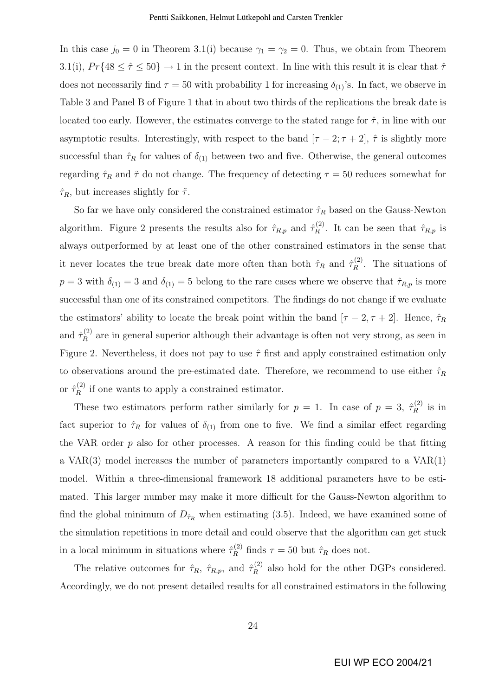In this case  $j_0 = 0$  in Theorem 3.1(i) because  $\gamma_1 = \gamma_2 = 0$ . Thus, we obtain from Theorem 3.1(i),  $Pr\{48 \leq \hat{\tau} \leq 50\} \rightarrow 1$  in the present context. In line with this result it is clear that  $\hat{\tau}$ does not necessarily find  $\tau = 50$  with probability 1 for increasing  $\delta_{(1)}$ 's. In fact, we observe in Table 3 and Panel B of Figure 1 that in about two thirds of the replications the break date is located too early. However, the estimates converge to the stated range for  $\hat{\tau}$ , in line with our asymptotic results. Interestingly, with respect to the band  $[\tau - 2; \tau + 2], \hat{\tau}$  is slightly more successful than  $\hat{\tau}_R$  for values of  $\delta_{(1)}$  between two and five. Otherwise, the general outcomes regarding  $\hat{\tau}_R$  and  $\tilde{\tau}$  do not change. The frequency of detecting  $\tau = 50$  reduces somewhat for  $\hat{\tau}_R$ , but increases slightly for  $\tilde{\tau}$ .

So far we have only considered the constrained estimator  $\hat{\tau}_R$  based on the Gauss-Newton algorithm. Figure 2 presents the results also for  $\hat{\tau}_{R,p}$  and  $\hat{\tau}_R^{(2)}$  $\hat{R}^{(2)}$ . It can be seen that  $\hat{\tau}_{R,p}$  is always outperformed by at least one of the other constrained estimators in the sense that it never locates the true break date more often than both  $\hat{\tau}_R$  and  $\hat{\tau}_R^{(2)}$  $\mathbb{R}^{(2)}$ . The situations of  $p = 3$  with  $\delta_{(1)} = 3$  and  $\delta_{(1)} = 5$  belong to the rare cases where we observe that  $\hat{\tau}_{R,p}$  is more successful than one of its constrained competitors. The findings do not change if we evaluate the estimators' ability to locate the break point within the band  $[\tau - 2, \tau + 2]$ . Hence,  $\hat{\tau}_R$ and  $\hat{\tau}_{B}^{(2)}$  $R_R^{(2)}$  are in general superior although their advantage is often not very strong, as seen in Figure 2. Nevertheless, it does not pay to use  $\hat{\tau}$  first and apply constrained estimation only to observations around the pre-estimated date. Therefore, we recommend to use either  $\hat{\tau}_R$ or  $\hat{\tau}_R^{(2)}$  $\mathbb{R}^{(2)}$  if one wants to apply a constrained estimator.

These two estimators perform rather similarly for  $p = 1$ . In case of  $p = 3$ ,  $\hat{\tau}_R^{(2)}$  $\frac{1}{R}^{(2)}$  is in fact superior to  $\hat{\tau}_R$  for values of  $\delta_{(1)}$  from one to five. We find a similar effect regarding the VAR order  $p$  also for other processes. A reason for this finding could be that fitting a VAR(3) model increases the number of parameters importantly compared to a VAR(1) model. Within a three-dimensional framework 18 additional parameters have to be estimated. This larger number may make it more difficult for the Gauss-Newton algorithm to find the global minimum of  $D_{\hat{\tau}_R}$  when estimating (3.5). Indeed, we have examined some of the simulation repetitions in more detail and could observe that the algorithm can get stuck in a local minimum in situations where  $\hat{\tau}_R^{(2)}$  finds  $\tau = 50$  but  $\hat{\tau}_R$  does not.

The relative outcomes for  $\hat{\tau}_R$ ,  $\hat{\tau}_{R,p}$ , and  $\hat{\tau}_R^{(2)}$  $R_R^{(2)}$  also hold for the other DGPs considered. Accordingly, we do not present detailed results for all constrained estimators in the following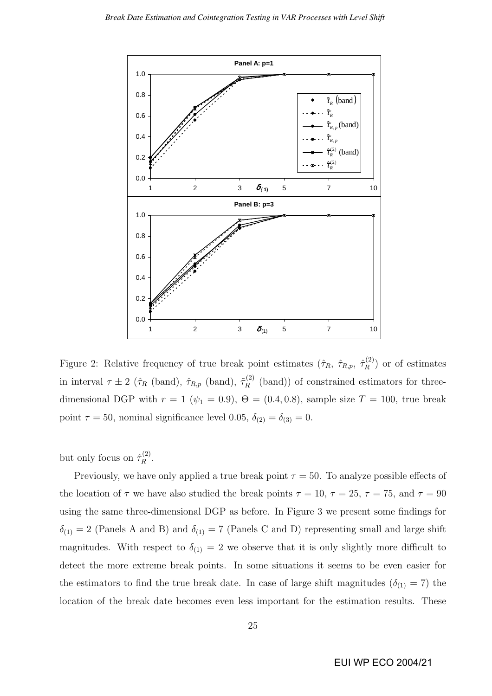

Figure 2: Relative frequency of true break point estimates  $(\hat{\tau}_R, \hat{\tau}_{R,p}, \hat{\tau}_R^{(2)})$  $\binom{[2]}{R}$  or of estimates in interval  $\tau \pm 2$  ( $\hat{\tau}_R$  (band),  $\hat{\tau}_{R,p}$  (band),  $\tilde{\tau}_R^{(2)}$  $\mathbb{R}^{(2)}$  (band)) of constrained estimators for threedimensional DGP with  $r = 1$  ( $\psi_1 = 0.9$ ),  $\Theta = (0.4, 0.8)$ , sample size  $T = 100$ , true break point  $\tau = 50$ , nominal significance level 0.05,  $\delta_{(2)} = \delta_{(3)} = 0$ .

but only focus on  $\hat{\tau}_R^{(2)}$  $\frac{1}{R}$ .

Previously, we have only applied a true break point  $\tau = 50$ . To analyze possible effects of the location of  $\tau$  we have also studied the break points  $\tau = 10$ ,  $\tau = 25$ ,  $\tau = 75$ , and  $\tau = 90$ using the same three-dimensional DGP as before. In Figure 3 we present some findings for  $\delta_{(1)} = 2$  (Panels A and B) and  $\delta_{(1)} = 7$  (Panels C and D) representing small and large shift magnitudes. With respect to  $\delta_{(1)} = 2$  we observe that it is only slightly more difficult to detect the more extreme break points. In some situations it seems to be even easier for the estimators to find the true break date. In case of large shift magnitudes ( $\delta_{(1)} = 7$ ) the location of the break date becomes even less important for the estimation results. These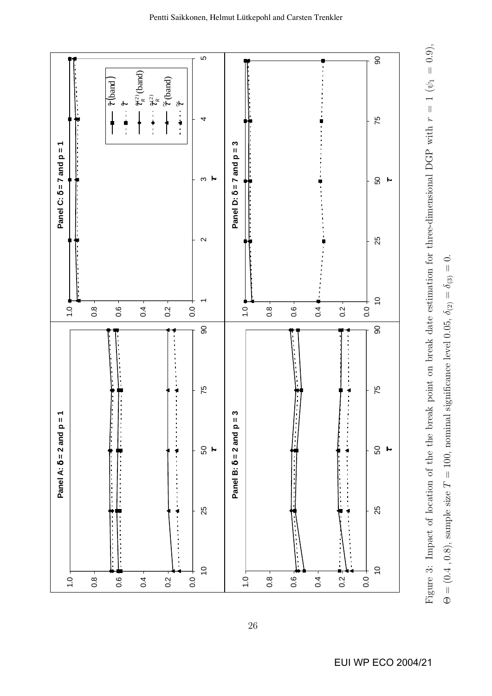

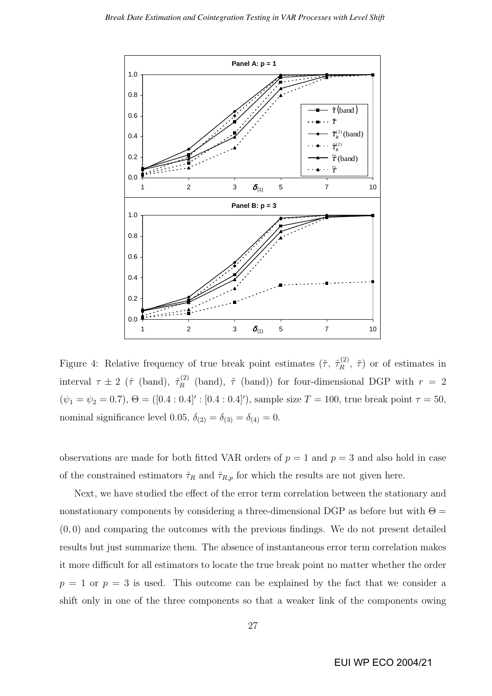

Figure 4: Relative frequency of true break point estimates  $(\hat{\tau}, \hat{\tau}_R^{(2)})$  $\tilde{R}^{(2)}$ ,  $\tilde{\tau}$ ) or of estimates in interval  $\tau \pm 2$  ( $\hat{\tau}$  (band),  $\hat{\tau}_R^{(2)}$  $R_R^{(2)}$  (band),  $\tilde{\tau}$  (band)) for four-dimensional DGP with  $r = 2$  $(\psi_1 = \psi_2 = 0.7), \Theta = ([0.4:0.4]': [0.4:0.4]'),$  sample size  $T = 100$ , true break point  $\tau = 50$ , nominal significance level 0.05,  $\delta_{(2)} = \delta_{(3)} = \delta_{(4)} = 0$ .

observations are made for both fitted VAR orders of  $p = 1$  and  $p = 3$  and also hold in case of the constrained estimators  $\hat{\tau}_R$  and  $\hat{\tau}_{R,p}$  for which the results are not given here.

Next, we have studied the effect of the error term correlation between the stationary and nonstationary components by considering a three-dimensional DGP as before but with  $\Theta =$ (0, 0) and comparing the outcomes with the previous findings. We do not present detailed results but just summarize them. The absence of instantaneous error term correlation makes it more difficult for all estimators to locate the true break point no matter whether the order  $p = 1$  or  $p = 3$  is used. This outcome can be explained by the fact that we consider a shift only in one of the three components so that a weaker link of the components owing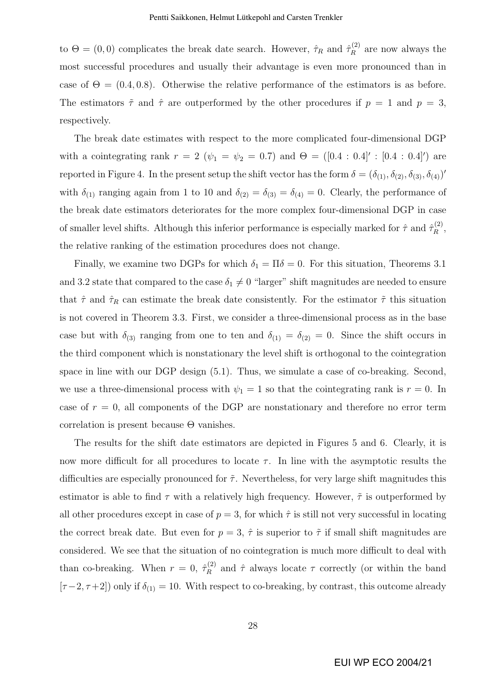to  $\Theta = (0, 0)$  complicates the break date search. However,  $\hat{\tau}_R$  and  $\hat{\tau}_R^{(2)}$  $\mathbb{R}^{(2)}$  are now always the most successful procedures and usually their advantage is even more pronounced than in case of  $\Theta = (0.4, 0.8)$ . Otherwise the relative performance of the estimators is as before. The estimators  $\tilde{\tau}$  and  $\hat{\tau}$  are outperformed by the other procedures if  $p = 1$  and  $p = 3$ , respectively.

The break date estimates with respect to the more complicated four-dimensional DGP with a cointegrating rank  $r = 2$  ( $\psi_1 = \psi_2 = 0.7$ ) and  $\Theta = ([0.4 : 0.4]': [0.4 : 0.4])$  are reported in Figure 4. In the present setup the shift vector has the form  $\delta = (\delta_{(1)}, \delta_{(2)}, \delta_{(3)}, \delta_{(4)})'$ with  $\delta_{(1)}$  ranging again from 1 to 10 and  $\delta_{(2)} = \delta_{(3)} = \delta_{(4)} = 0$ . Clearly, the performance of the break date estimators deteriorates for the more complex four-dimensional DGP in case of smaller level shifts. Although this inferior performance is especially marked for  $\hat{\tau}$  and  $\hat{\tau}_R^{(2)}$  $\mathop{R}\limits^{(2)},$ the relative ranking of the estimation procedures does not change.

Finally, we examine two DGPs for which  $\delta_1 = \Pi \delta = 0$ . For this situation, Theorems 3.1 and 3.2 state that compared to the case  $\delta_1 \neq 0$  "larger" shift magnitudes are needed to ensure that  $\hat{\tau}$  and  $\hat{\tau}_R$  can estimate the break date consistently. For the estimator  $\tilde{\tau}$  this situation is not covered in Theorem 3.3. First, we consider a three-dimensional process as in the base case but with  $\delta_{(3)}$  ranging from one to ten and  $\delta_{(1)} = \delta_{(2)} = 0$ . Since the shift occurs in the third component which is nonstationary the level shift is orthogonal to the cointegration space in line with our DGP design (5.1). Thus, we simulate a case of co-breaking. Second, we use a three-dimensional process with  $\psi_1 = 1$  so that the cointegrating rank is  $r = 0$ . In case of  $r = 0$ , all components of the DGP are nonstationary and therefore no error term correlation is present because  $\Theta$  vanishes.

The results for the shift date estimators are depicted in Figures 5 and 6. Clearly, it is now more difficult for all procedures to locate  $\tau$ . In line with the asymptotic results the difficulties are especially pronounced for  $\tilde{\tau}$ . Nevertheless, for very large shift magnitudes this estimator is able to find  $\tau$  with a relatively high frequency. However,  $\tilde{\tau}$  is outperformed by all other procedures except in case of  $p = 3$ , for which  $\hat{\tau}$  is still not very successful in locating the correct break date. But even for  $p = 3$ ,  $\hat{\tau}$  is superior to  $\tilde{\tau}$  if small shift magnitudes are considered. We see that the situation of no cointegration is much more difficult to deal with than co-breaking. When  $r = 0, \hat{\tau}_R^{(2)}$  $\hat{R}^{(2)}$  and  $\hat{\tau}$  always locate  $\tau$  correctly (or within the band  $[\tau-2, \tau+2]$ ) only if  $\delta_{(1)} = 10$ . With respect to co-breaking, by contrast, this outcome already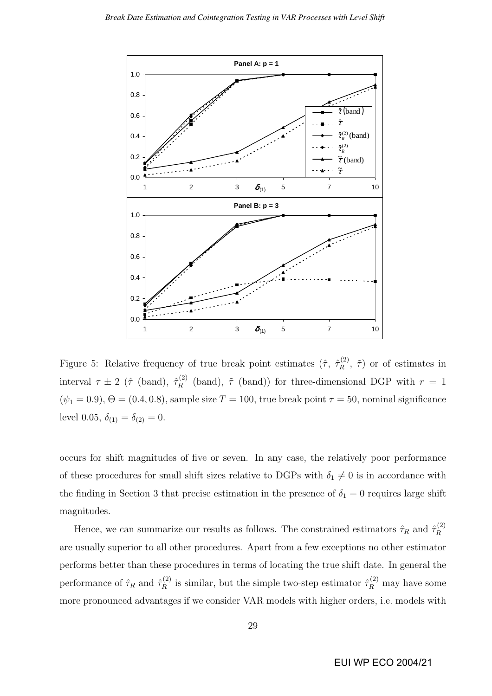

Figure 5: Relative frequency of true break point estimates  $(\hat{\tau}, \hat{\tau}_R^{(2)})$  $\tilde{R}^{(2)}$ ,  $\tilde{\tau}$ ) or of estimates in interval  $\tau \pm 2$  ( $\hat{\tau}$  (band),  $\hat{\tau}_R^{(2)}$  $R_R^{(2)}$  (band),  $\tilde{\tau}$  (band)) for three-dimensional DGP with  $r = 1$  $(\psi_1 = 0.9), \Theta = (0.4, 0.8),$  sample size  $T = 100$ , true break point  $\tau = 50$ , nominal significance level 0.05,  $\delta_{(1)} = \delta_{(2)} = 0$ .

occurs for shift magnitudes of five or seven. In any case, the relatively poor performance of these procedures for small shift sizes relative to DGPs with  $\delta_1 \neq 0$  is in accordance with the finding in Section 3 that precise estimation in the presence of  $\delta_1 = 0$  requires large shift magnitudes.

Hence, we can summarize our results as follows. The constrained estimators  $\hat{\tau}_R$  and  $\hat{\tau}_R^{(2)}$ R are usually superior to all other procedures. Apart from a few exceptions no other estimator performs better than these procedures in terms of locating the true shift date. In general the performance of  $\hat{\tau}_R$  and  $\hat{\tau}_R^{(2)}$  $\hat{\tau}_R^{(2)}$  is similar, but the simple two-step estimator  $\hat{\tau}_R^{(2)}$  may have some more pronounced advantages if we consider VAR models with higher orders, i.e. models with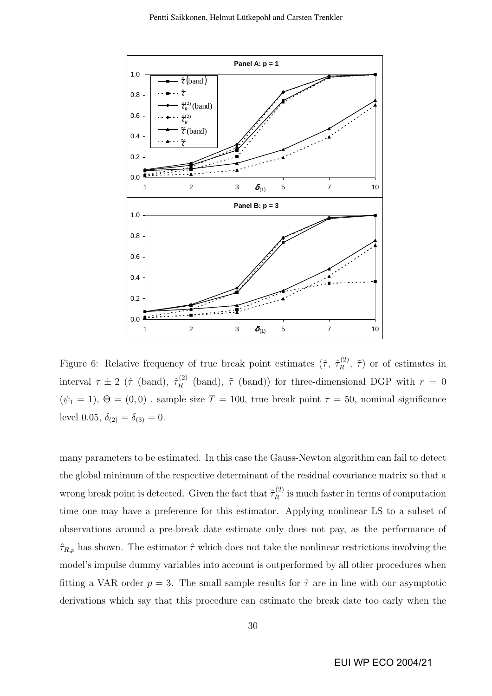

Figure 6: Relative frequency of true break point estimates  $(\hat{\tau}, \hat{\tau}_R^{(2)})$  $\tilde{R}^{(2)}$ ,  $\tilde{\tau}$ ) or of estimates in interval  $\tau \pm 2$  ( $\hat{\tau}$  (band),  $\hat{\tau}_R^{(2)}$  $R_R^{(2)}$  (band),  $\tilde{\tau}$  (band)) for three-dimensional DGP with  $r = 0$ ( $\psi_1$  = 1),  $\Theta$  = (0,0), sample size  $T$  = 100, true break point  $\tau$  = 50, nominal significance level 0.05,  $\delta_{(2)} = \delta_{(3)} = 0$ .

many parameters to be estimated. In this case the Gauss-Newton algorithm can fail to detect the global minimum of the respective determinant of the residual covariance matrix so that a wrong break point is detected. Given the fact that  $\hat{\tau}_R^{(2)}$  $\mathbb{R}^{(2)}$  is much faster in terms of computation time one may have a preference for this estimator. Applying nonlinear LS to a subset of observations around a pre-break date estimate only does not pay, as the performance of  $\hat{\tau}_{R,p}$  has shown. The estimator  $\hat{\tau}$  which does not take the nonlinear restrictions involving the model's impulse dummy variables into account is outperformed by all other procedures when fitting a VAR order  $p = 3$ . The small sample results for  $\hat{\tau}$  are in line with our asymptotic derivations which say that this procedure can estimate the break date too early when the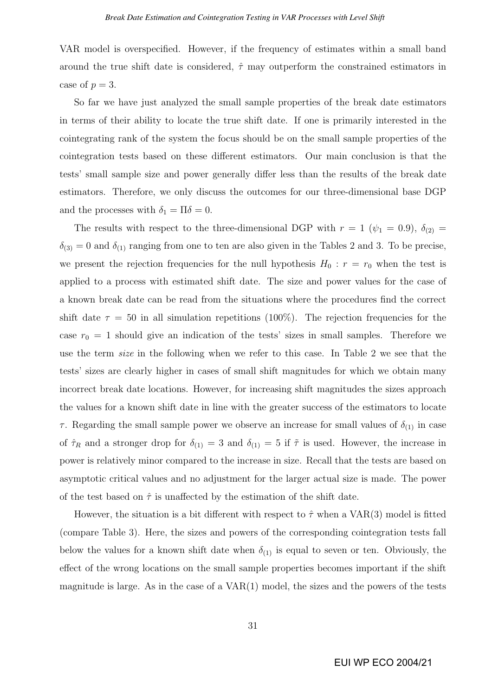VAR model is overspecified. However, if the frequency of estimates within a small band around the true shift date is considered,  $\hat{\tau}$  may outperform the constrained estimators in case of  $p = 3$ .

So far we have just analyzed the small sample properties of the break date estimators in terms of their ability to locate the true shift date. If one is primarily interested in the cointegrating rank of the system the focus should be on the small sample properties of the cointegration tests based on these different estimators. Our main conclusion is that the tests' small sample size and power generally differ less than the results of the break date estimators. Therefore, we only discuss the outcomes for our three-dimensional base DGP and the processes with  $\delta_1 = \Pi \delta = 0$ .

The results with respect to the three-dimensional DGP with  $r = 1$  ( $\psi_1 = 0.9$ ),  $\delta_{(2)} =$  $\delta_{(3)} = 0$  and  $\delta_{(1)}$  ranging from one to ten are also given in the Tables 2 and 3. To be precise, we present the rejection frequencies for the null hypothesis  $H_0 : r = r_0$  when the test is applied to a process with estimated shift date. The size and power values for the case of a known break date can be read from the situations where the procedures find the correct shift date  $\tau = 50$  in all simulation repetitions (100%). The rejection frequencies for the case  $r_0 = 1$  should give an indication of the tests' sizes in small samples. Therefore we use the term size in the following when we refer to this case. In Table 2 we see that the tests' sizes are clearly higher in cases of small shift magnitudes for which we obtain many incorrect break date locations. However, for increasing shift magnitudes the sizes approach the values for a known shift date in line with the greater success of the estimators to locate τ. Regarding the small sample power we observe an increase for small values of  $δ_{(1)}$  in case of  $\hat{\tau}_R$  and a stronger drop for  $\delta_{(1)} = 3$  and  $\delta_{(1)} = 5$  if  $\tilde{\tau}$  is used. However, the increase in power is relatively minor compared to the increase in size. Recall that the tests are based on asymptotic critical values and no adjustment for the larger actual size is made. The power of the test based on  $\hat{\tau}$  is unaffected by the estimation of the shift date.

However, the situation is a bit different with respect to  $\hat{\tau}$  when a VAR(3) model is fitted (compare Table 3). Here, the sizes and powers of the corresponding cointegration tests fall below the values for a known shift date when  $\delta_{(1)}$  is equal to seven or ten. Obviously, the effect of the wrong locations on the small sample properties becomes important if the shift magnitude is large. As in the case of a  $VAR(1)$  model, the sizes and the powers of the tests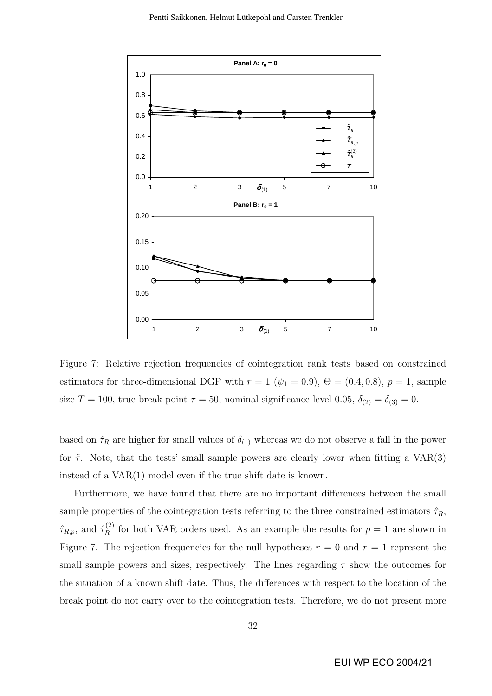

Figure 7: Relative rejection frequencies of cointegration rank tests based on constrained estimators for three-dimensional DGP with  $r = 1$  ( $\psi_1 = 0.9$ ),  $\Theta = (0.4, 0.8)$ ,  $p = 1$ , sample size  $T = 100$ , true break point  $\tau = 50$ , nominal significance level 0.05,  $\delta_{(2)} = \delta_{(3)} = 0$ .

based on  $\hat{\tau}_R$  are higher for small values of  $\delta_{(1)}$  whereas we do not observe a fall in the power for  $\tilde{\tau}$ . Note, that the tests' small sample powers are clearly lower when fitting a VAR(3) instead of a VAR(1) model even if the true shift date is known.

Furthermore, we have found that there are no important differences between the small sample properties of the cointegration tests referring to the three constrained estimators  $\hat{\tau}_R$ ,  $\hat{\tau}_{R,p}$ , and  $\hat{\tau}_R^{(2)}$  $R_R^{(2)}$  for both VAR orders used. As an example the results for  $p = 1$  are shown in Figure 7. The rejection frequencies for the null hypotheses  $r = 0$  and  $r = 1$  represent the small sample powers and sizes, respectively. The lines regarding  $\tau$  show the outcomes for the situation of a known shift date. Thus, the differences with respect to the location of the break point do not carry over to the cointegration tests. Therefore, we do not present more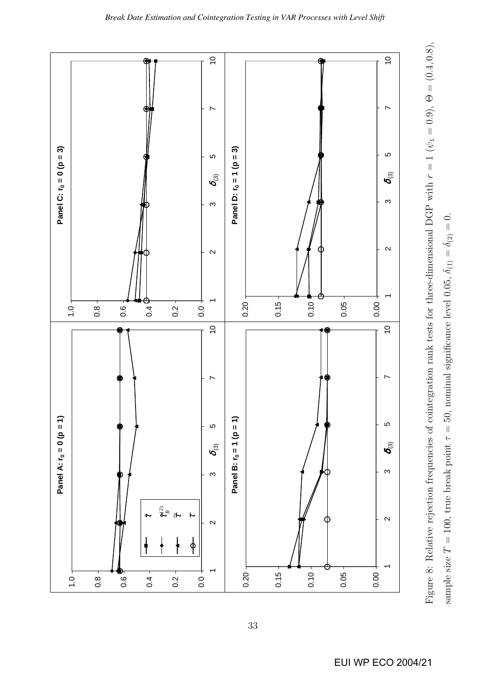

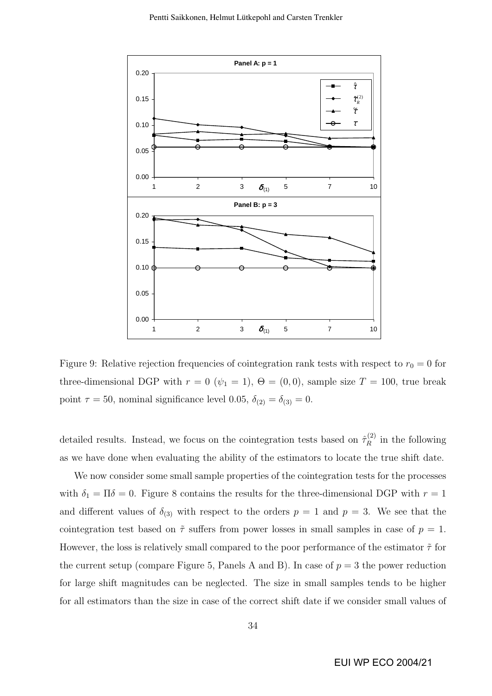

Figure 9: Relative rejection frequencies of cointegration rank tests with respect to  $r_0 = 0$  for three-dimensional DGP with  $r = 0$  ( $\psi_1 = 1$ ),  $\Theta = (0, 0)$ , sample size  $T = 100$ , true break point  $\tau = 50$ , nominal significance level 0.05,  $\delta_{(2)} = \delta_{(3)} = 0$ .

detailed results. Instead, we focus on the cointegration tests based on  $\hat{\tau}_R^{(2)}$  $\mathbb{R}^{(2)}$  in the following as we have done when evaluating the ability of the estimators to locate the true shift date.

We now consider some small sample properties of the cointegration tests for the processes with  $\delta_1 = \Pi \delta = 0$ . Figure 8 contains the results for the three-dimensional DGP with  $r = 1$ and different values of  $\delta_{(3)}$  with respect to the orders  $p = 1$  and  $p = 3$ . We see that the cointegration test based on  $\tilde{\tau}$  suffers from power losses in small samples in case of  $p = 1$ . However, the loss is relatively small compared to the poor performance of the estimator  $\tilde{\tau}$  for the current setup (compare Figure 5, Panels A and B). In case of  $p = 3$  the power reduction for large shift magnitudes can be neglected. The size in small samples tends to be higher for all estimators than the size in case of the correct shift date if we consider small values of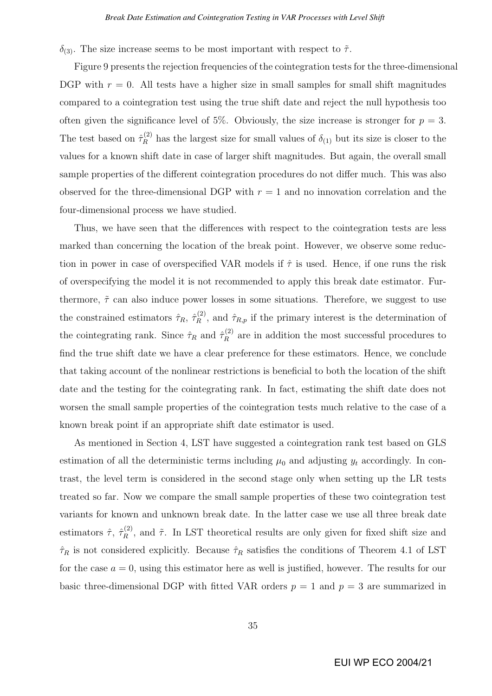$δ$ <sub>(3)</sub>. The size increase seems to be most important with respect to  $\tilde{\tau}$ .

Figure 9 presents the rejection frequencies of the cointegration tests for the three-dimensional DGP with  $r = 0$ . All tests have a higher size in small samples for small shift magnitudes compared to a cointegration test using the true shift date and reject the null hypothesis too often given the significance level of 5%. Obviously, the size increase is stronger for  $p = 3$ . The test based on  $\hat{\tau}_R^{(2)}$  has the largest size for small values of  $\delta_{(1)}$  but its size is closer to the values for a known shift date in case of larger shift magnitudes. But again, the overall small sample properties of the different cointegration procedures do not differ much. This was also observed for the three-dimensional DGP with  $r = 1$  and no innovation correlation and the four-dimensional process we have studied.

Thus, we have seen that the differences with respect to the cointegration tests are less marked than concerning the location of the break point. However, we observe some reduction in power in case of overspecified VAR models if  $\hat{\tau}$  is used. Hence, if one runs the risk of overspecifying the model it is not recommended to apply this break date estimator. Furthermore,  $\tilde{\tau}$  can also induce power losses in some situations. Therefore, we suggest to use the constrained estimators  $\hat{\tau}_R$ ,  $\hat{\tau}_R^{(2)}$  $\hat{r}_{R,p}^{(2)}$ , and  $\hat{\tau}_{R,p}$  if the primary interest is the determination of the cointegrating rank. Since  $\hat{\tau}_R$  and  $\hat{\tau}_R^{(2)}$  $\mathbb{R}^{(2)}$  are in addition the most successful procedures to find the true shift date we have a clear preference for these estimators. Hence, we conclude that taking account of the nonlinear restrictions is beneficial to both the location of the shift date and the testing for the cointegrating rank. In fact, estimating the shift date does not worsen the small sample properties of the cointegration tests much relative to the case of a known break point if an appropriate shift date estimator is used.

As mentioned in Section 4, LST have suggested a cointegration rank test based on GLS estimation of all the deterministic terms including  $\mu_0$  and adjusting  $y_t$  accordingly. In contrast, the level term is considered in the second stage only when setting up the LR tests treated so far. Now we compare the small sample properties of these two cointegration test variants for known and unknown break date. In the latter case we use all three break date estimators  $\hat{\tau}$ ,  $\hat{\tau}_R^{(2)}$  $R^{(2)}$ , and  $\tilde{\tau}$ . In LST theoretical results are only given for fixed shift size and  $\hat{\tau}_R$  is not considered explicitly. Because  $\hat{\tau}_R$  satisfies the conditions of Theorem 4.1 of LST for the case  $a = 0$ , using this estimator here as well is justified, however. The results for our basic three-dimensional DGP with fitted VAR orders  $p = 1$  and  $p = 3$  are summarized in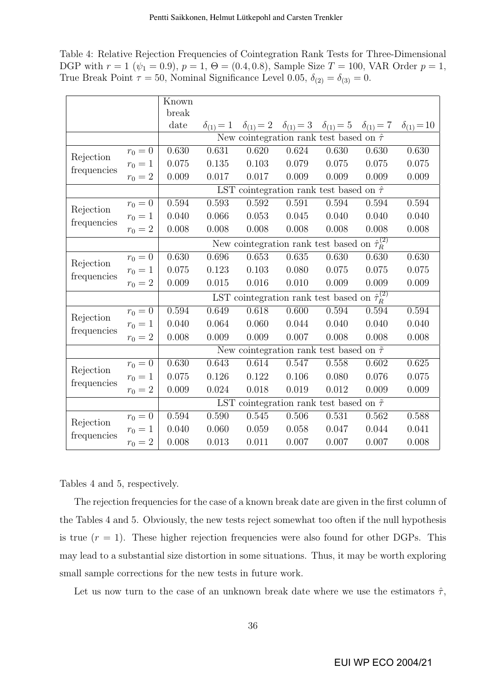Table 4: Relative Rejection Frequencies of Cointegration Rank Tests for Three-Dimensional DGP with  $r = 1$  ( $\psi_1 = 0.9$ ),  $p = 1$ ,  $\Theta = (0.4, 0.8)$ , Sample Size  $T = 100$ , VAR Order  $p = 1$ , True Break Point  $\tau = 50$ , Nominal Significance Level 0.05,  $\delta_{(2)} = \delta_{(3)} = 0$ .

|                          |           | Known                                                     |                  |       |                                                                                         |       |       |                     |  |  |
|--------------------------|-----------|-----------------------------------------------------------|------------------|-------|-----------------------------------------------------------------------------------------|-------|-------|---------------------|--|--|
|                          |           | break                                                     |                  |       |                                                                                         |       |       |                     |  |  |
|                          |           | date                                                      | $\delta_{(1)}=1$ |       | $\delta_{(1)} = 2 \quad \delta_{(1)} = 3 \quad \delta_{(1)} = 5 \quad \delta_{(1)} = 7$ |       |       | $\delta_{(1)} = 10$ |  |  |
|                          |           | New cointegration rank test based on $\hat{\tau}$         |                  |       |                                                                                         |       |       |                     |  |  |
| Rejection<br>frequencies | $r_0 = 0$ | 0.630                                                     | 0.631            | 0.620 | 0.624                                                                                   | 0.630 | 0.630 | 0.630               |  |  |
|                          | $r_0 = 1$ | 0.075                                                     | 0.135            | 0.103 | 0.079                                                                                   | 0.075 | 0.075 | 0.075               |  |  |
|                          | $r_0 = 2$ | 0.009                                                     | 0.017            | 0.017 | 0.009                                                                                   | 0.009 | 0.009 | 0.009               |  |  |
|                          |           | LST cointegration rank test based on $\hat{\tau}$         |                  |       |                                                                                         |       |       |                     |  |  |
| Rejection<br>frequencies | $r_0 = 0$ | 0.594                                                     | 0.593            | 0.592 | 0.591                                                                                   | 0.594 | 0.594 | 0.594               |  |  |
|                          | $r_0 = 1$ | 0.040                                                     | 0.066            | 0.053 | 0.045                                                                                   | 0.040 | 0.040 | 0.040               |  |  |
|                          | $r_0 = 2$ | 0.008                                                     | 0.008            | 0.008 | 0.008                                                                                   | 0.008 | 0.008 | 0.008               |  |  |
|                          |           | New cointegration rank test based on $\hat{\tau}_R^{(2)}$ |                  |       |                                                                                         |       |       |                     |  |  |
| Rejection<br>frequencies | $r_0 = 0$ | 0.630                                                     | 0.696            | 0.653 | 0.635                                                                                   | 0.630 | 0.630 | 0.630               |  |  |
|                          | $r_0 = 1$ | 0.075                                                     | 0.123            | 0.103 | 0.080                                                                                   | 0.075 | 0.075 | 0.075               |  |  |
|                          | $r_0 = 2$ | 0.009                                                     | 0.015            | 0.016 | 0.010                                                                                   | 0.009 | 0.009 | 0.009               |  |  |
|                          |           | LST cointegration rank test based on $\hat{\tau}_R^{(2)}$ |                  |       |                                                                                         |       |       |                     |  |  |
| Rejection<br>frequencies | $r_0 = 0$ | 0.594                                                     | 0.649            | 0.618 | 0.600                                                                                   | 0.594 | 0.594 | 0.594               |  |  |
|                          | $r_0 = 1$ | 0.040                                                     | 0.064            | 0.060 | 0.044                                                                                   | 0.040 | 0.040 | 0.040               |  |  |
|                          | $r_0 = 2$ | 0.008                                                     | 0.009            | 0.009 | 0.007                                                                                   | 0.008 | 0.008 | 0.008               |  |  |
|                          |           | New cointegration rank test based on $\tilde{\tau}$       |                  |       |                                                                                         |       |       |                     |  |  |
| Rejection<br>frequencies | $r_0 = 0$ | 0.630                                                     | 0.643            | 0.614 | 0.547                                                                                   | 0.558 | 0.602 | 0.625               |  |  |
|                          | $r_0 = 1$ | 0.075                                                     | 0.126            | 0.122 | 0.106                                                                                   | 0.080 | 0.076 | 0.075               |  |  |
|                          | $r_0 = 2$ | 0.009                                                     | 0.024            | 0.018 | 0.019                                                                                   | 0.012 | 0.009 | 0.009               |  |  |
|                          |           | LST cointegration rank test based on $\tilde{\tau}$       |                  |       |                                                                                         |       |       |                     |  |  |
| Rejection<br>frequencies | $r_0 = 0$ | 0.594                                                     | 0.590            | 0.545 | 0.506                                                                                   | 0.531 | 0.562 | 0.588               |  |  |
|                          | $r_0 = 1$ | 0.040                                                     | 0.060            | 0.059 | 0.058                                                                                   | 0.047 | 0.044 | 0.041               |  |  |
|                          | $r_0 = 2$ | 0.008                                                     | 0.013            | 0.011 | 0.007                                                                                   | 0.007 | 0.007 | 0.008               |  |  |

Tables 4 and 5, respectively.

The rejection frequencies for the case of a known break date are given in the first column of the Tables 4 and 5. Obviously, the new tests reject somewhat too often if the null hypothesis is true  $(r = 1)$ . These higher rejection frequencies were also found for other DGPs. This may lead to a substantial size distortion in some situations. Thus, it may be worth exploring small sample corrections for the new tests in future work.

Let us now turn to the case of an unknown break date where we use the estimators  $\hat{\tau}$ ,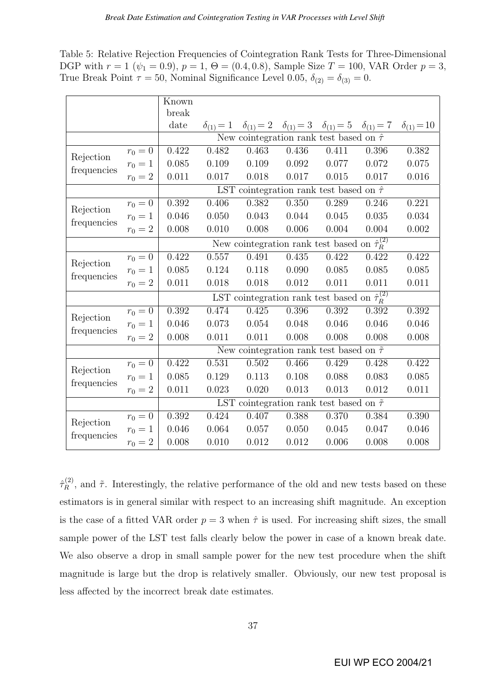Table 5: Relative Rejection Frequencies of Cointegration Rank Tests for Three-Dimensional DGP with  $r = 1$  ( $\psi_1 = 0.9$ ),  $p = 1$ ,  $\Theta = (0.4, 0.8)$ , Sample Size  $T = 100$ , VAR Order  $p = 3$ , True Break Point  $\tau = 50$ , Nominal Significance Level 0.05,  $\delta_{(2)} = \delta_{(3)} = 0$ .

|                          |           | Known                                                     |       |                                                                                                                    |       |       |       |       |  |  |
|--------------------------|-----------|-----------------------------------------------------------|-------|--------------------------------------------------------------------------------------------------------------------|-------|-------|-------|-------|--|--|
|                          |           | break                                                     |       |                                                                                                                    |       |       |       |       |  |  |
|                          |           | date                                                      |       | $\delta_{(1)} = 1$ $\delta_{(1)} = 2$ $\delta_{(1)} = 3$ $\delta_{(1)} = 5$ $\delta_{(1)} = 7$ $\delta_{(1)} = 10$ |       |       |       |       |  |  |
|                          |           | New cointegration rank test based on $\hat{\tau}$         |       |                                                                                                                    |       |       |       |       |  |  |
| Rejection<br>frequencies | $r_0 = 0$ | 0.422                                                     | 0.482 | 0.463                                                                                                              | 0.436 | 0.411 | 0.396 | 0.382 |  |  |
|                          | $r_0 = 1$ | 0.085                                                     | 0.109 | 0.109                                                                                                              | 0.092 | 0.077 | 0.072 | 0.075 |  |  |
|                          | $r_0 = 2$ | 0.011                                                     | 0.017 | 0.018                                                                                                              | 0.017 | 0.015 | 0.017 | 0.016 |  |  |
|                          |           | LST cointegration rank test based on $\hat{\tau}$         |       |                                                                                                                    |       |       |       |       |  |  |
| Rejection<br>frequencies | $r_0 = 0$ | 0.392                                                     | 0.406 | 0.382                                                                                                              | 0.350 | 0.289 | 0.246 | 0.221 |  |  |
|                          | $r_0 = 1$ | 0.046                                                     | 0.050 | 0.043                                                                                                              | 0.044 | 0.045 | 0.035 | 0.034 |  |  |
|                          | $r_0 = 2$ | 0.008                                                     | 0.010 | 0.008                                                                                                              | 0.006 | 0.004 | 0.004 | 0.002 |  |  |
|                          |           | New cointegration rank test based on $\hat{\tau}_R^{(2)}$ |       |                                                                                                                    |       |       |       |       |  |  |
| Rejection<br>frequencies | $r_0 = 0$ | 0.422                                                     | 0.557 | 0.491                                                                                                              | 0.435 | 0.422 | 0.422 | 0.422 |  |  |
|                          | $r_0 = 1$ | 0.085                                                     | 0.124 | 0.118                                                                                                              | 0.090 | 0.085 | 0.085 | 0.085 |  |  |
|                          | $r_0 = 2$ | 0.011                                                     | 0.018 | 0.018                                                                                                              | 0.012 | 0.011 | 0.011 | 0.011 |  |  |
|                          |           | LST cointegration rank test based on $\hat{\tau}_R^{(2)}$ |       |                                                                                                                    |       |       |       |       |  |  |
| Rejection<br>frequencies | $r_0 = 0$ | 0.392                                                     | 0.474 | 0.425                                                                                                              | 0.396 | 0.392 | 0.392 | 0.392 |  |  |
|                          | $r_0 = 1$ | 0.046                                                     | 0.073 | 0.054                                                                                                              | 0.048 | 0.046 | 0.046 | 0.046 |  |  |
|                          | $r_0 = 2$ | 0.008                                                     | 0.011 | 0.011                                                                                                              | 0.008 | 0.008 | 0.008 | 0.008 |  |  |
|                          |           | New cointegration rank test based on $\tilde{\tau}$       |       |                                                                                                                    |       |       |       |       |  |  |
| Rejection<br>frequencies | $r_0 = 0$ | 0.422                                                     | 0.531 | 0.502                                                                                                              | 0.466 | 0.429 | 0.428 | 0.422 |  |  |
|                          | $r_0 = 1$ | 0.085                                                     | 0.129 | 0.113                                                                                                              | 0.108 | 0.088 | 0.083 | 0.085 |  |  |
|                          | $r_0 = 2$ | 0.011                                                     | 0.023 | 0.020                                                                                                              | 0.013 | 0.013 | 0.012 | 0.011 |  |  |
|                          |           | LST cointegration rank test based on $\tilde{\tau}$       |       |                                                                                                                    |       |       |       |       |  |  |
| Rejection<br>frequencies | $r_0 = 0$ | 0.392                                                     | 0.424 | 0.407                                                                                                              | 0.388 | 0.370 | 0.384 | 0.390 |  |  |
|                          | $r_0 = 1$ | 0.046                                                     | 0.064 | 0.057                                                                                                              | 0.050 | 0.045 | 0.047 | 0.046 |  |  |
|                          | $r_0 = 2$ | 0.008                                                     | 0.010 | 0.012                                                                                                              | 0.012 | 0.006 | 0.008 | 0.008 |  |  |

 $\hat{\tau}_{R}^{(2)}$  $R^{(2)}$ , and  $\tilde{\tau}$ . Interestingly, the relative performance of the old and new tests based on these estimators is in general similar with respect to an increasing shift magnitude. An exception is the case of a fitted VAR order  $p = 3$  when  $\hat{\tau}$  is used. For increasing shift sizes, the small sample power of the LST test falls clearly below the power in case of a known break date. We also observe a drop in small sample power for the new test procedure when the shift magnitude is large but the drop is relatively smaller. Obviously, our new test proposal is less affected by the incorrect break date estimates.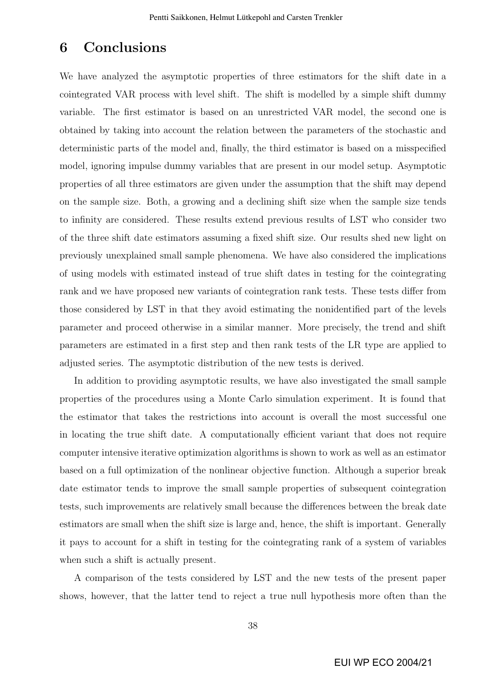## 6 Conclusions

We have analyzed the asymptotic properties of three estimators for the shift date in a cointegrated VAR process with level shift. The shift is modelled by a simple shift dummy variable. The first estimator is based on an unrestricted VAR model, the second one is obtained by taking into account the relation between the parameters of the stochastic and deterministic parts of the model and, finally, the third estimator is based on a misspecified model, ignoring impulse dummy variables that are present in our model setup. Asymptotic properties of all three estimators are given under the assumption that the shift may depend on the sample size. Both, a growing and a declining shift size when the sample size tends to infinity are considered. These results extend previous results of LST who consider two of the three shift date estimators assuming a fixed shift size. Our results shed new light on previously unexplained small sample phenomena. We have also considered the implications of using models with estimated instead of true shift dates in testing for the cointegrating rank and we have proposed new variants of cointegration rank tests. These tests differ from those considered by LST in that they avoid estimating the nonidentified part of the levels parameter and proceed otherwise in a similar manner. More precisely, the trend and shift parameters are estimated in a first step and then rank tests of the LR type are applied to adjusted series. The asymptotic distribution of the new tests is derived.

In addition to providing asymptotic results, we have also investigated the small sample properties of the procedures using a Monte Carlo simulation experiment. It is found that the estimator that takes the restrictions into account is overall the most successful one in locating the true shift date. A computationally efficient variant that does not require computer intensive iterative optimization algorithms is shown to work as well as an estimator based on a full optimization of the nonlinear objective function. Although a superior break date estimator tends to improve the small sample properties of subsequent cointegration tests, such improvements are relatively small because the differences between the break date estimators are small when the shift size is large and, hence, the shift is important. Generally it pays to account for a shift in testing for the cointegrating rank of a system of variables when such a shift is actually present.

A comparison of the tests considered by LST and the new tests of the present paper shows, however, that the latter tend to reject a true null hypothesis more often than the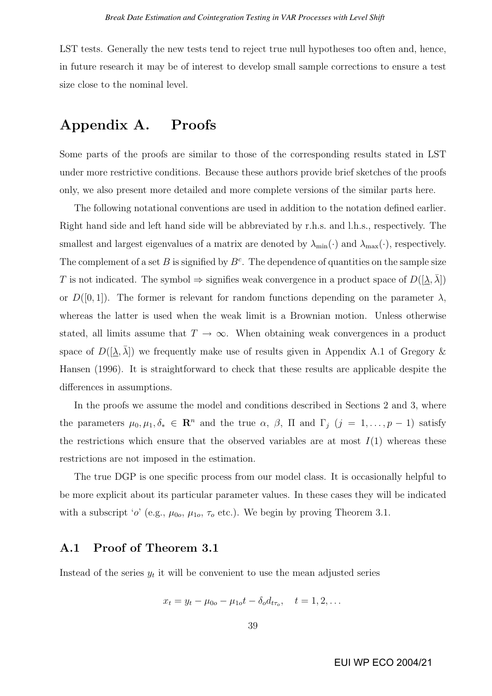LST tests. Generally the new tests tend to reject true null hypotheses too often and, hence, in future research it may be of interest to develop small sample corrections to ensure a test size close to the nominal level.

# Appendix A. Proofs

Some parts of the proofs are similar to those of the corresponding results stated in LST under more restrictive conditions. Because these authors provide brief sketches of the proofs only, we also present more detailed and more complete versions of the similar parts here.

The following notational conventions are used in addition to the notation defined earlier. Right hand side and left hand side will be abbreviated by r.h.s. and l.h.s., respectively. The smallest and largest eigenvalues of a matrix are denoted by  $\lambda_{\min}(\cdot)$  and  $\lambda_{\max}(\cdot)$ , respectively. The complement of a set B is signified by  $B<sup>c</sup>$ . The dependence of quantities on the sample size T is not indicated. The symbol  $\Rightarrow$  signifies weak convergence in a product space of  $D([\underline{\lambda}, \lambda])$ or  $D([0,1])$ . The former is relevant for random functions depending on the parameter  $\lambda$ , whereas the latter is used when the weak limit is a Brownian motion. Unless otherwise stated, all limits assume that  $T \to \infty$ . When obtaining weak convergences in a product space of  $D([\underline{\lambda}, \overline{\lambda}])$  we frequently make use of results given in Appendix A.1 of Gregory & Hansen (1996). It is straightforward to check that these results are applicable despite the differences in assumptions.

In the proofs we assume the model and conditions described in Sections 2 and 3, where the parameters  $\mu_0, \mu_1, \delta_* \in \mathbb{R}^n$  and the true  $\alpha, \beta, \Pi$  and  $\Gamma_j$   $(j = 1, \ldots, p-1)$  satisfy the restrictions which ensure that the observed variables are at most  $I(1)$  whereas these restrictions are not imposed in the estimation.

The true DGP is one specific process from our model class. It is occasionally helpful to be more explicit about its particular parameter values. In these cases they will be indicated with a subscript 'o' (e.g.,  $\mu_{0o}$ ,  $\mu_{1o}$ ,  $\tau_o$  etc.). We begin by proving Theorem 3.1.

## A.1 Proof of Theorem 3.1

Instead of the series  $y_t$  it will be convenient to use the mean adjusted series

$$
x_t = y_t - \mu_{0o} - \mu_{1o}t - \delta_o d_{t\tau_o}, \quad t = 1, 2, \dots
$$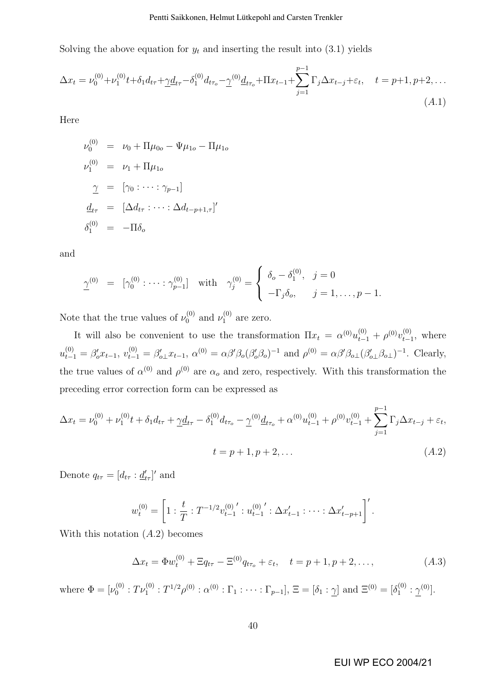#### Pentti Saikkonen, Helmut Lütkepohl and Carsten Trenkler

Solving the above equation for  $y_t$  and inserting the result into (3.1) yields

$$
\Delta x_t = \nu_0^{(0)} + \nu_1^{(0)}t + \delta_1 d_{t\tau} + \underline{\gamma}d_{t\tau} - \delta_1^{(0)}d_{t\tau_o} - \underline{\gamma}^{(0)}\underline{d}_{t\tau_o} + \Pi x_{t-1} + \sum_{j=1}^{p-1} \Gamma_j \Delta x_{t-j} + \varepsilon_t, \quad t = p+1, p+2, \dots
$$
\n(A.1)

Here

$$
\nu_0^{(0)} = \nu_0 + \Pi \mu_{0o} - \Psi \mu_{1o} - \Pi \mu_{1o}
$$
  
\n
$$
\nu_1^{(0)} = \nu_1 + \Pi \mu_{1o}
$$
  
\n
$$
\gamma = [\gamma_0 : \cdots : \gamma_{p-1}]
$$
  
\n
$$
\underline{d}_{t\tau} = [\Delta d_{t\tau} : \cdots : \Delta d_{t-p+1,\tau}]'
$$
  
\n
$$
\delta_1^{(0)} = -\Pi \delta_o
$$

and

$$
\underline{\gamma}^{(0)} = [\gamma_0^{(0)} : \cdots : \gamma_{p-1}^{(0)}] \text{ with } \gamma_j^{(0)} = \begin{cases} \delta_o - \delta_1^{(0)}, & j = 0 \\ -\Gamma_j \delta_o, & j = 1, \dots, p-1. \end{cases}
$$

Note that the true values of  $\nu_0^{(0)}$  $v_0^{(0)}$  and  $v_1^{(0)}$  $i_1^{(0)}$  are zero.

It will also be convenient to use the transformation  $\Pi x_t = \alpha^{(0)} u_{t-1}^{(0)} + \rho^{(0)} v_{t-1}^{(0)}$  $_{t-1}^{(0)}$ , where  $u_{t-1}^{(0)} = \beta'_0 x_{t-1}, v_{t-1}^{(0)} = \beta'_{0} x_{t-1}, \ \alpha^{(0)} = \alpha \beta' \beta_0 (\beta'_0 \beta_0)^{-1}$  and  $\rho^{(0)} = \alpha \beta' \beta_{0} (\beta'_{0} \beta_0)^{-1}$ . Clearly, the true values of  $\alpha^{(0)}$  and  $\rho^{(0)}$  are  $\alpha_o$  and zero, respectively. With this transformation the preceding error correction form can be expressed as

$$
\Delta x_t = \nu_0^{(0)} + \nu_1^{(0)}t + \delta_1 d_{t\tau} + \underline{\gamma}d_{t\tau} - \delta_1^{(0)}d_{t\tau_o} - \underline{\gamma}^{(0)}\underline{d}_{t\tau_o} + \alpha^{(0)}u_{t-1}^{(0)} + \rho^{(0)}v_{t-1}^{(0)} + \sum_{j=1}^{p-1} \Gamma_j \Delta x_{t-j} + \varepsilon_t,
$$
  

$$
t = p + 1, p + 2, \dots
$$
\n(A.2)

Denote  $q_{t\tau} = [d_{t\tau} : \underline{d}'_{t\tau}]'$  and

$$
w_t^{(0)} = \left[1 : \frac{t}{T} : T^{-1/2} v_{t-1}^{(0)}' : u_{t-1}^{(0)'} : \Delta x'_{t-1} : \cdots : \Delta x'_{t-p+1}\right]'
$$

With this notation  $(A.2)$  becomes

$$
\Delta x_t = \Phi w_t^{(0)} + \Xi q_{t\tau} - \Xi^{(0)} q_{t\tau_0} + \varepsilon_t, \quad t = p + 1, p + 2, \dots,
$$
 (A.3)

where  $\Phi = [\nu_0^{(0)}]$  $\Gamma_0^{(0)}: T\nu^{(0)}_1: T^{1/2}\rho^{(0)}: \alpha^{(0)}: \Gamma_1: \cdots: \Gamma_{p-1}], \, \Xi = [\delta_1: \gamma] \,\, \text{and} \,\, \Xi^{(0)} = [\delta_1^{(0)}]$  $\frac{1}{1}^{(0)}$  :  $\frac{1}{1}^{(0)}$ .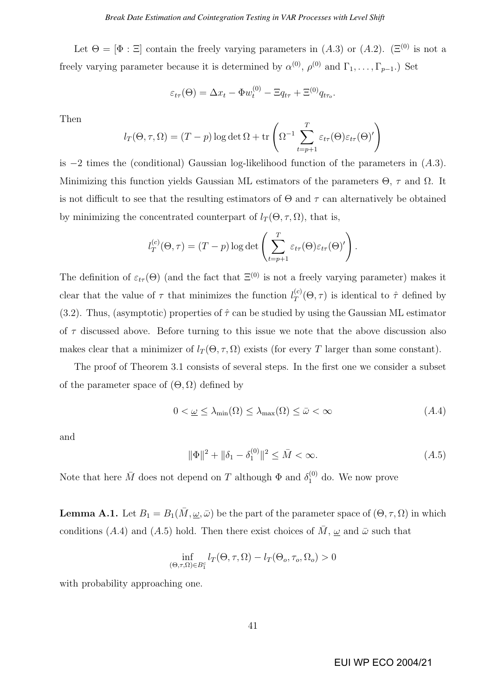Let  $\Theta = [\Phi : \Xi]$  contain the freely varying parameters in  $(A.3)$  or  $(A.2)$ . ( $\Xi^{(0)}$  is not a freely varying parameter because it is determined by  $\alpha^{(0)}$ ,  $\rho^{(0)}$  and  $\Gamma_1, \ldots, \Gamma_{p-1}$ . Set

$$
\varepsilon_{t\tau}(\Theta) = \Delta x_t - \Phi w_t^{(0)} - \Xi q_{t\tau} + \Xi^{(0)} q_{t\tau_o}.
$$

Then

$$
l_T(\Theta, \tau, \Omega) = (T - p) \log \det \Omega + \text{tr}\left(\Omega^{-1} \sum_{t=p+1}^T \varepsilon_{t\tau}(\Theta) \varepsilon_{t\tau}(\Theta)^t\right)
$$

is  $-2$  times the (conditional) Gaussian log-likelihood function of the parameters in  $(A.3)$ . Minimizing this function yields Gaussian ML estimators of the parameters  $\Theta$ ,  $\tau$  and  $\Omega$ . It is not difficult to see that the resulting estimators of  $\Theta$  and  $\tau$  can alternatively be obtained by minimizing the concentrated counterpart of  $l_T(\Theta, \tau, \Omega)$ , that is,

$$
l_T^{(c)}(\Theta, \tau) = (T - p) \log \det \left( \sum_{t=p+1}^T \varepsilon_{t\tau}(\Theta) \varepsilon_{t\tau}(\Theta)' \right).
$$

The definition of  $\varepsilon_{t\tau}(\Theta)$  (and the fact that  $\Xi^{(0)}$  is not a freely varying parameter) makes it clear that the value of  $\tau$  that minimizes the function  $l_{T}^{(c)}$  $T^{(c)}(0, \tau)$  is identical to  $\hat{\tau}$  defined by (3.2). Thus, (asymptotic) properties of  $\hat{\tau}$  can be studied by using the Gaussian ML estimator of  $\tau$  discussed above. Before turning to this issue we note that the above discussion also makes clear that a minimizer of  $l_T(\Theta, \tau, \Omega)$  exists (for every T larger than some constant).

The proof of Theorem 3.1 consists of several steps. In the first one we consider a subset of the parameter space of  $(\Theta, \Omega)$  defined by

$$
0 < \underline{\omega} \le \lambda_{\min}(\Omega) \le \lambda_{\max}(\Omega) \le \bar{\omega} < \infty \tag{A.4}
$$

and

$$
\|\Phi\|^2 + \|\delta_1 - \delta_1^{(0)}\|^2 \le \bar{M} < \infty. \tag{A.5}
$$

Note that here  $\bar{M}$  does not depend on T although  $\Phi$  and  $\delta_1^{(0)}$  do. We now prove

**Lemma A.1.** Let  $B_1 = B_1(\overline{M}, \underline{\omega}, \overline{\omega})$  be the part of the parameter space of  $(\Theta, \tau, \Omega)$  in which conditions (A.4) and (A.5) hold. Then there exist choices of  $\overline{M}$ ,  $\omega$  and  $\overline{\omega}$  such that

$$
\inf_{(\Theta,\tau,\Omega)\in B_1^c} l_T(\Theta,\tau,\Omega) - l_T(\Theta_o,\tau_o,\Omega_o) > 0
$$

with probability approaching one.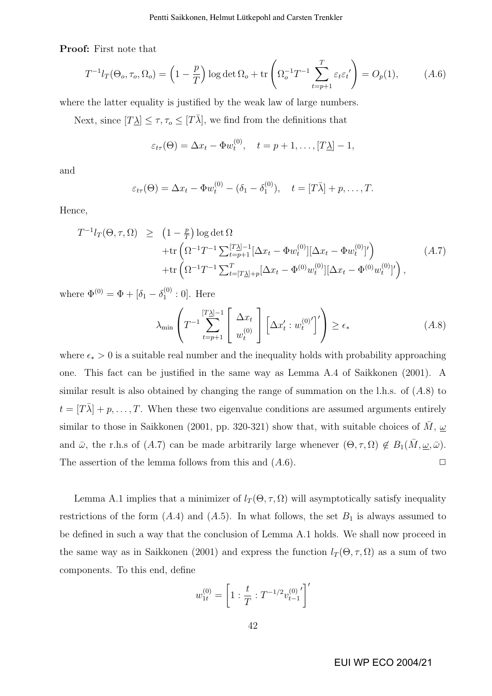Proof: First note that

$$
T^{-1}l_T(\Theta_o, \tau_o, \Omega_o) = \left(1 - \frac{p}{T}\right) \log \det \Omega_o + \text{tr}\left(\Omega_o^{-1}T^{-1} \sum_{t=p+1}^T \varepsilon_t \varepsilon_t'\right) = O_p(1),\tag{A.6}
$$

where the latter equality is justified by the weak law of large numbers.

Next, since  $[T\underline{\lambda}] \leq \tau, \tau_o \leq [T\overline{\lambda}]$ , we find from the definitions that

$$
\varepsilon_{t\tau}(\Theta) = \Delta x_t - \Phi w_t^{(0)}, \quad t = p + 1, \dots, [T\Delta] - 1,
$$

and

$$
\varepsilon_{t\tau}(\Theta) = \Delta x_t - \Phi w_t^{(0)} - (\delta_1 - \delta_1^{(0)}), \quad t = [T\bar{\lambda}] + p, \dots, T.
$$

Hence,

$$
T^{-1}l_{T}(\Theta,\tau,\Omega) \geq (1-\frac{p}{T})\log \det \Omega \n+ \text{tr}\left(\Omega^{-1}T^{-1}\sum_{t=p+1}^{[T_{\Delta}]-1}[\Delta x_{t} - \Phi w_{t}^{(0)}][\Delta x_{t} - \Phi w_{t}^{(0)}]'\right) \n+ \text{tr}\left(\Omega^{-1}T^{-1}\sum_{t=[T_{\Delta}]+p}^{T}[\Delta x_{t} - \Phi^{(0)}w_{t}^{(0)}][\Delta x_{t} - \Phi^{(0)}w_{t}^{(0)}]'\right),
$$
\n(A.7)

where  $\Phi^{(0)} = \Phi + [\delta_1 - \delta_1^{(0)}]$  $_1^{(0)}:0]$ . Here

$$
\lambda_{\min} \left( T^{-1} \sum_{t=p+1}^{[T\lambda]-1} \left[ \Delta x_t \atop w_t^{(0)} \right] \left[ \Delta x_t' : w_t^{(0)'} \right]' \right) \ge \epsilon_* \tag{A.8}
$$

where  $\epsilon_* > 0$  is a suitable real number and the inequality holds with probability approaching one. This fact can be justified in the same way as Lemma A.4 of Saikkonen (2001). A similar result is also obtained by changing the range of summation on the l.h.s. of  $(A.8)$  to  $t = [T\overline{\lambda}] + p, \ldots, T$ . When these two eigenvalue conditions are assumed arguments entirely similar to those in Saikkonen (2001, pp. 320-321) show that, with suitable choices of M,  $\omega$ and  $\bar{\omega}$ , the r.h.s of (A.7) can be made arbitrarily large whenever  $(\Theta, \tau, \Omega) \notin B_1(M, \underline{\omega}, \bar{\omega})$ . The assertion of the lemma follows from this and  $(A.6)$ .  $\Box$ 

Lemma A.1 implies that a minimizer of  $l_T(\Theta, \tau, \Omega)$  will asymptotically satisfy inequality restrictions of the form  $(A.4)$  and  $(A.5)$ . In what follows, the set  $B_1$  is always assumed to be defined in such a way that the conclusion of Lemma A.1 holds. We shall now proceed in the same way as in Saikkonen (2001) and express the function  $l_T(\Theta, \tau, \Omega)$  as a sum of two components. To this end, define

$$
w_{1t}^{(0)} = \left[1 : \frac{t}{T} : T^{-1/2} v_{t-1}^{(0)}'\right]'
$$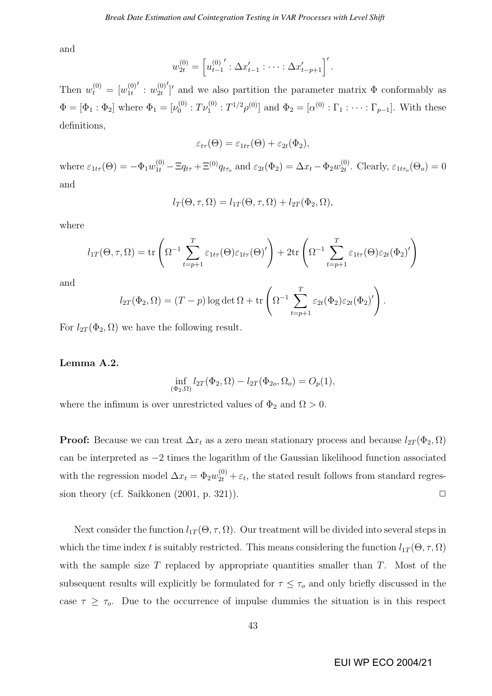and

$$
w_{2t}^{(0)} = \left[ u_{t-1}^{(0)}' : \Delta x'_{t-1} : \cdots : \Delta x'_{t-p+1} \right]'
$$

Then  $w_t^{(0)} = [w_{1t}^{(0)}]$  $1<sub>t</sub>$  $'$  :  $w_{2t}^{(0)}$  $2<sub>t</sub>$  $\gamma$ <sup>'</sup> and we also partition the parameter matrix  $\Phi$  conformably as  $\Phi = [\Phi_1 : \Phi_2]$  where  $\Phi_1 = [\nu_0^{(0)}]$  $\mathcal{O}_0^{(0)}: T\nu_1^{(0)}: T^{1/2}\rho^{(0)}]$  and  $\Phi_2 = [\alpha^{(0)}: \Gamma_1: \cdots: \Gamma_{p-1}]$ . With these definitions,

$$
\varepsilon_{t\tau}(\Theta) = \varepsilon_{1t\tau}(\Theta) + \varepsilon_{2t}(\Phi_2),
$$

where  $\varepsilon_{1t\tau}(\Theta) = -\Phi_1 w_{1t}^{(0)} - \Xi q_{t\tau} + \Xi^{(0)} q_{t\tau_o}$  and  $\varepsilon_{2t}(\Phi_2) = \Delta x_t - \Phi_2 w_{2t}^{(0)}$  $_{2t}^{(0)}$ . Clearly,  $\varepsilon_{1t\tau_o}(\Theta_o)=0$ and

$$
l_T(\Theta, \tau, \Omega) = l_{1T}(\Theta, \tau, \Omega) + l_{2T}(\Phi_2, \Omega),
$$

where

$$
l_{1T}(\Theta, \tau, \Omega) = \text{tr}\left(\Omega^{-1} \sum_{t=p+1}^{T} \varepsilon_{1t\tau}(\Theta) \varepsilon_{1t\tau}(\Theta)^{t}\right) + 2\text{tr}\left(\Omega^{-1} \sum_{t=p+1}^{T} \varepsilon_{1t\tau}(\Theta) \varepsilon_{2t}(\Phi_2)^{t}\right)
$$

and

$$
l_{2T}(\Phi_2,\Omega)=(T-p)\log\det\Omega+\text{tr}\left(\Omega^{-1}\sum_{t=p+1}^T\varepsilon_{2t}(\Phi_2)\varepsilon_{2t}(\Phi_2)'\right).
$$

For  $l_{2T}(\Phi_2, \Omega)$  we have the following result.

#### Lemma A.2.

$$
\inf_{(\Phi_2,\Omega)} l_{2T}(\Phi_2,\Omega) - l_{2T}(\Phi_{2o},\Omega_o) = O_p(1),
$$

where the infimum is over unrestricted values of  $\Phi_2$  and  $\Omega > 0$ .

**Proof:** Because we can treat  $\Delta x_t$  as a zero mean stationary process and because  $l_{2T}(\Phi_2, \Omega)$ can be interpreted as −2 times the logarithm of the Gaussian likelihood function associated with the regression model  $\Delta x_t = \Phi_2 w_{2t}^{(0)} + \varepsilon_t$ , the stated result follows from standard regression theory (cf. Saikkonen  $(2001, p. 321)$ ).

Next consider the function  $l_{1T}(\Theta, \tau, \Omega)$ . Our treatment will be divided into several steps in which the time index t is suitably restricted. This means considering the function  $l_{1T}(\Theta, \tau, \Omega)$ with the sample size  $T$  replaced by appropriate quantities smaller than  $T$ . Most of the subsequent results will explicitly be formulated for  $\tau \leq \tau_o$  and only briefly discussed in the case  $\tau \geq \tau_o$ . Due to the occurrence of impulse dummies the situation is in this respect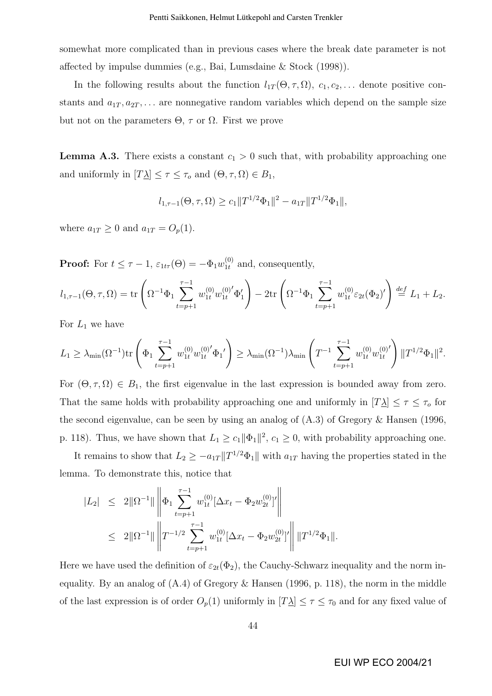somewhat more complicated than in previous cases where the break date parameter is not affected by impulse dummies (e.g., Bai, Lumsdaine & Stock (1998)).

In the following results about the function  $l_{1T}(\Theta, \tau, \Omega)$ ,  $c_1, c_2, \ldots$  denote positive constants and  $a_{1T}, a_{2T}, \ldots$  are nonnegative random variables which depend on the sample size but not on the parameters  $Θ$ ,  $τ$  or  $Ω$ . First we prove

**Lemma A.3.** There exists a constant  $c_1 > 0$  such that, with probability approaching one and uniformly in  $[T\underline{\lambda}] \leq \tau \leq \tau_o$  and  $(\Theta, \tau, \Omega) \in B_1$ ,

$$
l_{1,\tau-1}(\Theta,\tau,\Omega) \ge c_1 \|T^{1/2}\Phi_1\|^2 - a_{1T} \|T^{1/2}\Phi_1\|,
$$

where  $a_{1T} \geq 0$  and  $a_{1T} = O_p(1)$ .

**Proof:** For  $t \leq \tau - 1$ ,  $\varepsilon_{1t\tau}(\Theta) = -\Phi_1 w_{1t}^{(0)}$  $_{1t}^{(0)}$  and, consequently,

$$
l_{1,\tau-1}(\Theta,\tau,\Omega) = \text{tr}\left(\Omega^{-1}\Phi_1\sum_{t=p+1}^{\tau-1}w_{1t}^{(0)}w_{1t}^{(0)'}\Phi_1'\right) - 2\text{tr}\left(\Omega^{-1}\Phi_1\sum_{t=p+1}^{\tau-1}w_{1t}^{(0)}\varepsilon_{2t}(\Phi_2)'\right) \stackrel{def}{=} L_1 + L_2.
$$

For  $L_1$  we have

$$
L_1 \geq \lambda_{\min}(\Omega^{-1}) \text{tr}\left(\Phi_1 \sum_{t=p+1}^{\tau-1} w_{1t}^{(0)} w_{1t}^{(0)'} \Phi_1'\right) \geq \lambda_{\min}(\Omega^{-1}) \lambda_{\min}\left(T^{-1} \sum_{t=p+1}^{\tau-1} w_{1t}^{(0)} w_{1t}^{(0)'}\right) ||T^{1/2} \Phi_1||^2.
$$

For  $(\Theta, \tau, \Omega) \in B_1$ , the first eigenvalue in the last expression is bounded away from zero. That the same holds with probability approaching one and uniformly in  $[T_1] \leq \tau \leq \tau_0$  for the second eigenvalue, can be seen by using an analog of (A.3) of Gregory & Hansen (1996, p. 118). Thus, we have shown that  $L_1 \ge c_1 ||\Phi_1||^2$ ,  $c_1 \ge 0$ , with probability approaching one.

It remains to show that  $L_2 \geq -a_{1T} \|T^{1/2} \Phi_1\|$  with  $a_{1T}$  having the properties stated in the lemma. To demonstrate this, notice that

$$
|L_2| \leq 2\|\Omega^{-1}\| \left\| \Phi_1 \sum_{t=p+1}^{\tau-1} w_{1t}^{(0)} [\Delta x_t - \Phi_2 w_{2t}^{(0)}]' \right\|
$$
  

$$
\leq 2\|\Omega^{-1}\| \left\| T^{-1/2} \sum_{t=p+1}^{\tau-1} w_{1t}^{(0)} [\Delta x_t - \Phi_2 w_{2t}^{(0)}]' \right\| \|T^{1/2}\Phi_1\|.
$$

Here we have used the definition of  $\varepsilon_{2t}(\Phi_2)$ , the Cauchy-Schwarz inequality and the norm inequality. By an analog of (A.4) of Gregory & Hansen (1996, p. 118), the norm in the middle of the last expression is of order  $O_p(1)$  uniformly in  $[T\Delta] \leq \tau \leq \tau_0$  and for any fixed value of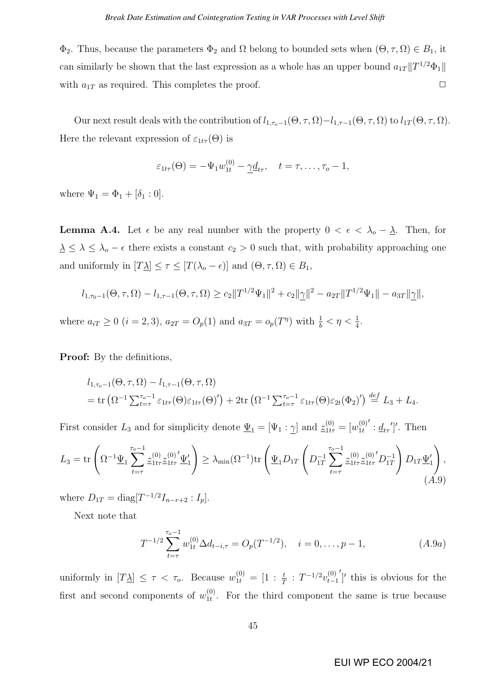$\Phi_2$ . Thus, because the parameters  $\Phi_2$  and  $\Omega$  belong to bounded sets when  $(\Theta, \tau, \Omega) \in B_1$ , it can similarly be shown that the last expression as a whole has an upper bound  $a_{1T}$   $||T^{1/2}\Phi_1||$ with  $a_{1T}$  as required. This completes the proof.  $\Box$ 

Our next result deals with the contribution of  $l_{1,\tau_{o}-1}(\Theta, \tau, \Omega)-l_{1,\tau-1}(\Theta, \tau, \Omega)$  to  $l_{1T}(\Theta, \tau, \Omega)$ . Here the relevant expression of  $\varepsilon_{1t\tau}(\Theta)$  is

$$
\varepsilon_{1t\tau}(\Theta) = -\Psi_1 w_{1t}^{(0)} - \underline{\gamma} \underline{d}_{t\tau}, \quad t = \tau, \ldots, \tau_o - 1,
$$

where  $\Psi_1 = \Phi_1 + [\delta_1 : 0].$ 

**Lemma A.4.** Let  $\epsilon$  be any real number with the property  $0 < \epsilon < \lambda_0 - \underline{\lambda}$ . Then, for  $\lambda \leq \lambda \leq \lambda_o - \epsilon$  there exists a constant  $c_2 > 0$  such that, with probability approaching one and uniformly in  $[T\underline{\lambda}] \leq \tau \leq [T(\lambda_o - \epsilon)]$  and  $(\Theta, \tau, \Omega) \in B_1$ ,

$$
l_{1,\tau_0-1}(\Theta,\tau,\Omega) - l_{1,\tau-1}(\Theta,\tau,\Omega) \ge c_2 \|T^{1/2}\Psi_1\|^2 + c_2 \|\underline{\gamma}\|^2 - a_{2T} \|T^{1/2}\Psi_1\| - a_{3T} \|\underline{\gamma}\|,
$$

where  $a_{iT} \ge 0$   $(i = 2, 3)$ ,  $a_{2T} = O_p(1)$  and  $a_{3T} = o_p(T^{\eta})$  with  $\frac{1}{b} < \eta < \frac{1}{4}$ .

Proof: By the definitions,

$$
l_{1,\tau_o-1}(\Theta,\tau,\Omega) - l_{1,\tau-1}(\Theta,\tau,\Omega)
$$
  
= tr  $(\Omega^{-1} \sum_{t=\tau}^{\tau_o-1} \varepsilon_{1t\tau}(\Theta) \varepsilon_{1t\tau}(\Theta)') + 2tr (\Omega^{-1} \sum_{t=\tau}^{\tau_o-1} \varepsilon_{1t\tau}(\Theta) \varepsilon_{2t}(\Phi_2)') \stackrel{def}{=} L_3 + L_4.$ 

First consider  $L_3$  and for simplicity denote  $\underline{\Psi}_1 = [\Psi_1 : \underline{\gamma}]$  and  $\underline{z}_{1t\tau}^{(0)} = [w_{1t}^{(0)}]$  $1<sub>t</sub>$  $'\colon \underline{d}_{t\tau}\prime]'$ . Then

$$
L_3 = \text{tr}\left(\Omega^{-1}\underline{\Psi}_1 \sum_{t=\tau}^{\tau_o-1} \underline{z}_{1t\tau}^{(0)} \underline{z}_{1t\tau}^{(0)'} \underline{\Psi}_1'\right) \ge \lambda_{\min}(\Omega^{-1}) \text{tr}\left(\underline{\Psi}_1 D_{1T} \left(D_{1T}^{-1} \sum_{t=\tau}^{\tau_o-1} \underline{z}_{1t\tau}^{(0)} \underline{z}_{1t\tau}^{(0)'} D_{1T}^{-1}\right) D_{1T} \underline{\Psi}_1'\right),\tag{A.9}
$$

where  $D_{1T} = \text{diag}[T^{-1/2}I_{n-r+2}:I_p].$ 

Next note that

$$
T^{-1/2} \sum_{t=\tau}^{\tau_o - 1} w_{1t}^{(0)} \Delta d_{t-i,\tau} = O_p(T^{-1/2}), \quad i = 0, \dots, p-1,
$$
 (A.9a)

uniformly in  $[T\underline{\lambda}] \leq \tau < \tau_o$ . Because  $w_{1t}^{(0)} = [1 : \frac{t}{T} : T^{-1/2}v_{t-1}^{(0)}]$  $t-1$  $\gamma$ <sup>'</sup> this is obvious for the first and second components of  $w_{1t}^{(0)}$  $\frac{1}{1}$ . For the third component the same is true because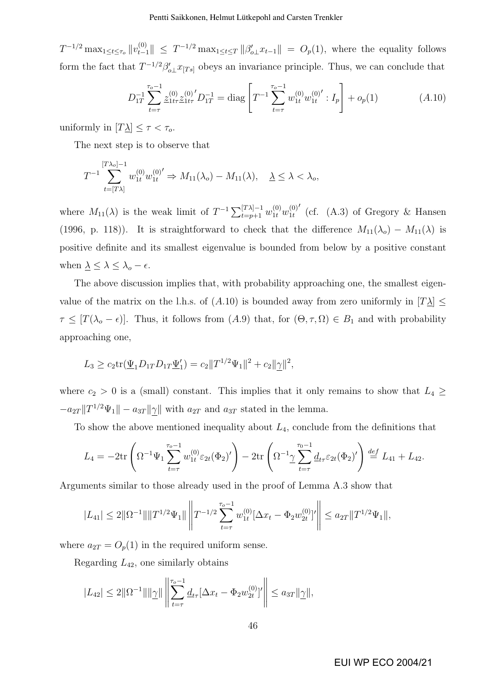$T^{-1/2} \max_{1 \le t \le \tau_o} ||v_{t-1}^{(0)}|| \le T^{-1/2} \max_{1 \le t \le T} ||\beta'_{o}|| x_{t-1}|| = O_p(1)$ , where the equality follows form the fact that  $T^{-1/2}\beta'_{o\perp}x_{[Ts]}$  obeys an invariance principle. Thus, we can conclude that

$$
D_{1T}^{-1} \sum_{t=\tau}^{\tau_o - 1} \underline{z}_{1t\tau}^{(0)} \underline{z}_{1t\tau}^{(0)'} D_{1T}^{-1} = \text{diag} \left[ T^{-1} \sum_{t=\tau}^{\tau_o - 1} w_{1t}^{(0)} w_{1t}^{(0)'} : I_p \right] + o_p(1)
$$
 (A.10)

uniformly in  $[T\underline{\lambda}] \leq \tau < \tau_o$ .

The next step is to observe that

$$
T^{-1} \sum_{t=[T\lambda]}^{[T\lambda_o]-1} w_{1t}^{(0)} w_{1t}^{(0)'} \Rightarrow M_{11}(\lambda_o) - M_{11}(\lambda), \quad \underline{\lambda} \le \lambda < \lambda_o,
$$

where  $M_{11}(\lambda)$  is the weak limit of  $T^{-1} \sum_{t=p+1}^{[T_{\lambda}]-1} w_{1t}^{(0)} w_{1t}^{(0)}$  $1<sub>t</sub>$  $\prime$  (cf. (A.3) of Gregory & Hansen (1996, p. 118)). It is straightforward to check that the difference  $M_{11}(\lambda_o) - M_{11}(\lambda)$  is positive definite and its smallest eigenvalue is bounded from below by a positive constant when  $\underline{\lambda} \leq \lambda \leq \lambda_o - \epsilon$ .

The above discussion implies that, with probability approaching one, the smallest eigenvalue of the matrix on the l.h.s. of (A.10) is bounded away from zero uniformly in  $[T\lambda] \leq$  $\tau \leq [T(\lambda_o - \epsilon)]$ . Thus, it follows from  $(A.9)$  that, for  $(\Theta, \tau, \Omega) \in B_1$  and with probability approaching one,

$$
L_3 \ge c_2 \text{tr}(\underline{\Psi}_1 D_{1T} D_{1T} \underline{\Psi}'_1) = c_2 ||T^{1/2} \Psi_1||^2 + c_2 ||\underline{\gamma}||^2,
$$

where  $c_2 > 0$  is a (small) constant. This implies that it only remains to show that  $L_4 \geq$  $-a_{2T}$ || $T^{1/2}\Psi_1$ ||  $-a_{3T}$ || $\gamma$ || with  $a_{2T}$  and  $a_{3T}$  stated in the lemma.

To show the above mentioned inequality about  $L_4$ , conclude from the definitions that

$$
L_4 = -2\text{tr}\left(\Omega^{-1}\Psi_1\sum_{t=\tau}^{\tau_o-1} w_{1t}^{(0)} \varepsilon_{2t}(\Phi_2)'\right) - 2\text{tr}\left(\Omega^{-1}\gamma\sum_{t=\tau}^{\tau_o-1} \underline{d}_{t\tau} \varepsilon_{2t}(\Phi_2)'\right) \stackrel{def}{=} L_{41} + L_{42}.
$$

Arguments similar to those already used in the proof of Lemma A.3 show that

$$
|L_{41}| \leq 2||\Omega^{-1}|| ||T^{1/2}\Psi_1|| \left||T^{-1/2}\sum_{t=\tau}^{\tau_o-1} w_{1t}^{(0)}[\Delta x_t - \Phi_2 w_{2t}^{(0)}]' \right|| \leq a_{2T}||T^{1/2}\Psi_1||,
$$

where  $a_{2T} = O_p(1)$  in the required uniform sense.

Regarding  $L_{42}$ , one similarly obtains

$$
|L_{42}| \le 2||\Omega^{-1}|| ||\gamma|| \left\| \sum_{t=\tau}^{\tau_o-1} \underline{d}_{t\tau} [\Delta x_t - \Phi_2 w_{2t}^{(0)}]' \right\| \le a_{3T} ||\gamma||,
$$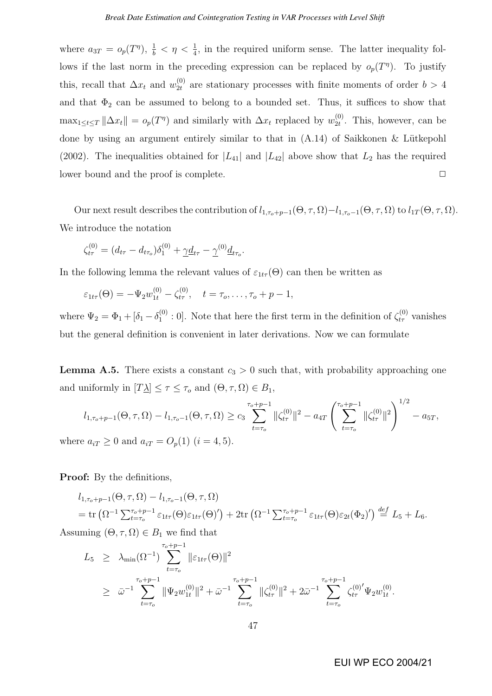where  $a_{3T} = o_p(T^{\eta})$ ,  $\frac{1}{b} < \eta < \frac{1}{4}$ , in the required uniform sense. The latter inequality follows if the last norm in the preceding expression can be replaced by  $o_p(T)$ . To justify this, recall that  $\Delta x_t$  and  $w_{2t}^{(0)}$  $_{2t}^{(0)}$  are stationary processes with finite moments of order  $b > 4$ and that  $\Phi_2$  can be assumed to belong to a bounded set. Thus, it suffices to show that  $\max_{1 \leq t \leq T} ||\Delta x_t|| = o_p(T^{\eta})$  and similarly with  $\Delta x_t$  replaced by  $w_{2t}^{(0)}$  $_{2t}^{(0)}$ . This, however, can be done by using an argument entirely similar to that in  $(A.14)$  of Saikkonen & Lütkepohl (2002). The inequalities obtained for  $|L_{41}|$  and  $|L_{42}|$  above show that  $L_2$  has the required lower bound and the proof is complete.  $\Box$ 

Our next result describes the contribution of  $l_{1,\tau_o+p-1}(\Theta, \tau, \Omega)-l_{1,\tau_o-1}(\Theta, \tau, \Omega)$  to  $l_{1T}(\Theta, \tau, \Omega)$ . We introduce the notation

$$
\zeta_{t\tau}^{(0)} = (d_{t\tau} - d_{t\tau_o})\delta_1^{(0)} + \underline{\gamma}\underline{d}_{t\tau} - \underline{\gamma}^{(0)}\underline{d}_{t\tau_o}.
$$

In the following lemma the relevant values of  $\varepsilon_{1t\tau}(\Theta)$  can then be written as

$$
\varepsilon_{1t\tau}(\Theta) = -\Psi_2 w_{1t}^{(0)} - \zeta_{t\tau}^{(0)}, \quad t = \tau_o, \ldots, \tau_o + p - 1,
$$

where  $\Psi_2 = \Phi_1 + [\delta_1 - \delta_1^{(0)}]$  $\mathbf{L}_{1}^{(0)}$  : 0]. Note that here the first term in the definition of  $\zeta_{t\tau}^{(0)}$  vanishes but the general definition is convenient in later derivations. Now we can formulate

**Lemma A.5.** There exists a constant  $c_3 > 0$  such that, with probability approaching one and uniformly in  $[T\underline{\lambda}] \leq \tau \leq \tau_o$  and  $(\Theta, \tau, \Omega) \in B_1$ ,

$$
l_{1,\tau_o+p-1}(\Theta,\tau,\Omega) - l_{1,\tau_o-1}(\Theta,\tau,\Omega) \ge c_3 \sum_{t=\tau_o}^{\tau_o+p-1} \|\zeta_{t\tau}^{(0)}\|^2 - a_{4T} \left(\sum_{t=\tau_o}^{\tau_o+p-1} \|\zeta_{t\tau}^{(0)}\|^2\right)^{1/2} - a_{5T},
$$
  
where  $a_{iT} \ge 0$  and  $a_{iT} = O_p(1)$   $(i = 4, 5)$ .

**Proof:** By the definitions,

$$
l_{1,\tau_o+p-1}(\Theta,\tau,\Omega) - l_{1,\tau_o-1}(\Theta,\tau,\Omega)
$$
  
= tr  $(\Omega^{-1} \sum_{t=\tau_o}^{\tau_o+p-1} \varepsilon_{1t\tau}(\Theta) \varepsilon_{1t\tau}(\Theta)') + 2tr (\Omega^{-1} \sum_{t=\tau_o}^{\tau_o+p-1} \varepsilon_{1t\tau}(\Theta) \varepsilon_{2t}(\Phi_2)') \stackrel{def}{=} L_5 + L_6.$ 

Assuming  $(\Theta, \tau, \Omega) \in B_1$  we find that

$$
L_5 \geq \lambda_{\min}(\Omega^{-1}) \sum_{t=\tau_o}^{\tau_o+p-1} \|\varepsilon_{1t\tau}(\Theta)\|^2
$$
  
 
$$
\geq \bar{\omega}^{-1} \sum_{t=\tau_o}^{\tau_o+p-1} \|\Psi_2 w_{1t}^{(0)}\|^2 + \bar{\omega}^{-1} \sum_{t=\tau_o}^{\tau_o+p-1} \|\zeta_{t\tau}^{(0)}\|^2 + 2\bar{\omega}^{-1} \sum_{t=\tau_o}^{\tau_o+p-1} \zeta_{t\tau}^{(0)'} \Psi_2 w_{1t}^{(0)}.
$$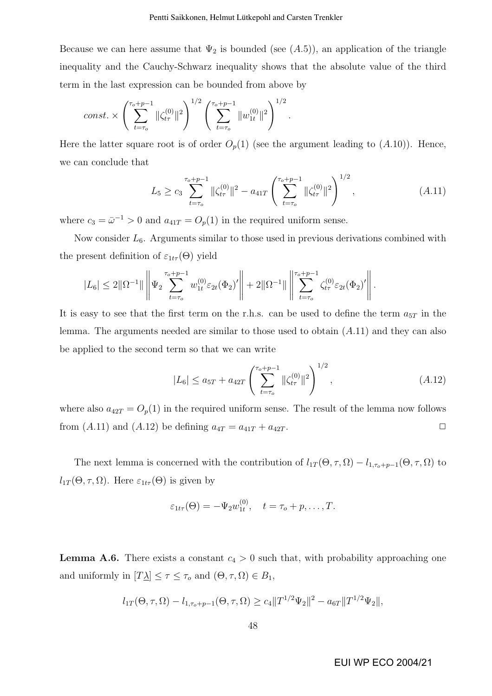Because we can here assume that  $\Psi_2$  is bounded (see  $(A.5)$ ), an application of the triangle inequality and the Cauchy-Schwarz inequality shows that the absolute value of the third term in the last expression can be bounded from above by

const. 
$$
\times \left( \sum_{t=\tau_o}^{\tau_o+p-1} ||\zeta_{t\tau}^{(0)}||^2 \right)^{1/2} \left( \sum_{t=\tau_o}^{\tau_o+p-1} ||w_{1t}^{(0)}||^2 \right)^{1/2}.
$$

Here the latter square root is of order  $O_p(1)$  (see the argument leading to  $(A.10)$ ). Hence, we can conclude that

$$
L_5 \ge c_3 \sum_{t=\tau_o}^{\tau_o + p-1} \|\zeta_{t\tau}^{(0)}\|^2 - a_{41T} \left(\sum_{t=\tau_o}^{\tau_o + p-1} \|\zeta_{t\tau}^{(0)}\|^2\right)^{1/2}, \qquad (A.11)
$$

where  $c_3 = \bar{\omega}^{-1} > 0$  and  $a_{41T} = O_p(1)$  in the required uniform sense.

Now consider  $L_6$ . Arguments similar to those used in previous derivations combined with the present definition of  $\varepsilon_{1t\tau}(\Theta)$  yield

$$
|L_6| \leq 2\|\Omega^{-1}\| \left\|\Psi_2 \sum_{t=\tau_o}^{\tau_o+p-1} w_{1t}^{(0)} \varepsilon_{2t}(\Phi_2)' \right\| + 2\|\Omega^{-1}\| \left\|\sum_{t=\tau_o}^{\tau_o+p-1} \zeta_{t\tau}^{(0)} \varepsilon_{2t}(\Phi_2)' \right\|.
$$

It is easy to see that the first term on the r.h.s. can be used to define the term  $a_{5T}$  in the lemma. The arguments needed are similar to those used to obtain  $(A.11)$  and they can also be applied to the second term so that we can write

$$
|L_6| \le a_{5T} + a_{42T} \left( \sum_{t=\tau_o}^{\tau_o + p - 1} ||\zeta_{t\tau}^{(0)}||^2 \right)^{1/2}, \qquad (A.12)
$$

where also  $a_{42T} = O_p(1)$  in the required uniform sense. The result of the lemma now follows from  $(A.11)$  and  $(A.12)$  be defining  $a_{4T} = a_{41T} + a_{42T}$ .

The next lemma is concerned with the contribution of  $l_{1T}(\Theta, \tau, \Omega) - l_{1,\tau_o+p-1}(\Theta, \tau, \Omega)$  to  $l_{1T}(\Theta, \tau, \Omega)$ . Here  $\varepsilon_{1t\tau}(\Theta)$  is given by

$$
\varepsilon_{1t\tau}(\Theta) = -\Psi_2 w_{1t}^{(0)}, \quad t = \tau_o + p, \dots, T.
$$

**Lemma A.6.** There exists a constant  $c_4 > 0$  such that, with probability approaching one and uniformly in  $[T\underline{\lambda}] \leq \tau \leq \tau_o$  and  $(\Theta, \tau, \Omega) \in B_1$ ,

$$
l_{1T}(\Theta, \tau, \Omega) - l_{1, \tau_o + p-1}(\Theta, \tau, \Omega) \ge c_4 ||T^{1/2} \Psi_2||^2 - a_{6T} ||T^{1/2} \Psi_2||,
$$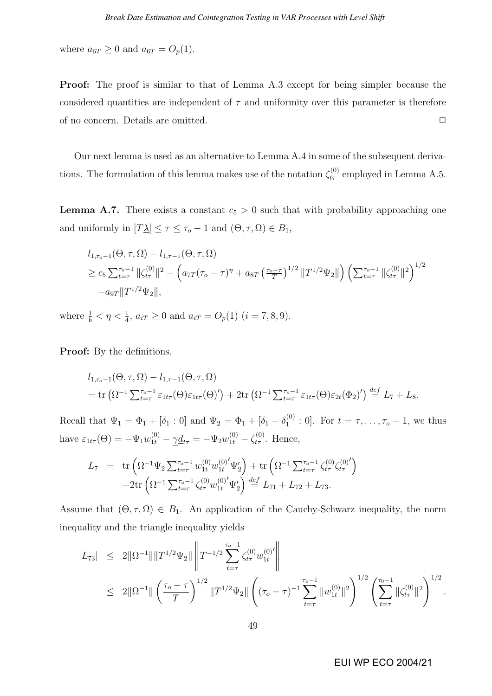where  $a_{6T} \geq 0$  and  $a_{6T} = O_p(1)$ .

**Proof:** The proof is similar to that of Lemma A.3 except for being simpler because the considered quantities are independent of  $\tau$  and uniformity over this parameter is therefore of no concern. Details are omitted.  $\Box$ 

Our next lemma is used as an alternative to Lemma A.4 in some of the subsequent derivations. The formulation of this lemma makes use of the notation  $\zeta_{t\tau}^{(0)}$  employed in Lemma A.5.

**Lemma A.7.** There exists a constant  $c_5 > 0$  such that with probability approaching one and uniformly in  $[T\underline{\lambda}] \leq \tau \leq \tau_o - 1$  and  $(\Theta, \tau, \Omega) \in B_1$ ,

$$
l_{1,\tau_o-1}(\Theta,\tau,\Omega) - l_{1,\tau-1}(\Theta,\tau,\Omega)
$$
  
\n
$$
\geq c_5 \sum_{t=\tau}^{\tau_o-1} ||\zeta_{t\tau}^{(0)}||^2 - \left( a_{7T}(\tau_o - \tau)^{\eta} + a_{8T} \left( \frac{\tau_o - \tau}{T} \right)^{1/2} ||T^{1/2} \Psi_2|| \right) \left( \sum_{t=\tau}^{\tau_o-1} ||\zeta_{t\tau}^{(0)}||^2 \right)^{1/2}
$$
  
\n
$$
-a_{9T} ||T^{1/2} \Psi_2||,
$$

where  $\frac{1}{b} < \eta < \frac{1}{4}$ ,  $a_{iT} \ge 0$  and  $a_{iT} = O_p(1)$   $(i = 7, 8, 9)$ .

Proof: By the definitions,

$$
l_{1,\tau_o-1}(\Theta,\tau,\Omega) - l_{1,\tau-1}(\Theta,\tau,\Omega)
$$
  
= tr  $(\Omega^{-1} \sum_{t=\tau}^{\tau_o-1} \varepsilon_{1t\tau}(\Theta) \varepsilon_{1t\tau}(\Theta)') + 2tr (\Omega^{-1} \sum_{t=\tau}^{\tau_o-1} \varepsilon_{1t\tau}(\Theta) \varepsilon_{2t}(\Phi_2)') \stackrel{def}{=} L_7 + L_8.$ 

Recall that  $\Psi_1 = \Phi_1 + [\delta_1 : 0]$  and  $\Psi_2 = \Phi_1 + [\delta_1 - \delta_1^{(0)}]$  $_{1}^{(0)}:0$ . For  $t=\tau, \ldots, \tau_o-1$ , we thus have  $\varepsilon_{1t\tau}(\Theta) = -\Psi_1 w_{1t}^{(0)} - \gamma \underline{d}_{t\tau} = -\Psi_2 w_{1t}^{(0)} - \zeta_{t\tau}^{(0)}$ . Hence,

$$
L_7 = \text{tr}\left(\Omega^{-1}\Psi_2 \sum_{t=\tau}^{\tau_o-1} w_{1t}^{(0)} w_{1t}^{(0)'} \Psi_2'\right) + \text{tr}\left(\Omega^{-1} \sum_{t=\tau}^{\tau_o-1} \zeta_{t\tau}^{(0)} \zeta_{t\tau}^{(0)'}\right) + 2 \text{tr}\left(\Omega^{-1} \sum_{t=\tau}^{\tau_o-1} \zeta_{t\tau}^{(0)} w_{1t}^{(0)'} \Psi_2'\right) \stackrel{def}{=} L_{71} + L_{72} + L_{73}.
$$

Assume that  $(\Theta, \tau, \Omega) \in B_1$ . An application of the Cauchy-Schwarz inequality, the norm inequality and the triangle inequality yields

$$
\begin{array}{lcl} |L_{73}| & \leq & 2\|\Omega^{-1}\|\|T^{1/2}\Psi_2\|\left\|T^{-1/2}\sum_{t=\tau}^{\tau_o-1}\zeta_{t\tau}^{(0)}w_{1t}^{(0)'}\right\| \\ \\ & \leq & 2\|\Omega^{-1}\|\left(\frac{\tau_o-\tau}{T}\right)^{1/2}\|T^{1/2}\Psi_2\|\left((\tau_o-\tau)^{-1}\sum_{t=\tau}^{\tau_o-1}\|w_{1t}^{(0)}\|^2\right)^{1/2}\left(\sum_{t=\tau}^{\tau_o-1}\|\zeta_{t\tau}^{(0)}\|^2\right)^{1/2}.\end{array}
$$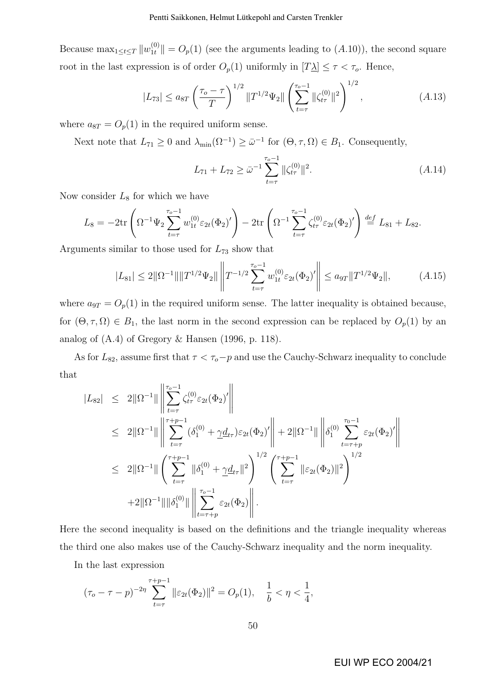Because  $\max_{1 \leq t \leq T} ||w_{1t}^{(0)}|| = O_p(1)$  (see the arguments leading to  $(A.10)$ ), the second square root in the last expression is of order  $O_p(1)$  uniformly in  $[T\underline{\lambda}] \leq \tau < \tau_o$ . Hence,

$$
|L_{73}| \le a_{8T} \left(\frac{\tau_o - \tau}{T}\right)^{1/2} \|T^{1/2} \Psi_2\| \left(\sum_{t=\tau}^{\tau_o - 1} \|\zeta_{t\tau}^{(0)}\|^2\right)^{1/2}, \tag{A.13}
$$

where  $a_{8T} = O_p(1)$  in the required uniform sense.

Next note that  $L_{71} \geq 0$  and  $\lambda_{\min}(\Omega^{-1}) \geq \bar{\omega}^{-1}$  for  $(\Theta, \tau, \Omega) \in B_1$ . Consequently,

$$
L_{71} + L_{72} \ge \bar{\omega}^{-1} \sum_{t=\tau}^{\tau_o - 1} \|\zeta_{t\tau}^{(0)}\|^2.
$$
 (A.14)

Now consider  $L_8$  for which we have

$$
L_8 = -2\text{tr}\left(\Omega^{-1}\Psi_2\sum_{t=\tau}^{\tau_o-1} w_{1t}^{(0)} \varepsilon_{2t}(\Phi_2)'\right) - 2\text{tr}\left(\Omega^{-1}\sum_{t=\tau}^{\tau_o-1} \zeta_{t\tau}^{(0)} \varepsilon_{2t}(\Phi_2)'\right) \stackrel{def}{=} L_{81} + L_{82}.
$$

Arguments similar to those used for  $L_{73}$  show that

$$
|L_{81}| \le 2\|\Omega^{-1}\| \|T^{1/2}\Psi_2\| \left\|T^{-1/2}\sum_{t=\tau}^{\tau_o-1} w_{1t}^{(0)} \varepsilon_{2t}(\Phi_2)'\right\| \le a_{9T} \|T^{1/2}\Psi_2\|,\tag{A.15}
$$

where  $a_{9T} = O_p(1)$  in the required uniform sense. The latter inequality is obtained because, for  $(\Theta, \tau, \Omega) \in B_1$ , the last norm in the second expression can be replaced by  $O_p(1)$  by an analog of (A.4) of Gregory & Hansen (1996, p. 118).

As for  $L_{82}$ , assume first that  $\tau < \tau_o - p$  and use the Cauchy-Schwarz inequality to conclude that ° °

$$
|L_{82}| \leq 2\|\Omega^{-1}\| \left\| \sum_{t=\tau}^{\tau_0-1} \zeta_{t\tau}^{(0)} \varepsilon_{2t}(\Phi_2)' \right\|
$$
  
\n
$$
\leq 2\|\Omega^{-1}\| \left\| \sum_{t=\tau}^{\tau+p-1} (\delta_1^{(0)} + \underline{\gamma} \underline{d}_{t\tau}) \varepsilon_{2t}(\Phi_2)' \right\| + 2\|\Omega^{-1}\| \left\| \delta_1^{(0)} \sum_{t=\tau+p}^{\tau_0-1} \varepsilon_{2t}(\Phi_2)' \right\|
$$
  
\n
$$
\leq 2\|\Omega^{-1}\| \left(\sum_{t=\tau}^{\tau+p-1} \|\delta_1^{(0)} + \underline{\gamma} \underline{d}_{t\tau}\|^2\right)^{1/2} \left(\sum_{t=\tau}^{\tau+p-1} \|\varepsilon_{2t}(\Phi_2)\|^2\right)^{1/2}
$$
  
\n
$$
+ 2\|\Omega^{-1}\| \|\delta_1^{(0)}\| \left\| \sum_{t=\tau+p}^{\tau_0-1} \varepsilon_{2t}(\Phi_2) \right\|.
$$

Here the second inequality is based on the definitions and the triangle inequality whereas the third one also makes use of the Cauchy-Schwarz inequality and the norm inequality.

In the last expression

$$
(\tau_o - \tau - p)^{-2\eta} \sum_{t=\tau}^{\tau+p-1} \|\varepsilon_{2t}(\Phi_2)\|^2 = O_p(1), \quad \frac{1}{b} < \eta < \frac{1}{4},
$$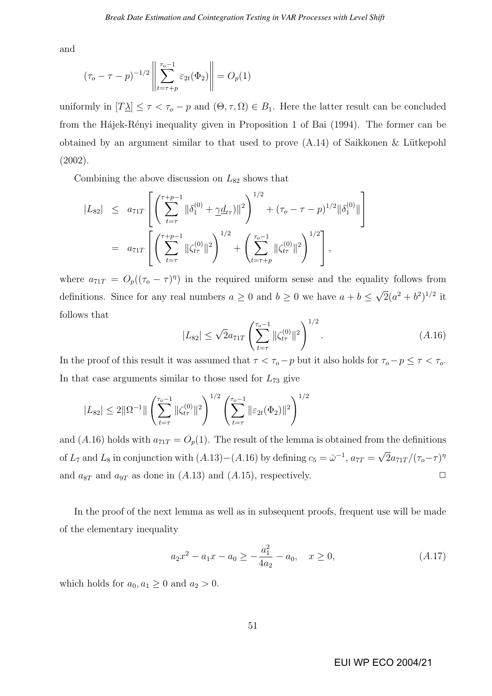and

$$
(\tau_o - \tau - p)^{-1/2} \left\| \sum_{t=\tau+p}^{\tau_o - 1} \varepsilon_{2t}(\Phi_2) \right\| = O_p(1)
$$

uniformly in  $[T_1] \leq \tau < \tau_o - p$  and  $(\Theta, \tau, \Omega) \in B_1$ . Here the latter result can be concluded from the Hájek-Rényi inequality given in Proposition 1 of Bai (1994). The former can be obtained by an argument similar to that used to prove  $(A.14)$  of Saikkonen & Lütkepohl (2002).

Combining the above discussion on  $L_{82}$  shows that

$$
|L_{82}| \leq a_{71T} \left[ \left( \sum_{t=\tau}^{\tau+p-1} \|\delta_1^{(0)} + \gamma \underline{d}_{tr})\|^2 \right)^{1/2} + (\tau_o - \tau - p)^{1/2} \|\delta_1^{(0)}\| \right]
$$
  
=  $a_{71T} \left[ \left( \sum_{t=\tau}^{\tau+p-1} \|\zeta_{tr}^{(0)}\|^2 \right)^{1/2} + \left( \sum_{t=\tau+p}^{\tau_o-1} \|\zeta_{tr}^{(0)}\|^2 \right)^{1/2} \right],$ 

where  $a_{71T} = O_p((\tau_o - \tau)^{\eta})$  in the required uniform sense and the equality follows from definitions. Since for any real numbers  $a \geq 0$  and  $b \geq 0$  we have  $a + b \leq$ √  $\frac{1}{2}(a^2 + b^2)^{1/2}$  it follows that  $\sqrt{1/2}$ 

$$
|L_{82}| \leq \sqrt{2}a_{71T} \left(\sum_{t=\tau}^{\tau_o - 1} \|\zeta_{t\tau}^{(0)}\|^2\right)^{1/2}.
$$
 (A.16)

In the proof of this result it was assumed that  $\tau < \tau_o - p$  but it also holds for  $\tau_o - p \leq \tau < \tau_o$ . In that case arguments similar to those used for  $L_{73}$  give

$$
|L_{82}| \leq 2||\Omega^{-1}||\left(\sum_{t=\tau}^{\tau_o-1} \|\zeta_{t\tau}^{(0)}\|^2\right)^{1/2} \left(\sum_{t=\tau}^{\tau_o-1} \|\varepsilon_{2t}(\Phi_2)\|^2\right)^{1/2}
$$

and (A.16) holds with  $a_{71T} = O_p(1)$ . The result of the lemma is obtained from the definitions of  $L_7$  and  $L_8$  in conjunction with  $(A.13) - (A.16)$  by defining  $c_5 = \bar{\omega}^{-1}$ ,  $a_{7T} =$ √  $\overline{2}a_{71T}/(\tau_o-\tau)^\eta$ and  $a_{8T}$  and  $a_{9T}$  as done in  $(A.13)$  and  $(A.15)$ , respectively.

In the proof of the next lemma as well as in subsequent proofs, frequent use will be made of the elementary inequality

$$
a_2x^2 - a_1x - a_0 \ge -\frac{a_1^2}{4a_2} - a_0, \quad x \ge 0,
$$
\n(A.17)

which holds for  $a_0, a_1 \geq 0$  and  $a_2 > 0$ .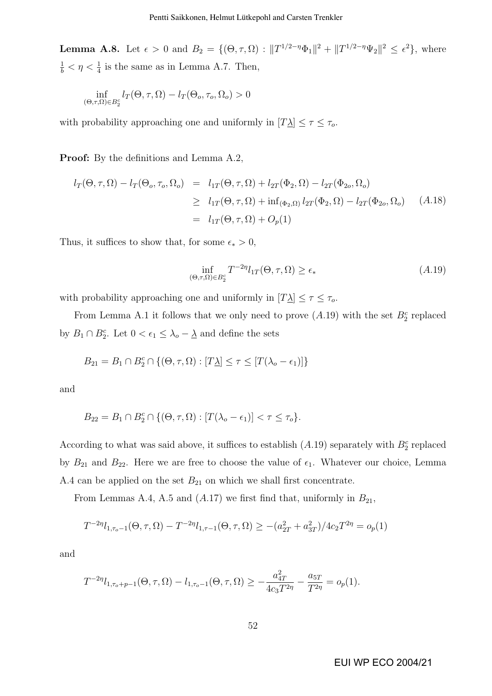**Lemma A.8.** Let  $\epsilon > 0$  and  $B_2 = \{(\Theta, \tau, \Omega) : ||T^{1/2-\eta} \Phi_1||^2 + ||T^{1/2-\eta} \Psi_2||^2 \leq \epsilon^2\}$ , where  $\frac{1}{b} < \eta < \frac{1}{4}$  is the same as in Lemma A.7. Then,

$$
\inf_{(\Theta,\tau,\Omega)\in B_2^c} l_T(\Theta,\tau,\Omega) - l_T(\Theta_o,\tau_o,\Omega_o) > 0
$$

with probability approaching one and uniformly in  $[T\underline{\lambda}] \leq \tau \leq \tau_o$ .

Proof: By the definitions and Lemma A.2,

$$
l_T(\Theta, \tau, \Omega) - l_T(\Theta_o, \tau_o, \Omega_o) = l_{1T}(\Theta, \tau, \Omega) + l_{2T}(\Phi_2, \Omega) - l_{2T}(\Phi_{2o}, \Omega_o)
$$
  
\n
$$
\geq l_{1T}(\Theta, \tau, \Omega) + \inf_{(\Phi_2, \Omega)} l_{2T}(\Phi_2, \Omega) - l_{2T}(\Phi_{2o}, \Omega_o) \quad (A.18)
$$
  
\n
$$
= l_{1T}(\Theta, \tau, \Omega) + O_p(1)
$$

Thus, it suffices to show that, for some  $\epsilon_* > 0$ ,

$$
\inf_{(\Theta,\tau,\Omega)\in B_2^c} T^{-2\eta} l_{1T}(\Theta,\tau,\Omega) \ge \epsilon_* \tag{A.19}
$$

with probability approaching one and uniformly in  $[T\Delta] \leq \tau \leq \tau_o$ .

From Lemma A.1 it follows that we only need to prove  $(A.19)$  with the set  $B_2^c$  replaced by  $B_1 \cap B_2^c$ . Let  $0 < \epsilon_1 \leq \lambda_o - \underline{\lambda}$  and define the sets

$$
B_{21} = B_1 \cap B_2^c \cap \{(\Theta, \tau, \Omega) : [T\Delta] \le \tau \le [T(\lambda_o - \epsilon_1)]\}
$$

and

$$
B_{22} = B_1 \cap B_2^c \cap \{(\Theta, \tau, \Omega) : [T(\lambda_o - \epsilon_1)] < \tau \le \tau_o\}.
$$

According to what was said above, it suffices to establish  $(A.19)$  separately with  $B_2^c$  replaced by  $B_{21}$  and  $B_{22}$ . Here we are free to choose the value of  $\epsilon_1$ . Whatever our choice, Lemma A.4 can be applied on the set  $B_{21}$  on which we shall first concentrate.

From Lemmas A.4, A.5 and  $(A.17)$  we first find that, uniformly in  $B_{21}$ ,

$$
T^{-2\eta}l_{1,\tau_o-1}(\Theta,\tau,\Omega) - T^{-2\eta}l_{1,\tau-1}(\Theta,\tau,\Omega) \ge -(a_{2T}^2 + a_{3T}^2)/4c_2T^{2\eta} = o_p(1)
$$

and

$$
T^{-2\eta}l_{1,\tau_o+p-1}(\Theta,\tau,\Omega)-l_{1,\tau_o-1}(\Theta,\tau,\Omega)\geq -\frac{a_{4T}^2}{4c_3T^{2\eta}}-\frac{a_{5T}}{T^{2\eta}}=o_p(1).
$$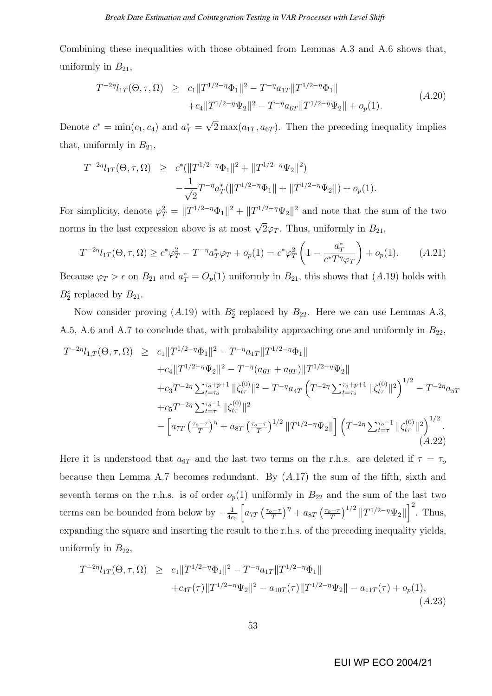Combining these inequalities with those obtained from Lemmas A.3 and A.6 shows that, uniformly in  $B_{21}$ ,

$$
T^{-2\eta}l_{1T}(\Theta,\tau,\Omega) \ge c_1||T^{1/2-\eta}\Phi_1||^2 - T^{-\eta}a_{1T}||T^{1/2-\eta}\Phi_1||
$$
  
 
$$
+c_4||T^{1/2-\eta}\Psi_2||^2 - T^{-\eta}a_{6T}||T^{1/2-\eta}\Psi_2|| + o_p(1).
$$
 (A.20)

Denote  $c^* = \min(c_1, c_4)$  and  $a_T^* =$ √  $2\max(a_{1T}, a_{6T})$ . Then the preceding inequality implies that, uniformly in  $B_{21}$ ,

$$
T^{-2\eta}l_{1T}(\Theta,\tau,\Omega) \geq c^*(||T^{1/2-\eta}\Phi_1||^2 + ||T^{1/2-\eta}\Psi_2||^2) -\frac{1}{\sqrt{2}}T^{-\eta}a_T^*(||T^{1/2-\eta}\Phi_1|| + ||T^{1/2-\eta}\Psi_2||) + o_p(1).
$$

For simplicity, denote  $\varphi_T^2 = ||T^{1/2-\eta} \Phi_1||^2 + ||T^{1/2-\eta} \Psi_2||^2$  and note that the sum of the two norms in the last expression above is at most  $\sqrt{2}\varphi_T$ . Thus, uniformly in  $B_{21}$ ,

$$
T^{-2\eta}l_{1T}(\Theta,\tau,\Omega) \ge c^*\varphi_T^2 - T^{-\eta}a_T^*\varphi_T + o_p(1) = c^*\varphi_T^2 \left(1 - \frac{a_T^*}{c^*T^{\eta}\varphi_T}\right) + o_p(1). \tag{A.21}
$$

Because  $\varphi_T > \epsilon$  on  $B_{21}$  and  $a_T^* = O_p(1)$  uniformly in  $B_{21}$ , this shows that  $(A.19)$  holds with  $B_2^c$  replaced by  $B_{21}$ .

Now consider proving (A.19) with  $B_2^c$  replaced by  $B_{22}$ . Here we can use Lemmas A.3, A.5, A.6 and A.7 to conclude that, with probability approaching one and uniformly in  $B_{22}$ ,

$$
T^{-2\eta}l_{1,T}(\Theta,\tau,\Omega) \geq c_1 \|T^{1/2-\eta}\Phi_1\|^2 - T^{-\eta}a_{1T}\|T^{1/2-\eta}\Phi_1\| + c_4 \|T^{1/2-\eta}\Psi_2\|^2 - T^{-\eta}(a_{6T} + a_{9T})\|T^{1/2-\eta}\Psi_2\| + c_3 T^{-2\eta} \sum_{t=\tau_o}^{\tau_o+p+1} \|\zeta_{t\tau}^{(0)}\|^2 - T^{-\eta}a_{4T}\left(T^{-2\eta} \sum_{t=\tau_o}^{\tau_o+p+1} \|\zeta_{t\tau}^{(0)}\|^2\right)^{1/2} - T^{-2\eta}a_{5T} + c_5 T^{-2\eta} \sum_{t=\tau}^{\tau_o-1} \|\zeta_{t\tau}^{(0)}\|^2 - \left[a_{7T}\left(\frac{\tau_o-\tau}{T}\right)^{\eta} + a_{8T}\left(\frac{\tau_o-\tau}{T}\right)^{1/2} \|T^{1/2-\eta}\Psi_2\|\right] \left(T^{-2\eta} \sum_{t=\tau}^{\tau_o-1} \|\zeta_{t\tau}^{(0)}\|^2\right)^{1/2}.
$$
\n(A.22)

Here it is understood that  $a_{9T}$  and the last two terms on the r.h.s. are deleted if  $\tau = \tau_o$ because then Lemma A.7 becomes redundant. By (A.17) the sum of the fifth, sixth and seventh terms on the r.h.s. is of order  $o_p(1)$  uniformly in  $B_{22}$  and the sum of the last two terms can be bounded from below by  $-\frac{1}{4a}$  $4c<sub>5</sub>$  $\frac{1}{\Gamma}$  $a_{7T}$  $\int \frac{\tau_o - \tau}{\tau_o}$ T  $\sqrt{\eta}$  $+$   $a_{8T}$  $\int \frac{\tau_o - \tau}{\tau_o}$ T  $\int^{1/2} ||T^{1/2-\eta}\Psi_2||$  $\frac{1}{1}$  2 . Thus, expanding the square and inserting the result to the r.h.s. of the preceding inequality yields, uniformly in  $B_{22}$ ,

$$
T^{-2\eta}l_{1T}(\Theta,\tau,\Omega) \ge c_1||T^{1/2-\eta}\Phi_1||^2 - T^{-\eta}a_{1T}||T^{1/2-\eta}\Phi_1||
$$
  
 
$$
+ c_{4T}(\tau)||T^{1/2-\eta}\Psi_2||^2 - a_{10T}(\tau)||T^{1/2-\eta}\Psi_2|| - a_{11T}(\tau) + o_p(1),
$$
  
(A.23)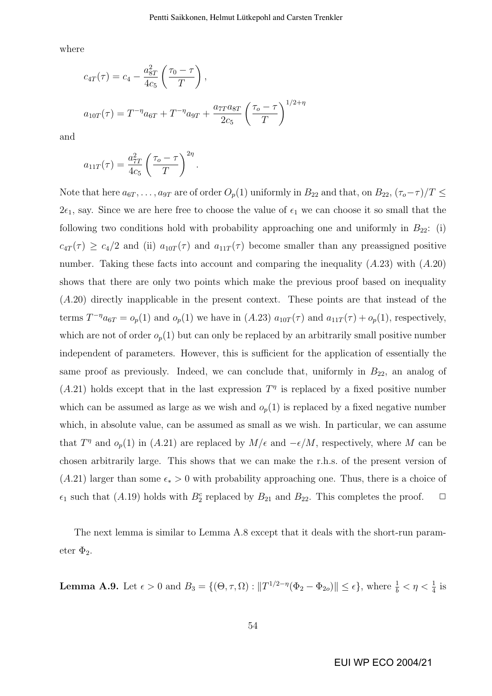where

$$
c_{4T}(\tau) = c_4 - \frac{a_{8T}^2}{4c_5} \left( \frac{\tau_0 - \tau}{T} \right),
$$
  

$$
a_{10T}(\tau) = T^{-\eta} a_{6T} + T^{-\eta} a_{9T} + \frac{a_{7T} a_{8T}}{2c_5} \left( \frac{\tau_0 - \tau}{T} \right)^{1/2 + \eta}
$$

and

$$
a_{11T}(\tau) = \frac{a_{7T}^2}{4c_5} \left(\frac{\tau_o - \tau}{T}\right)^{2\eta}.
$$

Note that here  $a_{6T}, \ldots, a_{9T}$  are of order  $O_p(1)$  uniformly in  $B_{22}$  and that, on  $B_{22}$ ,  $(\tau_o - \tau)/T \leq$  $2\epsilon_1$ , say. Since we are here free to choose the value of  $\epsilon_1$  we can choose it so small that the following two conditions hold with probability approaching one and uniformly in  $B_{22}$ : (i)  $c_{4T}(\tau) \geq c_4/2$  and (ii)  $a_{10T}(\tau)$  and  $a_{11T}(\tau)$  become smaller than any preassigned positive number. Taking these facts into account and comparing the inequality  $(A.23)$  with  $(A.20)$ shows that there are only two points which make the previous proof based on inequality (A.20) directly inapplicable in the present context. These points are that instead of the terms  $T^{-\eta}a_{6T} = o_p(1)$  and  $o_p(1)$  we have in  $(A.23) a_{10T}(\tau)$  and  $a_{11T}(\tau) + o_p(1)$ , respectively, which are not of order  $o_p(1)$  but can only be replaced by an arbitrarily small positive number independent of parameters. However, this is sufficient for the application of essentially the same proof as previously. Indeed, we can conclude that, uniformly in  $B_{22}$ , an analog of  $(A.21)$  holds except that in the last expression  $T<sup>\eta</sup>$  is replaced by a fixed positive number which can be assumed as large as we wish and  $o_p(1)$  is replaced by a fixed negative number which, in absolute value, can be assumed as small as we wish. In particular, we can assume that  $T^{\eta}$  and  $o_p(1)$  in (A.21) are replaced by  $M/\epsilon$  and  $-\epsilon/M$ , respectively, where M can be chosen arbitrarily large. This shows that we can make the r.h.s. of the present version of  $(A.21)$  larger than some  $\epsilon_* > 0$  with probability approaching one. Thus, there is a choice of  $\epsilon_1$  such that (A.19) holds with  $B_2^c$  replaced by  $B_{21}$  and  $B_{22}$ . This completes the proof.  $\Box$ 

The next lemma is similar to Lemma A.8 except that it deals with the short-run parameter  $\Phi_2$ .

**Lemma A.9.** Let  $\epsilon > 0$  and  $B_3 = \{(\Theta, \tau, \Omega) : ||T^{1/2-\eta}(\Phi_2 - \Phi_{2o})|| \leq \epsilon\}$ , where  $\frac{1}{b} < \eta < \frac{1}{4}$  is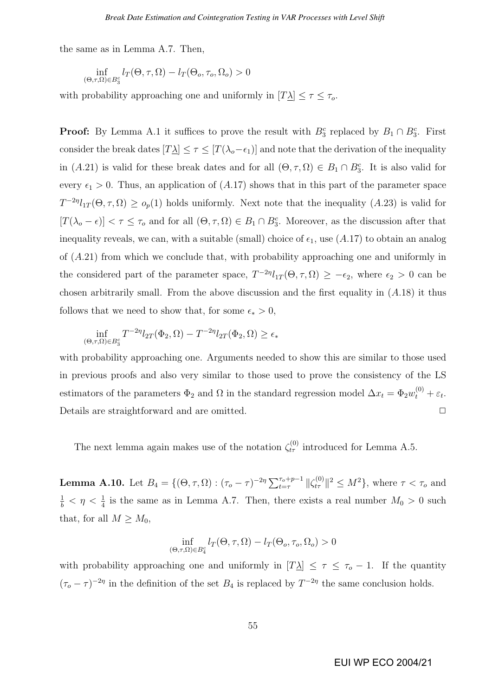the same as in Lemma A.7. Then,

$$
\inf_{(\Theta,\tau,\Omega)\in B_3^c} l_T(\Theta,\tau,\Omega) - l_T(\Theta_o,\tau_o,\Omega_o) > 0
$$

with probability approaching one and uniformly in  $[T\Delta] \leq \tau \leq \tau_o$ .

**Proof:** By Lemma A.1 it suffices to prove the result with  $B_3^c$  replaced by  $B_1 \cap B_3^c$ . First consider the break dates  $[T\underline{\lambda}] \leq \tau \leq [T(\lambda_o - \epsilon_1)]$  and note that the derivation of the inequality in (A.21) is valid for these break dates and for all  $(\Theta, \tau, \Omega) \in B_1 \cap B_3^c$ . It is also valid for every  $\epsilon_1 > 0$ . Thus, an application of  $(A.17)$  shows that in this part of the parameter space  $T^{-2\eta}l_{1T}(\Theta,\tau,\Omega) \geq o_p(1)$  holds uniformly. Next note that the inequality  $(A.23)$  is valid for  $[T(\lambda_{o}-\epsilon)] < \tau \leq \tau_{o}$  and for all  $(\Theta,\tau,\Omega) \in B_{1} \cap B_{3}^{c}$ . Moreover, as the discussion after that inequality reveals, we can, with a suitable (small) choice of  $\epsilon_1$ , use (A.17) to obtain an analog of  $(A.21)$  from which we conclude that, with probability approaching one and uniformly in the considered part of the parameter space,  $T^{-2\eta}l_{1T}(\Theta,\tau,\Omega) \geq -\epsilon_2$ , where  $\epsilon_2 > 0$  can be chosen arbitrarily small. From the above discussion and the first equality in  $(A.18)$  it thus follows that we need to show that, for some  $\epsilon_* > 0$ ,

$$
\inf_{(\Theta,\tau,\Omega)\in B_3^c} T^{-2\eta}l_{2T}(\Phi_2,\Omega) - T^{-2\eta}l_{2T}(\Phi_2,\Omega) \ge \epsilon_*
$$

with probability approaching one. Arguments needed to show this are similar to those used in previous proofs and also very similar to those used to prove the consistency of the LS estimators of the parameters  $\Phi_2$  and  $\Omega$  in the standard regression model  $\Delta x_t = \Phi_2 w_t^{(0)} + \varepsilon_t$ . Details are straightforward and are omitted.  $\Box$ 

The next lemma again makes use of the notation  $\zeta_{t\tau}^{(0)}$  introduced for Lemma A.5.

**Lemma A.10.** Let  $B_4 = \{(\Theta, \tau, \Omega) : (\tau_o - \tau)^{-2\eta} \sum_{t=\tau}^{\tau_o+p-1} ||\zeta_{t\tau}^{(0)}||^2 \le M^2\}$ , where  $\tau < \tau_o$  and  $\frac{1}{b} < \eta < \frac{1}{4}$  is the same as in Lemma A.7. Then, there exists a real number  $M_0 > 0$  such that, for all  $M \geq M_0$ ,

$$
\inf_{(\Theta,\tau,\Omega)\in B_4^c} l_T(\Theta,\tau,\Omega) - l_T(\Theta_o,\tau_o,\Omega_o) > 0
$$

with probability approaching one and uniformly in  $[T\Delta] \leq \tau \leq \tau_o - 1$ . If the quantity  $(\tau_o - \tau)^{-2\eta}$  in the definition of the set  $B_4$  is replaced by  $T^{-2\eta}$  the same conclusion holds.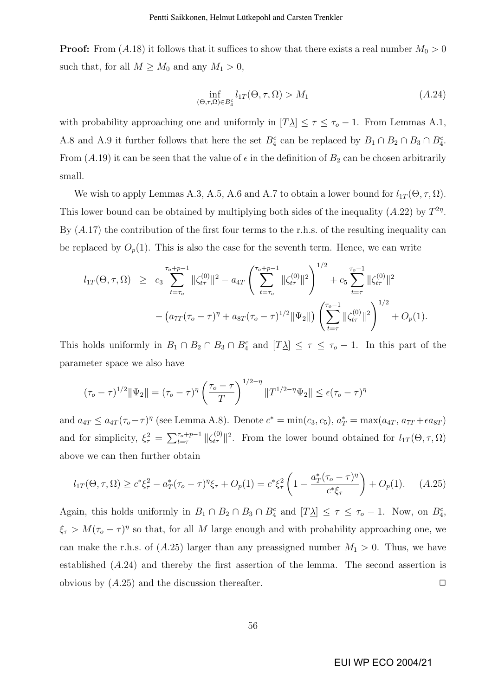**Proof:** From  $(A.18)$  it follows that it suffices to show that there exists a real number  $M_0 > 0$ such that, for all  $M \geq M_0$  and any  $M_1 > 0$ ,

$$
\inf_{\left(\Theta,\tau,\Omega\right)\in B_4^c} l_{1T}(\Theta,\tau,\Omega) > M_1\tag{A.24}
$$

with probability approaching one and uniformly in  $[T_1] \leq \tau \leq \tau_0 - 1$ . From Lemmas A.1, A.8 and A.9 it further follows that here the set  $B_4^c$  can be replaced by  $B_1 \cap B_2 \cap B_3 \cap B_4^c$ . From (A.19) it can be seen that the value of  $\epsilon$  in the definition of  $B_2$  can be chosen arbitrarily small.

We wish to apply Lemmas A.3, A.5, A.6 and A.7 to obtain a lower bound for  $l_{1T}(\Theta, \tau, \Omega)$ . This lower bound can be obtained by multiplying both sides of the inequality  $(A.22)$  by  $T^{2\eta}$ . By  $(A.17)$  the contribution of the first four terms to the r.h.s. of the resulting inequality can be replaced by  $O_p(1)$ . This is also the case for the seventh term. Hence, we can write

$$
l_{1T}(\Theta,\tau,\Omega) \geq c_3 \sum_{t=\tau_o}^{\tau_o+p-1} \|\zeta_{t\tau}^{(0)}\|^2 - a_{4T} \left(\sum_{t=\tau_o}^{\tau_o+p-1} \|\zeta_{t\tau}^{(0)}\|^2\right)^{1/2} + c_5 \sum_{t=\tau}^{\tau_o-1} \|\zeta_{t\tau}^{(0)}\|^2
$$

$$
- \left(a_{7T}(\tau_o-\tau)^{\eta} + a_{8T}(\tau_o-\tau)^{1/2} \|\Psi_2\|\right) \left(\sum_{t=\tau}^{\tau_o-1} \|\zeta_{t\tau}^{(0)}\|^2\right)^{1/2} + O_p(1).
$$

This holds uniformly in  $B_1 \cap B_2 \cap B_3 \cap B_4^c$  and  $[T\underline{\lambda}] \leq \tau \leq \tau_o - 1$ . In this part of the parameter space we also have

$$
(\tau_o - \tau)^{1/2} \|\Psi_2\| = (\tau_o - \tau)^{\eta} \left(\frac{\tau_o - \tau}{T}\right)^{1/2 - \eta} \|T^{1/2 - \eta} \Psi_2\| \le \epsilon (\tau_o - \tau)^{\eta}
$$

and  $a_{4T} \le a_{4T} (\tau_o - \tau)^\eta$  (see Lemma A.8). Denote  $c^* = \min(c_3, c_5)$ ,  $a_T^* = \max(a_{4T}, a_{7T} + \epsilon a_{8T})$ and for simplicity,  $\xi_{\tau}^2$  =  $\nabla^{\tau_o+p-1}$  $\tau_{t=\tau}^{\tau_0+p-1} \|\zeta_{t\tau}^{(0)}\|^2$ . From the lower bound obtained for  $l_{1T}(\Theta, \tau, \Omega)$ above we can then further obtain

$$
l_{1T}(\Theta,\tau,\Omega) \ge c^* \xi_\tau^2 - a_T^* (\tau_o - \tau)^\eta \xi_\tau + O_p(1) = c^* \xi_\tau^2 \left( 1 - \frac{a_T^* (\tau_o - \tau)^\eta}{c^* \xi_\tau} \right) + O_p(1). \tag{A.25}
$$

Again, this holds uniformly in  $B_1 \cap B_2 \cap B_3 \cap B_4^c$  and  $[T\underline{\lambda}] \leq \tau \leq \tau_o - 1$ . Now, on  $B_4^c$ ,  $\xi_{\tau} > M(\tau_o - \tau)^{\eta}$  so that, for all M large enough and with probability approaching one, we can make the r.h.s. of  $(A.25)$  larger than any preassigned number  $M_1 > 0$ . Thus, we have established (A.24) and thereby the first assertion of the lemma. The second assertion is obvious by  $(A.25)$  and the discussion thereafter.  $\Box$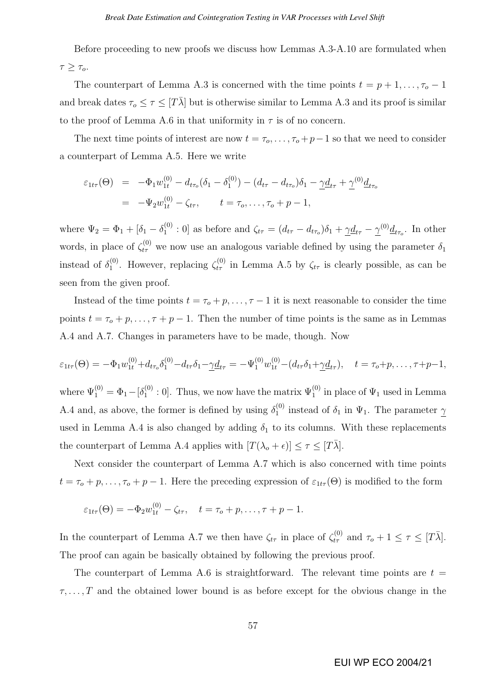Before proceeding to new proofs we discuss how Lemmas A.3-A.10 are formulated when  $\tau \geq \tau_o$ .

The counterpart of Lemma A.3 is concerned with the time points  $t = p + 1, \ldots, \tau_o - 1$ and break dates  $\tau_o \leq \tau \leq [T\bar{\lambda}]$  but is otherwise similar to Lemma A.3 and its proof is similar to the proof of Lemma A.6 in that uniformity in  $\tau$  is of no concern.

The next time points of interest are now  $t = \tau_o, \ldots, \tau_o + p-1$  so that we need to consider a counterpart of Lemma A.5. Here we write

$$
\varepsilon_{1t\tau}(\Theta) = -\Phi_1 w_{1t}^{(0)} - d_{t\tau_o}(\delta_1 - \delta_1^{(0)}) - (d_{t\tau} - d_{t\tau_o})\delta_1 - \underline{\gamma}d_{t\tau} + \underline{\gamma}^{(0)}d_{t\tau_o}
$$
  
= -\Psi\_2 w\_{1t}^{(0)} - \zeta\_{t\tau}, \qquad t = \tau\_o, \dots, \tau\_o + p - 1,

where  $\Psi_2 = \Phi_1 + [\delta_1 - \delta_1^{(0)}]$  $\Omega_1^{(0)}$  : 0] as before and  $\zeta_{t\tau} = (d_{t\tau} - d_{t\tau_o})\delta_1 + \underline{\gamma}\underline{d}_{t\tau} - \underline{\gamma}^{(0)}\underline{d}_{t\tau_o}$ . In other words, in place of  $\zeta_{t\tau}^{(0)}$  we now use an analogous variable defined by using the parameter  $\delta_1$ instead of  $\delta_1^{(0)}$ <sup>(0)</sup>. However, replacing  $\zeta_{t\tau}^{(0)}$  in Lemma A.5 by  $\zeta_{t\tau}$  is clearly possible, as can be seen from the given proof.

Instead of the time points  $t = \tau_o + p, \ldots, \tau - 1$  it is next reasonable to consider the time points  $t = \tau_o + p, \ldots, \tau + p - 1$ . Then the number of time points is the same as in Lemmas A.4 and A.7. Changes in parameters have to be made, though. Now

$$
\varepsilon_{1t\tau}(\Theta) = -\Phi_1 w_{1t}^{(0)} + d_{t\tau_o} \delta_1^{(0)} - d_{t\tau} \delta_1 - \underline{\gamma} \underline{d}_{t\tau} = -\Psi_1^{(0)} w_{1t}^{(0)} - (d_{t\tau} \delta_1 + \underline{\gamma} \underline{d}_{t\tau}), \quad t = \tau_o + p, \dots, \tau + p - 1,
$$

where  $\Psi_1^{(0)} = \Phi_1 - [\delta_1^{(0)}]$  $_1^{(0)}$ : 0]. Thus, we now have the matrix  $\Psi_1^{(0)}$  in place of  $\Psi_1$  used in Lemma A.4 and, as above, the former is defined by using  $\delta_1^{(0)}$  $i_1^{(0)}$  instead of  $\delta_1$  in  $\Psi_1$ . The parameter  $\gamma$ used in Lemma A.4 is also changed by adding  $\delta_1$  to its columns. With these replacements the counterpart of Lemma A.4 applies with  $[T(\lambda_o + \epsilon)] \leq \tau \leq [T\overline{\lambda}]$ .

Next consider the counterpart of Lemma A.7 which is also concerned with time points  $t = \tau_o + p, \ldots, \tau_o + p - 1$ . Here the preceding expression of  $\varepsilon_{1t\tau}(\Theta)$  is modified to the form

$$
\varepsilon_{1t\tau}(\Theta) = -\Phi_2 w_{1t}^{(0)} - \zeta_{t\tau}, \quad t = \tau_o + p, \dots, \tau + p - 1.
$$

In the counterpart of Lemma A.7 we then have  $\zeta_{t\tau}$  in place of  $\zeta_{t\tau}^{(0)}$  and  $\tau_o + 1 \leq \tau \leq [T\bar{\lambda}]$ . The proof can again be basically obtained by following the previous proof.

The counterpart of Lemma A.6 is straightforward. The relevant time points are  $t =$  $\tau, \ldots, T$  and the obtained lower bound is as before except for the obvious change in the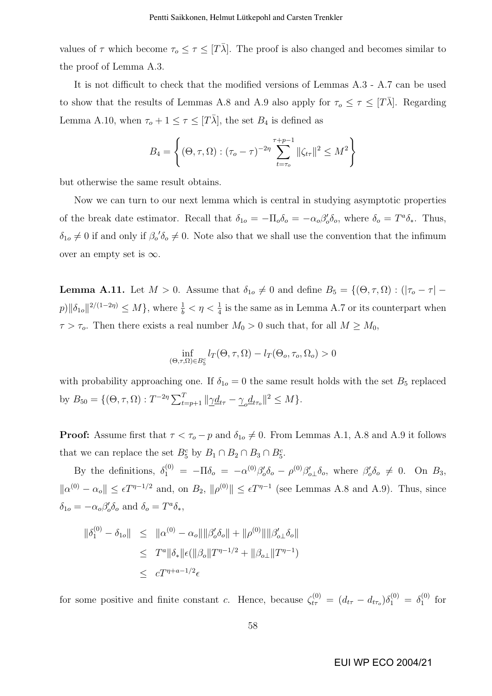values of  $\tau$  which become  $\tau_o \leq \tau \leq [T\overline{\lambda}]$ . The proof is also changed and becomes similar to the proof of Lemma A.3.

It is not difficult to check that the modified versions of Lemmas A.3 - A.7 can be used to show that the results of Lemmas A.8 and A.9 also apply for  $\tau_o \leq \tau \leq [T\bar{\lambda}]$ . Regarding Lemma A.10, when  $\tau_o + 1 \leq \tau \leq [T\overline{\lambda}]$ , the set  $B_4$  is defined as

$$
B_4 = \left\{ (\Theta, \tau, \Omega) : (\tau_o - \tau)^{-2\eta} \sum_{t=\tau_o}^{\tau+p-1} ||\zeta_{t\tau}||^2 \le M^2 \right\}
$$

but otherwise the same result obtains.

Now we can turn to our next lemma which is central in studying asymptotic properties of the break date estimator. Recall that  $\delta_{1o} = -\Pi_o \delta_o = -\alpha_o \beta_o' \delta_o$ , where  $\delta_o = T^a \delta_*$ . Thus,  $\delta_{1o} \neq 0$  if and only if  $\beta_o' \delta_o \neq 0$ . Note also that we shall use the convention that the infimum over an empty set is  $\infty$ .

**Lemma A.11.** Let  $M > 0$ . Assume that  $\delta_{1o} \neq 0$  and define  $B_5 = \{(\Theta, \tau, \Omega) : (|\tau_o - \tau|$  $p\|\delta_{1o}\|^{2/(1-2\eta)} \le M$ , where  $\frac{1}{b} < \eta < \frac{1}{4}$  is the same as in Lemma A.7 or its counterpart when  $\tau > \tau_o$ . Then there exists a real number  $M_0 > 0$  such that, for all  $M \ge M_0$ ,

$$
\inf_{(\Theta,\tau,\Omega)\in B_5^c} l_T(\Theta,\tau,\Omega) - l_T(\Theta_o,\tau_o,\Omega_o) > 0
$$

with probability approaching one. If  $\delta_{1o} = 0$  the same result holds with the set  $B_5$  replaced by  $B_{50} = \{(\Theta, \tau, \Omega) : T^{-2\eta} \sum_{t=p+1}^{T} ||\underline{\gamma} \underline{d}_{t\tau} - \underline{\gamma}_o \underline{d}_{t\tau_o}||^2 \leq M\}.$ 

**Proof:** Assume first that  $\tau < \tau_o - p$  and  $\delta_{1o} \neq 0$ . From Lemmas A.1, A.8 and A.9 it follows that we can replace the set  $B_5^c$  by  $B_1 \cap B_2 \cap B_3 \cap B_5^c$ .

By the definitions,  $\delta_1^{(0)} = -\Pi \delta_o = -\alpha^{(0)} \beta_o' \delta_o - \rho^{(0)} \beta_{o\perp}' \delta_o$ , where  $\beta_o' \delta_o \neq 0$ . On  $B_3$ ,  $\|\alpha^{(0)} - \alpha_o\| \leq \epsilon T^{\eta-1/2}$  and, on  $B_2$ ,  $\|\rho^{(0)}\| \leq \epsilon T^{\eta-1}$  (see Lemmas A.8 and A.9). Thus, since  $\delta_{1o} = -\alpha_o \beta_o' \delta_o$  and  $\delta_o = T^a \delta_*$ ,

$$
\begin{array}{rcl} \|\delta_1^{(0)} - \delta_{1o} \| & \leq & \|\alpha^{(0)} - \alpha_o\| \|\beta_o' \delta_o\| + \|\rho^{(0)}\| \|\beta_{o\perp}' \delta_o\| \\ & \leq & T^a \|\delta_*\| \epsilon(\|\beta_o\| T^{\eta - 1/2} + \|\beta_{o\perp}\| T^{\eta - 1}) \\ & \leq & c T^{\eta + a - 1/2} \epsilon \end{array}
$$

for some positive and finite constant c. Hence, because  $\zeta_{t\tau}^{(0)} = (d_{t\tau} - d_{t\tau_o})\delta_1^{(0)} = \delta_1^{(0)}$  $_1^{(0)}$  for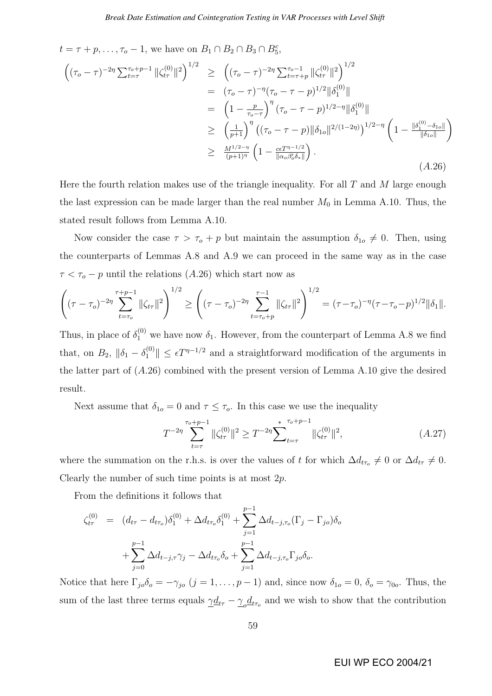$t = \tau + p, \ldots, \tau_o - 1$ , we have on  $B_1 \cap B_2 \cap B_3 \cap B_5^c$ ,

$$
\begin{split}\n\left( (\tau_o - \tau)^{-2\eta} \sum_{t=\tau}^{\tau_o + p-1} \|\zeta_{t\tau}^{(0)}\|^2 \right)^{1/2} &\geq \left( (\tau_o - \tau)^{-2\eta} \sum_{t=\tau+p}^{\tau_o - 1} \|\zeta_{t\tau}^{(0)}\|^2 \right)^{1/2} \\
&= (\tau_o - \tau)^{-\eta} (\tau_o - \tau - p)^{1/2} \|\delta_1^{(0)}\| \\
&= \left( 1 - \frac{p}{\tau_o - \tau} \right)^{\eta} (\tau_o - \tau - p)^{1/2 - \eta} \|\delta_1^{(0)}\| \\
&\geq \left( \frac{1}{p+1} \right)^{\eta} \left( (\tau_o - \tau - p) \|\delta_{1o}\|^{2/(1-2\eta)} \right)^{1/2 - \eta} \left( 1 - \frac{\|\delta_1^{(0)} - \delta_{1o}\|}{\|\delta_{1o}\|} \right) \\
&\geq \frac{M^{1/2 - \eta}}{(p+1)^{\eta}} \left( 1 - \frac{c\epsilon T^{\eta - 1/2}}{\|\alpha_o \beta_o' \delta_*\|} \right).\n\end{split}
$$
\n(A.26)

Here the fourth relation makes use of the triangle inequality. For all  $T$  and  $M$  large enough the last expression can be made larger than the real number  $M_0$  in Lemma A.10. Thus, the stated result follows from Lemma A.10.

Now consider the case  $\tau > \tau_o + p$  but maintain the assumption  $\delta_{1o} \neq 0$ . Then, using the counterparts of Lemmas A.8 and A.9 we can proceed in the same way as in the case  $\tau < \tau_o - p$  until the relations (A.26) which start now as

$$
\left((\tau-\tau_o)^{-2\eta}\sum_{t=\tau_o}^{\tau+p-1}\|\zeta_{t\tau}\|^2\right)^{1/2}\geq \left((\tau-\tau_o)^{-2\eta}\sum_{t=\tau_o+p}^{\tau-1}\|\zeta_{t\tau}\|^2\right)^{1/2}=(\tau-\tau_o)^{-\eta}(\tau-\tau_o-p)^{1/2}\|\delta_1\|.
$$

Thus, in place of  $\delta_1^{(0)}$  we have now  $\delta_1$ . However, from the counterpart of Lemma A.8 we find that, on  $B_2$ ,  $\|\delta_1 - \delta_1^{(0)}\| \leq \epsilon T^{\eta-1/2}$  and a straightforward modification of the arguments in the latter part of (A.26) combined with the present version of Lemma A.10 give the desired result.

Next assume that  $\delta_{1o} = 0$  and  $\tau \leq \tau_o$ . In this case we use the inequality

$$
T^{-2\eta} \sum_{t=\tau}^{\tau_o+p-1} \|\zeta_{t\tau}^{(0)}\|^2 \ge T^{-2\eta} \sum_{t=\tau}^* \sum_{t=\tau}^{\tau_o+p-1} \|\zeta_{t\tau}^{(0)}\|^2, \tag{A.27}
$$

where the summation on the r.h.s. is over the values of t for which  $\Delta d_{t\tau_o} \neq 0$  or  $\Delta d_{t\tau} \neq 0$ . Clearly the number of such time points is at most  $2p$ .

From the definitions it follows that

$$
\zeta_{t\tau}^{(0)} = (d_{t\tau} - d_{t\tau_o})\delta_1^{(0)} + \Delta d_{t\tau_o}\delta_1^{(0)} + \sum_{j=1}^{p-1} \Delta d_{t-j,\tau_o}(\Gamma_j - \Gamma_{jo})\delta_o \n+ \sum_{j=0}^{p-1} \Delta d_{t-j,\tau}\gamma_j - \Delta d_{t\tau_o}\delta_o + \sum_{j=1}^{p-1} \Delta d_{t-j,\tau_o}\Gamma_{jo}\delta_o.
$$

Notice that here  $\Gamma_{jo}\delta_o = -\gamma_{jo}$   $(j = 1, \ldots, p-1)$  and, since now  $\delta_{1o} = 0$ ,  $\delta_o = \gamma_{0o}$ . Thus, the sum of the last three terms equals  $\underline{\gamma}d_{t\tau} - \underline{\gamma}_o d_{t\tau_o}$  and we wish to show that the contribution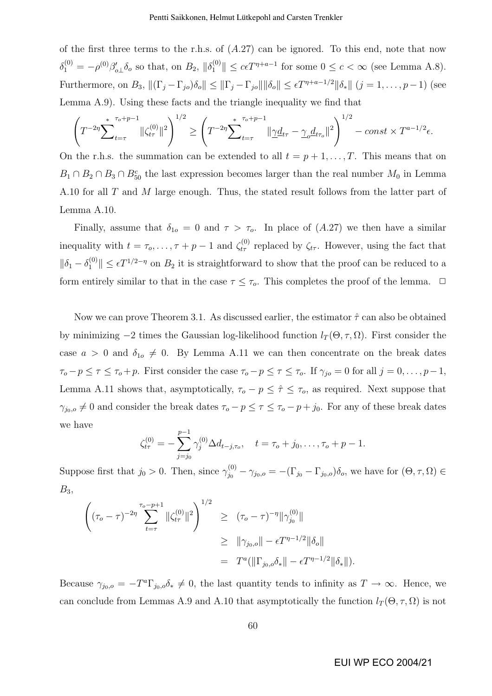of the first three terms to the r.h.s. of  $(A.27)$  can be ignored. To this end, note that now  $\delta_1^{(0)} = -\rho^{(0)}\beta'_{o\perp}\delta_o$  so that, on  $B_2$ ,  $\|\delta_1^{(0)}\| \le c\epsilon T^{\eta+a-1}$  for some  $0 \le c < \infty$  (see Lemma A.8). Furthermore, on  $B_3$ ,  $\|(\Gamma_j - \Gamma_{jo})\delta_o\| \leq \|\Gamma_j - \Gamma_{jo}\| \|\delta_o\| \leq \epsilon T^{\eta + \alpha - 1/2} \|\delta_*\|$   $(j = 1, \ldots, p-1)$  (see Lemma A.9). Using these facts and the triangle inequality we find that

$$
\left(T^{-2\eta} \sum_{t=\tau}^* \|\zeta_{t\tau}^{(0)}\|^2\right)^{1/2} \ge \left(T^{-2\eta} \sum_{t=\tau}^* \|\underline{\gamma}d_{t\tau} - \underline{\gamma}_o d_{t\tau_o}\|^2\right)^{1/2} - const \times T^{a-1/2}\epsilon.
$$

On the r.h.s. the summation can be extended to all  $t = p + 1, \ldots, T$ . This means that on  $B_1 \cap B_2 \cap B_3 \cap B_{50}^c$  the last expression becomes larger than the real number  $M_0$  in Lemma A.10 for all T and M large enough. Thus, the stated result follows from the latter part of Lemma A.10.

Finally, assume that  $\delta_{1o} = 0$  and  $\tau > \tau_o$ . In place of  $(A.27)$  we then have a similar inequality with  $t = \tau_o, \ldots, \tau + p - 1$  and  $\zeta_{t\tau}^{(0)}$  replaced by  $\zeta_{t\tau}$ . However, using the fact that  $\|\delta_1 - \delta_1^{(0)}\| \leq \epsilon T^{1/2-\eta}$  on  $B_2$  it is straightforward to show that the proof can be reduced to a form entirely similar to that in the case  $\tau \leq \tau_o$ . This completes the proof of the lemma.  $\Box$ 

Now we can prove Theorem 3.1. As discussed earlier, the estimator  $\hat{\tau}$  can also be obtained by minimizing  $-2$  times the Gaussian log-likelihood function  $l_T(\Theta, \tau, \Omega)$ . First consider the case  $a > 0$  and  $\delta_{1o} \neq 0$ . By Lemma A.11 we can then concentrate on the break dates  $\tau_o - p \leq \tau \leq \tau_o + p$ . First consider the case  $\tau_o - p \leq \tau \leq \tau_o$ . If  $\gamma_{jo} = 0$  for all  $j = 0, \ldots, p-1$ , Lemma A.11 shows that, asymptotically,  $\tau_o - p \leq \hat{\tau} \leq \tau_o$ , as required. Next suppose that  $\gamma_{j_0,o} \neq 0$  and consider the break dates  $\tau_o - p \leq \tau \leq \tau_o - p + j_0$ . For any of these break dates we have

$$
\zeta_{t\tau}^{(0)} = -\sum_{j=j_0}^{p-1} \gamma_j^{(0)} \Delta d_{t-j,\tau_o}, \quad t = \tau_o + j_0, \dots, \tau_o + p - 1.
$$

Suppose first that  $j_0 > 0$ . Then, since  $\gamma_{j_0}^{(0)} - \gamma_{j_0,0} = -(\Gamma_{j_0} - \Gamma_{j_0,0})\delta_o$ , we have for  $(\Theta, \tau, \Omega) \in$  $B_3$ 

$$
\begin{aligned}\n\left( (\tau_o - \tau)^{-2\eta} \sum_{t=\tau}^{\tau_o - p + 1} \|\zeta_{t\tau}^{(0)}\|^2 \right)^{1/2} &\geq (\tau_o - \tau)^{-\eta} \|\gamma_{j_0}^{(0)}\| \\
&\geq \|\gamma_{j_0, o}\| - \epsilon T^{\eta - 1/2} \|\delta_o\| \\
&= T^a (\|\Gamma_{j_0, o} \delta_*\| - \epsilon T^{\eta - 1/2} \|\delta_*\|).\n\end{aligned}
$$

Because  $\gamma_{j_0,o} = -T^a \Gamma_{j_0,o} \delta_* \neq 0$ , the last quantity tends to infinity as  $T \to \infty$ . Hence, we can conclude from Lemmas A.9 and A.10 that asymptotically the function  $l_T(\Theta, \tau, \Omega)$  is not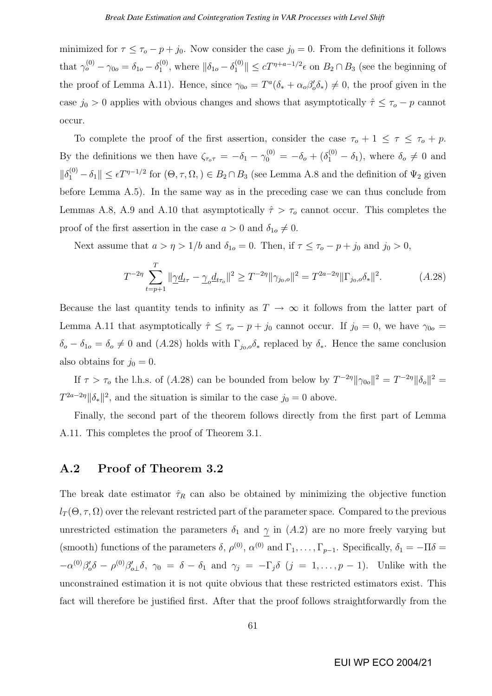minimized for  $\tau \leq \tau_o - p + j_0$ . Now consider the case  $j_0 = 0$ . From the definitions it follows that  $\gamma_o^{(0)} - \gamma_{0o} = \delta_{1o} - \delta_1^{(0)}$ <sup>(0)</sup>, where  $\|\delta_{1o} - \delta_1^{(0)}\| \le cT^{\eta + a - 1/2}\epsilon$  on  $B_2 \cap B_3$  (see the beginning of the proof of Lemma A.11). Hence, since  $\gamma_{0o} = T^a(\delta_* + \alpha_o \beta_o' \delta_*) \neq 0$ , the proof given in the case  $j_0 > 0$  applies with obvious changes and shows that asymptotically  $\hat{\tau} \leq \tau_o - p$  cannot occur.

To complete the proof of the first assertion, consider the case  $\tau_o + 1 \leq \tau \leq \tau_o + p$ . By the definitions we then have  $\zeta_{\tau_o \tau} = -\delta_1 - \gamma_0^{(0)} = -\delta_o + (\delta_1^{(0)} - \delta_1)$ , where  $\delta_o \neq 0$  and  $\|\delta_1^{(0)} - \delta_1\| \leq \epsilon T^{\eta-1/2}$  for  $(\Theta, \tau, \Omega) \in B_2 \cap B_3$  (see Lemma A.8 and the definition of  $\Psi_2$  given before Lemma A.5). In the same way as in the preceding case we can thus conclude from Lemmas A.8, A.9 and A.10 that asymptotically  $\hat{\tau} > \tau_o$  cannot occur. This completes the proof of the first assertion in the case  $a > 0$  and  $\delta_{1o} \neq 0$ .

Next assume that  $a > \eta > 1/b$  and  $\delta_{1o} = 0$ . Then, if  $\tau \le \tau_o - p + j_0$  and  $j_0 > 0$ ,

$$
T^{-2\eta} \sum_{t=p+1}^{T} \|\underline{\gamma}d_{t\tau} - \underline{\gamma}_o d_{t\tau_o}\|^2 \ge T^{-2\eta} \|\gamma_{j_0,o}\|^2 = T^{2a-2\eta} \|\Gamma_{j_0,o}\delta_*\|^2. \tag{A.28}
$$

Because the last quantity tends to infinity as  $T \to \infty$  it follows from the latter part of Lemma A.11 that asymptotically  $\hat{\tau} \leq \tau_o - p + j_0$  cannot occur. If  $j_0 = 0$ , we have  $\gamma_{0o} =$  $\delta_o - \delta_{1o} = \delta_o \neq 0$  and  $(A.28)$  holds with  $\Gamma_{j_0,o} \delta_*$  replaced by  $\delta_*$ . Hence the same conclusion also obtains for  $j_0 = 0$ .

If  $\tau > \tau_o$  the l.h.s. of (A.28) can be bounded from below by  $T^{-2\eta} \|\gamma_{0o}\|^2 = T^{-2\eta} \|\delta_o\|^2 =$  $T^{2a-2\eta} \|\delta_*\|^2$ , and the situation is similar to the case  $j_0 = 0$  above.

Finally, the second part of the theorem follows directly from the first part of Lemma A.11. This completes the proof of Theorem 3.1.

### A.2 Proof of Theorem 3.2

The break date estimator  $\hat{\tau}_R$  can also be obtained by minimizing the objective function  $l_T(\Theta, \tau, \Omega)$  over the relevant restricted part of the parameter space. Compared to the previous unrestricted estimation the parameters  $\delta_1$  and  $\gamma$  in  $(A.2)$  are no more freely varying but (smooth) functions of the parameters  $\delta$ ,  $\rho^{(0)}$ ,  $\alpha^{(0)}$  and  $\Gamma_1, \ldots, \Gamma_{p-1}$ . Specifically,  $\delta_1 = -\Pi \delta =$  $-\alpha^{(0)}\beta'_{o}\delta - \rho^{(0)}\beta'_{o}\delta$ ,  $\gamma_0 = \delta - \delta_1$  and  $\gamma_j = -\Gamma_j\delta$   $(j = 1, \ldots, p-1)$ . Unlike with the unconstrained estimation it is not quite obvious that these restricted estimators exist. This fact will therefore be justified first. After that the proof follows straightforwardly from the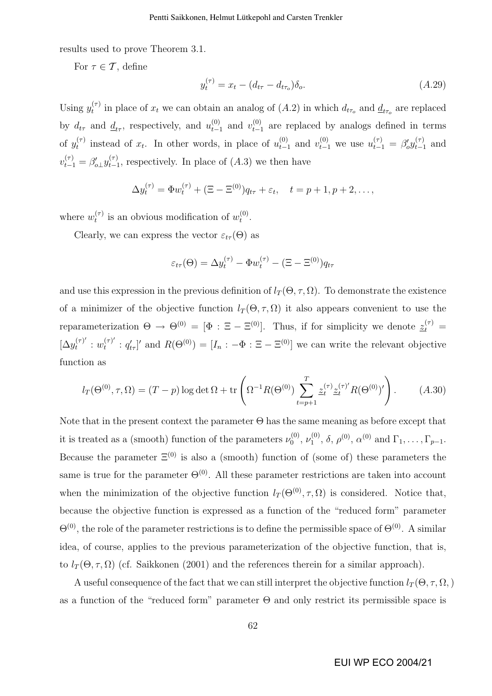results used to prove Theorem 3.1.

For  $\tau \in \mathcal{T}$ , define

$$
y_t^{(\tau)} = x_t - (d_{t\tau} - d_{t\tau_o})\delta_o.
$$
\n(A.29)

Using  $y_t^{(\tau)}$ <sup>( $\tau$ </sup>) in place of  $x_t$  we can obtain an analog of  $(A.2)$  in which  $d_{t\tau_o}$  and  $\underline{d}_{t\tau_o}$  are replaced by  $d_{t\tau}$  and  $\underline{d}_{t\tau}$ , respectively, and  $u_{t-1}^{(0)}$  $_{t-1}^{(0)}$  and  $v_{t-1}^{(0)}$  $_{t-1}^{(0)}$  are replaced by analogs defined in terms of  $y_t^{(\tau)}$  $t_t^{(\tau)}$  instead of  $x_t$ . In other words, in place of  $u_{t-1}^{(0)}$  $t_{t-1}^{(0)}$  and  $v_{t-1}^{(0)}$  we use  $u_{t-1}^{(\tau)} = \beta_0' y_{t-1}^{(\tau)}$  $_{t-1}^{(\tau)}$  and  $v_{t-1}^{(\tau)} = \beta'_{o\perp} y_{t-1}^{(\tau)}$  $_{t-1}^{(\tau)}$ , respectively. In place of  $(A.3)$  we then have

$$
\Delta y_t^{(\tau)} = \Phi w_t^{(\tau)} + (\Xi - \Xi^{(0)})q_{t\tau} + \varepsilon_t, \quad t = p + 1, p + 2, \dots,
$$

where  $w_t^{(\tau)}$  $t_t^{(\tau)}$  is an obvious modification of  $w_t^{(0)}$  $\mathbf{t}^{(0)}$  .

Clearly, we can express the vector  $\varepsilon_{t\tau}(\Theta)$  as

$$
\varepsilon_{t\tau}(\Theta) = \Delta y_t^{(\tau)} - \Phi w_t^{(\tau)} - (\Xi - \Xi^{(0)}) q_{t\tau}
$$

and use this expression in the previous definition of  $l_T(\Theta, \tau, \Omega)$ . To demonstrate the existence of a minimizer of the objective function  $l_T(\Theta, \tau, \Omega)$  it also appears convenient to use the reparameterization  $\Theta \to \Theta^{(0)} = [\Phi : \Xi - \Xi^{(0)}]$ . Thus, if for simplicity we denote  $\underline{z}_t^{(\tau)} =$  $[\Delta y_t^{(\tau)}]$  $u_t^{(\tau)'}: w_t^{(\tau)'}$  $t_t^{(\tau)}$ :  $q'_{t\tau}$ ]' and  $R(\Theta^{(0)}) = [I_n: -\Phi: \Xi - \Xi^{(0)}]$  we can write the relevant objective function as

$$
l_T(\Theta^{(0)}, \tau, \Omega) = (T - p) \log \det \Omega + \text{tr}\left(\Omega^{-1} R(\Theta^{(0)}) \sum_{t=p+1}^T \underline{z}_t^{(\tau)} \underline{z}_t^{(\tau)'} R(\Theta^{(0)})'\right). \tag{A.30}
$$

Note that in the present context the parameter  $\Theta$  has the same meaning as before except that it is treated as a (smooth) function of the parameters  $\nu_0^{(0)}$  $\overset{(0)}{\nu_1},\, \overset{(0)}{\nu_1}$  $1^{(0)}$ ,  $\delta$ ,  $\rho^{(0)}$ ,  $\alpha^{(0)}$  and  $\Gamma_1, \ldots, \Gamma_{p-1}$ . Because the parameter  $\Xi^{(0)}$  is also a (smooth) function of (some of) these parameters the same is true for the parameter  $\Theta^{(0)}$ . All these parameter restrictions are taken into account when the minimization of the objective function  $l_T(\Theta^{(0)}, \tau, \Omega)$  is considered. Notice that, because the objective function is expressed as a function of the "reduced form" parameter  $\Theta^{(0)}$ , the role of the parameter restrictions is to define the permissible space of  $\Theta^{(0)}$ . A similar idea, of course, applies to the previous parameterization of the objective function, that is, to  $l_T(\Theta, \tau, \Omega)$  (cf. Saikkonen (2001) and the references therein for a similar approach).

A useful consequence of the fact that we can still interpret the objective function  $l_T(\Theta, \tau, \Omega)$ , as a function of the "reduced form" parameter  $\Theta$  and only restrict its permissible space is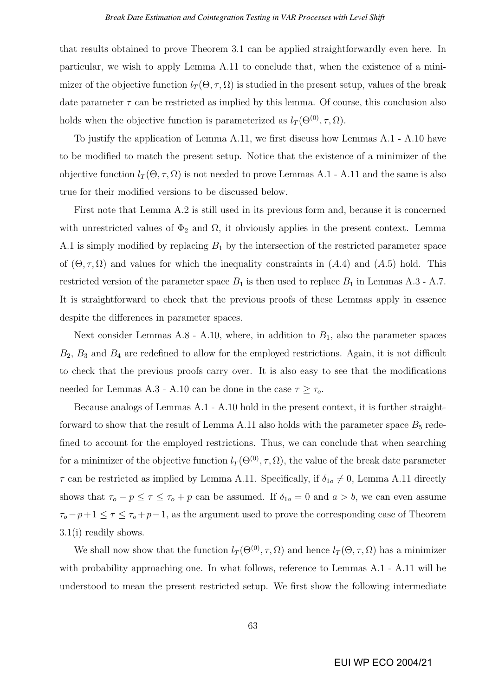that results obtained to prove Theorem 3.1 can be applied straightforwardly even here. In particular, we wish to apply Lemma A.11 to conclude that, when the existence of a minimizer of the objective function  $l_T(\Theta, \tau, \Omega)$  is studied in the present setup, values of the break date parameter  $\tau$  can be restricted as implied by this lemma. Of course, this conclusion also holds when the objective function is parameterized as  $l_T(\Theta^{(0)}, \tau, \Omega)$ .

To justify the application of Lemma A.11, we first discuss how Lemmas A.1 - A.10 have to be modified to match the present setup. Notice that the existence of a minimizer of the objective function  $l_T(\Theta, \tau, \Omega)$  is not needed to prove Lemmas A.1 - A.11 and the same is also true for their modified versions to be discussed below.

First note that Lemma A.2 is still used in its previous form and, because it is concerned with unrestricted values of  $\Phi_2$  and  $\Omega$ , it obviously applies in the present context. Lemma A.1 is simply modified by replacing  $B_1$  by the intersection of the restricted parameter space of  $(\Theta, \tau, \Omega)$  and values for which the inequality constraints in  $(A.4)$  and  $(A.5)$  hold. This restricted version of the parameter space  $B_1$  is then used to replace  $B_1$  in Lemmas A.3 - A.7. It is straightforward to check that the previous proofs of these Lemmas apply in essence despite the differences in parameter spaces.

Next consider Lemmas  $A.8$  -  $A.10$ , where, in addition to  $B<sub>1</sub>$ , also the parameter spaces  $B_2$ ,  $B_3$  and  $B_4$  are redefined to allow for the employed restrictions. Again, it is not difficult to check that the previous proofs carry over. It is also easy to see that the modifications needed for Lemmas A.3 - A.10 can be done in the case  $\tau \geq \tau_o$ .

Because analogs of Lemmas A.1 - A.10 hold in the present context, it is further straightforward to show that the result of Lemma A.11 also holds with the parameter space  $B_5$  redefined to account for the employed restrictions. Thus, we can conclude that when searching for a minimizer of the objective function  $l_T(\Theta^{(0)}, \tau, \Omega)$ , the value of the break date parameter  $\tau$  can be restricted as implied by Lemma A.11. Specifically, if  $\delta_{1o} \neq 0$ , Lemma A.11 directly shows that  $\tau_o - p \leq \tau \leq \tau_o + p$  can be assumed. If  $\delta_{1o} = 0$  and  $a > b$ , we can even assume  $\tau_o - p + 1 \leq \tau \leq \tau_o + p - 1$ , as the argument used to prove the corresponding case of Theorem 3.1(i) readily shows.

We shall now show that the function  $l_T(\Theta^{(0)}, \tau, \Omega)$  and hence  $l_T(\Theta, \tau, \Omega)$  has a minimizer with probability approaching one. In what follows, reference to Lemmas A.1 - A.11 will be understood to mean the present restricted setup. We first show the following intermediate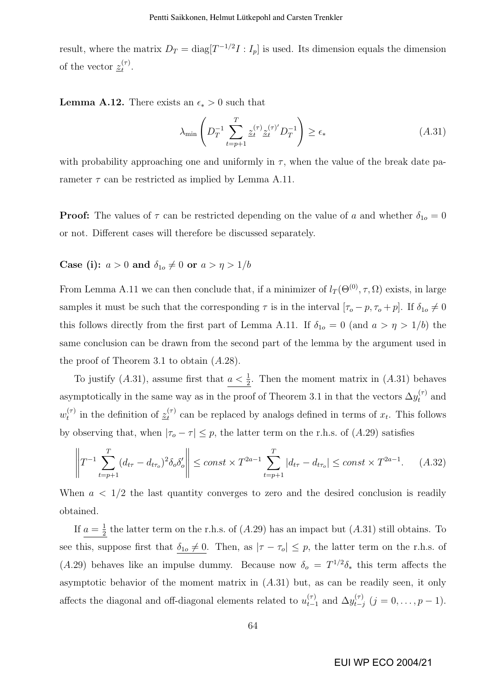result, where the matrix  $D_T = \text{diag}[T^{-1/2}I : I_p]$  is used. Its dimension equals the dimension of the vector  $z_t^{(\tau)}$  $\overset{(\tau)}{t}.$ 

**Lemma A.12.** There exists an  $\epsilon_* > 0$  such that

$$
\lambda_{\min} \left( D_T^{-1} \sum_{t=p+1}^T \underline{z}_t^{(\tau)} \underline{z}_t^{(\tau)} D_T^{-1} \right) \ge \epsilon_* \tag{A.31}
$$

with probability approaching one and uniformly in  $\tau$ , when the value of the break date parameter  $\tau$  can be restricted as implied by Lemma A.11.

**Proof:** The values of  $\tau$  can be restricted depending on the value of a and whether  $\delta_{1o} = 0$ or not. Different cases will therefore be discussed separately.

## Case (i):  $a > 0$  and  $\delta_{1o} \neq 0$  or  $a > \eta > 1/b$

From Lemma A.11 we can then conclude that, if a minimizer of  $l_T(\Theta^{(0)}, \tau, \Omega)$  exists, in large samples it must be such that the corresponding  $\tau$  is in the interval  $[\tau_o - p, \tau_o + p]$ . If  $\delta_{1o} \neq 0$ this follows directly from the first part of Lemma A.11. If  $\delta_{1o} = 0$  (and  $a > \eta > 1/b$ ) the same conclusion can be drawn from the second part of the lemma by the argument used in the proof of Theorem 3.1 to obtain (A.28).

To justify (A.31), assume first that  $a < \frac{1}{2}$ . Then the moment matrix in (A.31) behaves asymptotically in the same way as in the proof of Theorem 3.1 in that the vectors  $\Delta y_t^{(\tau)}$  and  $w_t^{(\tau)}$  $t_t^{(\tau)}$  in the definition of  $\underline{z}_t^{(\tau)}$  $t^{(\tau)}$  can be replaced by analogs defined in terms of  $x_t$ . This follows by observing that, when  $|\tau_o - \tau| \leq p$ , the latter term on the r.h.s. of (A.29) satisfies

$$
\left\| T^{-1} \sum_{t=p+1}^{T} (d_{t\tau} - d_{t\tau_o})^2 \delta_o \delta_o' \right\| \le \text{const} \times T^{2a-1} \sum_{t=p+1}^{T} |d_{t\tau} - d_{t\tau_o}| \le \text{const} \times T^{2a-1}.
$$
 (A.32)

When  $a < 1/2$  the last quantity converges to zero and the desired conclusion is readily obtained.

If  $a=\frac{1}{2}$  $\frac{1}{2}$  the latter term on the r.h.s. of  $(A.29)$  has an impact but  $(A.31)$  still obtains. To see this, suppose first that  $\delta_{1o} \neq 0$ . Then, as  $|\tau - \tau_o| \leq p$ , the latter term on the r.h.s. of (A.29) behaves like an impulse dummy. Because now  $\delta_o = T^{1/2} \delta_*$  this term affects the asymptotic behavior of the moment matrix in  $(A.31)$  but, as can be readily seen, it only affects the diagonal and off-diagonal elements related to  $u_{t-}^{(\tau)}$  $_{t-1}^{(\tau)}$  and  $\Delta y_{t-j}^{(\tau)}$  $_{t-j}^{(\tau)}$   $(j = 0, \ldots, p-1).$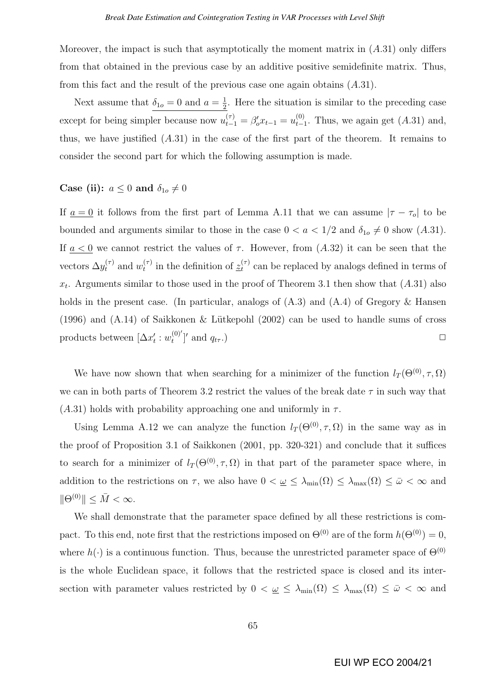Moreover, the impact is such that asymptotically the moment matrix in  $(A.31)$  only differs from that obtained in the previous case by an additive positive semidefinite matrix. Thus, from this fact and the result of the previous case one again obtains  $(A.31)$ .

Next assume that  $\delta_{1o} = 0$  and  $a = \frac{1}{2}$  $\frac{1}{2}$ . Here the situation is similar to the preceding case except for being simpler because now  $u_{t-1}^{(\tau)} = \beta_o' x_{t-1} = u_{t-1}^{(0)}$  $_{t-1}^{(0)}$ . Thus, we again get  $(A.31)$  and, thus, we have justified  $(A.31)$  in the case of the first part of the theorem. It remains to consider the second part for which the following assumption is made.

### Case (ii):  $a \leq 0$  and  $\delta_{1o} \neq 0$

If  $a = 0$  it follows from the first part of Lemma A.11 that we can assume  $|\tau - \tau_o|$  to be bounded and arguments similar to those in the case  $0 < a < 1/2$  and  $\delta_{10} \neq 0$  show  $(A.31)$ . If  $a < 0$  we cannot restrict the values of  $\tau$ . However, from  $(A.32)$  it can be seen that the vectors  $\Delta y_t^{(\tau)}$  and  $w_t^{(\tau)}$  $t_t^{(\tau)}$  in the definition of  $\underline{z}_t^{(\tau)}$  $t<sub>t</sub><sup>(7)</sup>$  can be replaced by analogs defined in terms of  $x_t$ . Arguments similar to those used in the proof of Theorem 3.1 then show that  $(A.31)$  also holds in the present case. (In particular, analogs of  $(A.3)$  and  $(A.4)$  of Gregory & Hansen (1996) and  $(A.14)$  of Saikkonen & Lütkepohl  $(2002)$  can be used to handle sums of cross products between  $[\Delta x'_t : w_t^{(0)}]$  $\left[\begin{smallmatrix} (0)' \ t' \end{smallmatrix}\right]'$  and  $q_{t\tau}$ .)

We have now shown that when searching for a minimizer of the function  $l_T(\Theta^{(0)}, \tau, \Omega)$ we can in both parts of Theorem 3.2 restrict the values of the break date  $\tau$  in such way that  $(A.31)$  holds with probability approaching one and uniformly in  $\tau$ .

Using Lemma A.12 we can analyze the function  $l_T(\Theta^{(0)}, \tau, \Omega)$  in the same way as in the proof of Proposition 3.1 of Saikkonen (2001, pp. 320-321) and conclude that it suffices to search for a minimizer of  $l_T(\Theta^{(0)}, \tau, \Omega)$  in that part of the parameter space where, in addition to the restrictions on  $\tau$ , we also have  $0 < \underline{\omega} \leq \lambda_{\min}(\Omega) \leq \lambda_{\max}(\Omega) \leq \overline{\omega} < \infty$  and  $\|\Theta^{(0)}\| \leq \bar{M} < \infty.$ 

We shall demonstrate that the parameter space defined by all these restrictions is compact. To this end, note first that the restrictions imposed on  $\Theta^{(0)}$  are of the form  $h(\Theta^{(0)}) = 0$ , where  $h(\cdot)$  is a continuous function. Thus, because the unrestricted parameter space of  $\Theta^{(0)}$ is the whole Euclidean space, it follows that the restricted space is closed and its intersection with parameter values restricted by  $0 < \underline{\omega} \leq \lambda_{\min}(\Omega) \leq \lambda_{\max}(\Omega) \leq \overline{\omega} < \infty$  and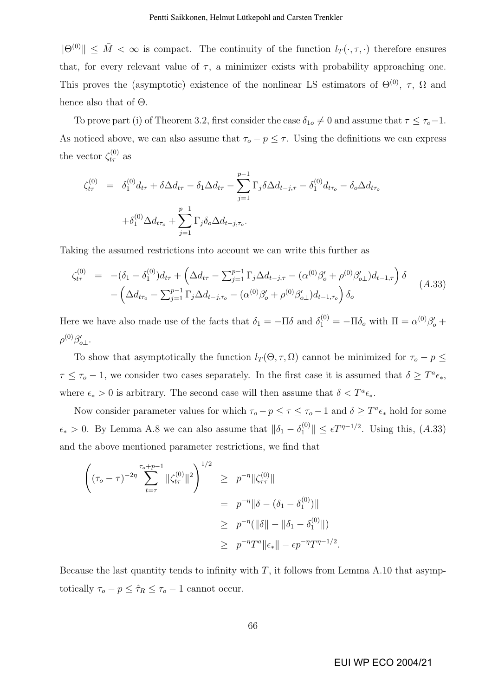$||\Theta^{(0)}|| \leq \overline{M} < \infty$  is compact. The continuity of the function  $l_T(\cdot, \tau, \cdot)$  therefore ensures that, for every relevant value of  $\tau$ , a minimizer exists with probability approaching one. This proves the (asymptotic) existence of the nonlinear LS estimators of  $\Theta^{(0)}$ ,  $\tau$ ,  $\Omega$  and hence also that of Θ.

To prove part (i) of Theorem 3.2, first consider the case  $\delta_{1o} \neq 0$  and assume that  $\tau \leq \tau_o-1$ . As noticed above, we can also assume that  $\tau_o - p \leq \tau$ . Using the definitions we can express the vector  $\zeta_{t\tau}^{(0)}$  as

$$
\zeta_{t\tau}^{(0)} = \delta_1^{(0)} d_{t\tau} + \delta \Delta d_{t\tau} - \delta_1 \Delta d_{t\tau} - \sum_{j=1}^{p-1} \Gamma_j \delta \Delta d_{t-j,\tau} - \delta_1^{(0)} d_{t\tau_o} - \delta_o \Delta d_{t\tau_o}
$$

$$
+ \delta_1^{(0)} \Delta d_{t\tau_o} + \sum_{j=1}^{p-1} \Gamma_j \delta_o \Delta d_{t-j,\tau_o}.
$$

Taking the assumed restrictions into account we can write this further as

$$
\zeta_{t\tau}^{(0)} = -(\delta_1 - \delta_1^{(0)})d_{t\tau} + \left(\Delta d_{t\tau} - \sum_{j=1}^{p-1} \Gamma_j \Delta d_{t-j,\tau} - (\alpha^{(0)}\beta_o' + \rho^{(0)}\beta_{o\perp}')d_{t-1,\tau}\right)\delta - \left(\Delta d_{t\tau_o} - \sum_{j=1}^{p-1} \Gamma_j \Delta d_{t-j,\tau_o} - (\alpha^{(0)}\beta_o' + \rho^{(0)}\beta_{o\perp}')d_{t-1,\tau_o}\right)\delta_o
$$
\n(A.33)

Here we have also made use of the facts that  $\delta_1 = -\Pi \delta$  and  $\delta_1^{(0)} = -\Pi \delta_o$  with  $\Pi = \alpha^{(0)}\beta_o' + \Pi$  $\rho^{(0)}\beta'_{o\perp}$ .

To show that asymptotically the function  $l_T(\Theta, \tau, \Omega)$  cannot be minimized for  $\tau_o - p \leq$  $\tau \leq \tau_o - 1$ , we consider two cases separately. In the first case it is assumed that  $\delta \geq T^a \epsilon_*,$ where  $\epsilon_* > 0$  is arbitrary. The second case will then assume that  $\delta < T^a \epsilon_*$ .

Now consider parameter values for which  $\tau_o - p \leq \tau \leq \tau_o - 1$  and  $\delta \geq T^a \epsilon_*$  hold for some  $\epsilon_* > 0$ . By Lemma A.8 we can also assume that  $\|\delta_1 - \delta_1^{(0)}\| \leq \epsilon T^{\eta-1/2}$ . Using this,  $(A.33)$ and the above mentioned parameter restrictions, we find that

$$
\begin{aligned}\n\left( (\tau_o - \tau)^{-2\eta} \sum_{t=\tau}^{\tau_o + p - 1} ||\zeta_{t\tau}^{(0)}||^2 \right)^{1/2} &\geq p^{-\eta} ||\zeta_{\tau\tau}^{(0)}|| \\
&= p^{-\eta} ||\delta - (\delta_1 - \delta_1^{(0)})|| \\
&\geq p^{-\eta} (||\delta|| - ||\delta_1 - \delta_1^{(0)}||) \\
&\geq p^{-\eta} T^a ||\epsilon_*|| - \epsilon p^{-\eta} T^{\eta - 1/2}.\n\end{aligned}
$$

Because the last quantity tends to infinity with  $T$ , it follows from Lemma A.10 that asymptotically  $\tau_o - p \leq \hat{\tau}_R \leq \tau_o - 1$  cannot occur.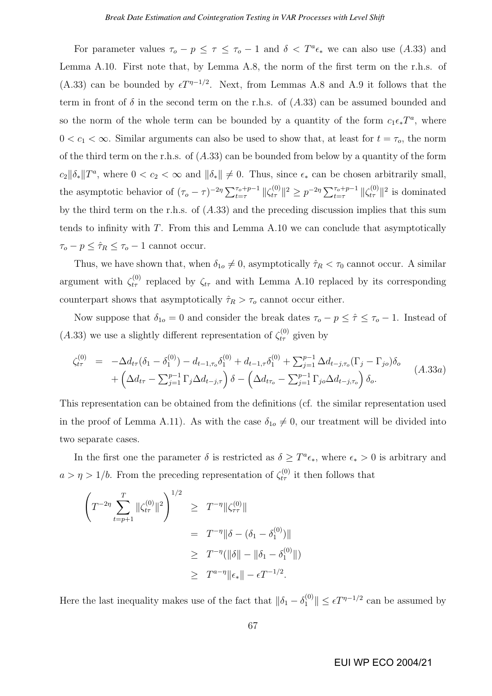For parameter values  $\tau_o - p \leq \tau \leq \tau_o - 1$  and  $\delta < T^a \epsilon_*$  we can also use (A.33) and Lemma A.10. First note that, by Lemma A.8, the norm of the first term on the r.h.s. of (A.33) can be bounded by  $\epsilon T^{\eta-1/2}$ . Next, from Lemmas A.8 and A.9 it follows that the term in front of  $\delta$  in the second term on the r.h.s. of  $(A.33)$  can be assumed bounded and so the norm of the whole term can be bounded by a quantity of the form  $c_1 \epsilon_* T^a$ , where  $0 < c_1 < \infty$ . Similar arguments can also be used to show that, at least for  $t = \tau_o$ , the norm of the third term on the r.h.s. of  $(A.33)$  can be bounded from below by a quantity of the form  $c_2\|\delta_*\|T^a$ , where  $0 < c_2 < \infty$  and  $\|\delta_*\| \neq 0$ . Thus, since  $\epsilon_*$  can be chosen arbitrarily small, the asymptotic behavior of  $({\tau_o - \tau})^{-2\eta} \sum_{t=\tau}^{\tau_o+p-1} ||\zeta_{t\tau}^{(0)}||^2 \ge p^{-2\eta} \sum_{t=\tau}^{\tau_o+p-1} ||\zeta_{t\tau}^{(0)}||^2$  is dominated by the third term on the r.h.s. of (A.33) and the preceding discussion implies that this sum tends to infinity with  $T$ . From this and Lemma A.10 we can conclude that asymptotically  $\tau_o - p \leq \hat{\tau}_R \leq \tau_o - 1$  cannot occur.

Thus, we have shown that, when  $\delta_{1o} \neq 0$ , asymptotically  $\hat{\tau}_R < \tau_0$  cannot occur. A similar argument with  $\zeta_{t\tau}^{(0)}$  replaced by  $\zeta_{t\tau}$  and with Lemma A.10 replaced by its corresponding counterpart shows that asymptotically  $\hat{\tau}_R > \tau_o$  cannot occur either.

Now suppose that  $\delta_{1o} = 0$  and consider the break dates  $\tau_o - p \leq \hat{\tau} \leq \tau_o - 1$ . Instead of  $(A.33)$  we use a slightly different representation of  $\zeta_{t\tau}^{(0)}$  given by

$$
\zeta_{t\tau}^{(0)} = -\Delta d_{t\tau} (\delta_1 - \delta_1^{(0)}) - d_{t-1,\tau_o} \delta_1^{(0)} + d_{t-1,\tau} \delta_1^{(0)} + \sum_{j=1}^{p-1} \Delta d_{t-j,\tau_o} (\Gamma_j - \Gamma_{jo}) \delta_o + \left( \Delta d_{t\tau} - \sum_{j=1}^{p-1} \Gamma_j \Delta d_{t-j,\tau} \right) \delta - \left( \Delta d_{t\tau_o} - \sum_{j=1}^{p-1} \Gamma_{jo} \Delta d_{t-j,\tau_o} \right) \delta_o.
$$
\n(A.33a)

This representation can be obtained from the definitions (cf. the similar representation used in the proof of Lemma A.11). As with the case  $\delta_{1o} \neq 0$ , our treatment will be divided into two separate cases.

In the first one the parameter  $\delta$  is restricted as  $\delta \geq T^a \epsilon_*$ , where  $\epsilon_* > 0$  is arbitrary and  $a > \eta > 1/b$ . From the preceding representation of  $\zeta_{t\tau}^{(0)}$  it then follows that

$$
\left(T^{-2\eta} \sum_{t=p+1}^{T} ||\zeta_{t\tau}^{(0)}||^2\right)^{1/2} \geq T^{-\eta} ||\zeta_{\tau\tau}^{(0)}||
$$
  

$$
= T^{-\eta} ||\delta - (\delta_1 - \delta_1^{(0)})||
$$
  

$$
\geq T^{-\eta} (||\delta|| - ||\delta_1 - \delta_1^{(0)}||)
$$
  

$$
\geq T^{a-\eta} ||\epsilon_*|| - \epsilon T^{-1/2}.
$$

Here the last inequality makes use of the fact that  $\|\delta_1 - \delta_1^{(0)}\| \le \epsilon T^{\eta-1/2}$  can be assumed by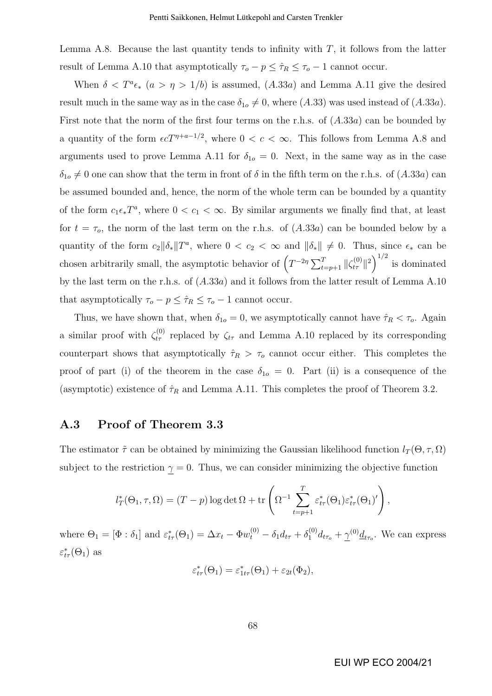Lemma A.8. Because the last quantity tends to infinity with  $T$ , it follows from the latter result of Lemma A.10 that asymptotically  $\tau_o - p \leq \hat{\tau}_R \leq \tau_o - 1$  cannot occur.

When  $\delta < T^a \epsilon_*$   $(a > \eta > 1/b)$  is assumed,  $(A.33a)$  and Lemma A.11 give the desired result much in the same way as in the case  $\delta_{1o} \neq 0$ , where  $(A.33)$  was used instead of  $(A.33a)$ . First note that the norm of the first four terms on the r.h.s. of (A.33a) can be bounded by a quantity of the form  $\epsilon c T^{\eta+a-1/2}$ , where  $0 < c < \infty$ . This follows from Lemma A.8 and arguments used to prove Lemma A.11 for  $\delta_{1o} = 0$ . Next, in the same way as in the case  $\delta_{1o} \neq 0$  one can show that the term in front of  $\delta$  in the fifth term on the r.h.s. of  $(A.33a)$  can be assumed bounded and, hence, the norm of the whole term can be bounded by a quantity of the form  $c_1\epsilon_*T^a$ , where  $0 < c_1 < \infty$ . By similar arguments we finally find that, at least for  $t = \tau_o$ , the norm of the last term on the r.h.s. of  $(A.33a)$  can be bounded below by a quantity of the form  $c_2 \|\delta_*\|T^a$ , where  $0 < c_2 < \infty$  and  $\|\delta_*\| \neq 0$ . Thus, since  $\epsilon_*$  can be chosen arbitrarily small, the asymptotic behavior of  $(T^{-2\eta} \sum_{t=p+1}^{T} ||\zeta_{t\tau}^{(0)}||^2)^{1/2}$ is dominated by the last term on the r.h.s. of (A.33a) and it follows from the latter result of Lemma A.10 that asymptotically  $\tau_o - p \leq \hat{\tau}_R \leq \tau_o - 1$  cannot occur.

Thus, we have shown that, when  $\delta_{1o} = 0$ , we asymptotically cannot have  $\hat{\tau}_R < \tau_o$ . Again a similar proof with  $\zeta_{t\tau}^{(0)}$  replaced by  $\zeta_{t\tau}$  and Lemma A.10 replaced by its corresponding counterpart shows that asymptotically  $\hat{\tau}_R > \tau_o$  cannot occur either. This completes the proof of part (i) of the theorem in the case  $\delta_{1o} = 0$ . Part (ii) is a consequence of the (asymptotic) existence of  $\hat{\tau}_R$  and Lemma A.11. This completes the proof of Theorem 3.2.

### A.3 Proof of Theorem 3.3

The estimator  $\tilde{\tau}$  can be obtained by minimizing the Gaussian likelihood function  $l_T(\Theta, \tau, \Omega)$ subject to the restriction  $\gamma = 0$ . Thus, we can consider minimizing the objective function

$$
l_T^*(\Theta_1, \tau, \Omega) = (T - p) \log \det \Omega + \text{tr}\left(\Omega^{-1} \sum_{t=p+1}^T \varepsilon_{t\tau}^*(\Theta_1)\varepsilon_{t\tau}^*(\Theta_1)'\right),
$$

where  $\Theta_1 = [\Phi : \delta_1]$  and  $\varepsilon^*_{t\tau}(\Theta_1) = \Delta x_t - \Phi w_t^{(0)} - \delta_1 d_{t\tau} + \delta_1^{(0)} d_{t\tau_o} + \gamma^{(0)} \underline{d}_{t\tau_o}$ . We can express  $\varepsilon_{t\tau}^*(\Theta_1)$  as

$$
\varepsilon_{t\tau}^*(\Theta_1) = \varepsilon_{1t\tau}^*(\Theta_1) + \varepsilon_{2t}(\Phi_2),
$$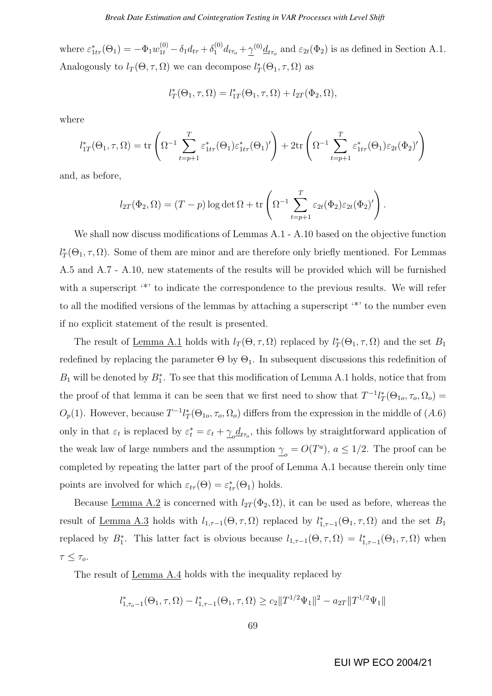where  $\varepsilon_{1tr}^*(\Theta_1) = -\Phi_1 w_{1t}^{(0)} - \delta_1 d_{tr} + \delta_1^{(0)} d_{tr_o} + \underline{\gamma}^{(0)} \underline{d}_{tr_o}$  and  $\varepsilon_{2t}(\Phi_2)$  is as defined in Section A.1. Analogously to  $l_T(\Theta, \tau, \Omega)$  we can decompose  $l_T^*(\Theta_1, \tau, \Omega)$  as

$$
l_T^*(\Theta_1, \tau, \Omega) = l_{1T}^*(\Theta_1, \tau, \Omega) + l_{2T}(\Phi_2, \Omega),
$$

where

$$
l_{1T}^*(\Theta_1, \tau, \Omega) = \text{tr}\left(\Omega^{-1} \sum_{t=p+1}^T \varepsilon_{1t\tau}^*(\Theta_1)\varepsilon_{1t\tau}^*(\Theta_1)'\right) + 2\text{tr}\left(\Omega^{-1} \sum_{t=p+1}^T \varepsilon_{1t\tau}^*(\Theta_1)\varepsilon_{2t}(\Phi_2)'\right)
$$

and, as before,

$$
l_{2T}(\Phi_2,\Omega)=(T-p)\log\det\Omega+\text{tr}\left(\Omega^{-1}\sum_{t=p+1}^T\varepsilon_{2t}(\Phi_2)\varepsilon_{2t}(\Phi_2)'\right).
$$

We shall now discuss modifications of Lemmas A.1 - A.10 based on the objective function  $l_T^*(\Theta_1, \tau, \Omega)$ . Some of them are minor and are therefore only briefly mentioned. For Lemmas A.5 and A.7 - A.10, new statements of the results will be provided which will be furnished with a superscript  $\cdot^*$  to indicate the correspondence to the previous results. We will refer to all the modified versions of the lemmas by attaching a superscript '\*' to the number even if no explicit statement of the result is presented.

The result of <u>Lemma A.1</u> holds with  $l_T(\Theta, \tau, \Omega)$  replaced by  $l_T^*(\Theta_1, \tau, \Omega)$  and the set  $B_1$ redefined by replacing the parameter  $\Theta$  by  $\Theta_1$ . In subsequent discussions this redefinition of  $B_1$  will be denoted by  $B_1^*$ . To see that this modification of Lemma A.1 holds, notice that from the proof of that lemma it can be seen that we first need to show that  $T^{-1}l_T^*(\Theta_{1o}, \tau_o, \Omega_o) =$  $O_p(1)$ . However, because  $T^{-1}l_T^*(\Theta_{1o}, \tau_o, \Omega_o)$  differs from the expression in the middle of  $(A.6)$ only in that  $\varepsilon_t$  is replaced by  $\varepsilon_t^* = \varepsilon_t + \gamma_o \underline{d}_{t\tau_o}$ , this follows by straightforward application of the weak law of large numbers and the assumption  $\gamma_o = O(T^a)$ ,  $a \leq 1/2$ . The proof can be completed by repeating the latter part of the proof of Lemma A.1 because therein only time points are involved for which  $\varepsilon_{t\tau}(\Theta) = \varepsilon_{t\tau}^*(\Theta_1)$  holds.

Because <u>Lemma A.2</u> is concerned with  $l_{2T}(\Phi_2, \Omega)$ , it can be used as before, whereas the result of <u>Lemma A.3</u> holds with  $l_{1,\tau-1}(\Theta,\tau,\Omega)$  replaced by  $l_{1,\tau-1}^*(\Theta_1,\tau,\Omega)$  and the set  $B_1$ replaced by  $B_1^*$ . This latter fact is obvious because  $l_{1,\tau-1}(\Theta,\tau,\Omega) = l_{1,\tau-1}^*(\Theta_1,\tau,\Omega)$  when  $\tau \leq \tau_o$ .

The result of Lemma A.4 holds with the inequality replaced by

$$
l_{1,\tau_o-1}^*(\Theta_1, \tau, \Omega) - l_{1,\tau-1}^*(\Theta_1, \tau, \Omega) \ge c_2 \|T^{1/2}\Psi_1\|^2 - a_{2T} \|T^{1/2}\Psi_1\|
$$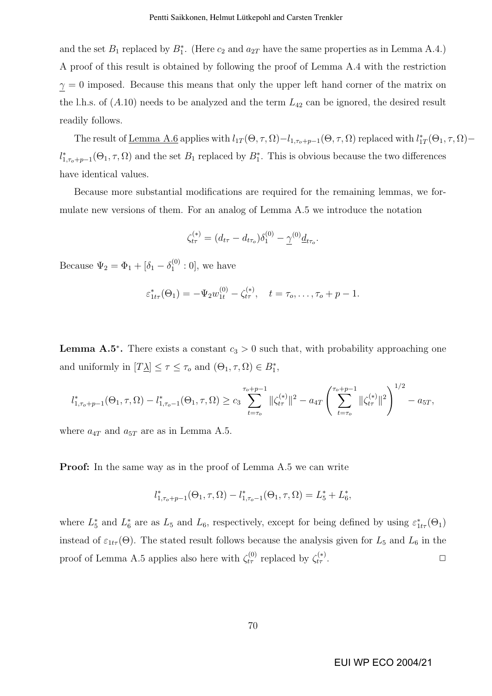and the set  $B_1$  replaced by  $B_1^*$ . (Here  $c_2$  and  $a_{2T}$  have the same properties as in Lemma A.4.) A proof of this result is obtained by following the proof of Lemma A.4 with the restriction  $\gamma = 0$  imposed. Because this means that only the upper left hand corner of the matrix on the l.h.s. of  $(A.10)$  needs to be analyzed and the term  $L_{42}$  can be ignored, the desired result readily follows.

The result of <u>Lemma A.6</u> applies with  $l_{1T}(\Theta,\tau,\Omega)-l_{1,\tau_o+p-1}(\Theta,\tau,\Omega)$  replaced with  $l_{1T}^*(\Theta_1,\tau,\Omega)$  $l_{1,\tau_o+p-1}^*(\Theta_1,\tau,\Omega)$  and the set  $B_1$  replaced by  $B_1^*$ . This is obvious because the two differences have identical values.

Because more substantial modifications are required for the remaining lemmas, we formulate new versions of them. For an analog of Lemma A.5 we introduce the notation

$$
\zeta_{t\tau}^{(*)} = (d_{t\tau} - d_{t\tau_o})\delta_1^{(0)} - \underline{\gamma}^{(0)} \underline{d}_{t\tau_o}.
$$

Because  $\Psi_2 = \Phi_1 + [\delta_1 - \delta_1^{(0)}]$  $_{1}^{(0)}:0]$ , we have

$$
\varepsilon_{1t\tau}^*(\Theta_1) = -\Psi_2 w_{1t}^{(0)} - \zeta_{t\tau}^{(*)}, \quad t = \tau_o, \dots, \tau_o + p - 1.
$$

**Lemma A.5<sup>\*</sup>.** There exists a constant  $c_3 > 0$  such that, with probability approaching one and uniformly in  $[T\underline{\lambda}] \leq \tau \leq \tau_o$  and  $(\Theta_1, \tau, \Omega) \in B_1^*$ ,

$$
l_{1,\tau_o+p-1}^*(\Theta_1,\tau,\Omega)-l_{1,\tau_o-1}^*(\Theta_1,\tau,\Omega)\geq c_3\sum_{t=\tau_o}^{\tau_o+p-1}\|\zeta_{t\tau}^{(*)}\|^2-a_{4T}\left(\sum_{t=\tau_o}^{\tau_o+p-1}\|\zeta_{t\tau}^{(*)}\|^2\right)^{1/2}-a_{5T},
$$

where  $a_{4T}$  and  $a_{5T}$  are as in Lemma A.5.

Proof: In the same way as in the proof of Lemma A.5 we can write

$$
l_{1,\tau_o+p-1}^*(\Theta_1, \tau, \Omega) - l_{1,\tau_o-1}^*(\Theta_1, \tau, \Omega) = L_5^* + L_6^*,
$$

where  $L_5^*$  and  $L_6^*$  are as  $L_5$  and  $L_6$ , respectively, except for being defined by using  $\varepsilon_{1tr}^*(\Theta_1)$ instead of  $\varepsilon_{1t\tau}(\Theta)$ . The stated result follows because the analysis given for  $L_5$  and  $L_6$  in the proof of Lemma A.5 applies also here with  $\zeta_{t\tau}^{(0)}$  replaced by  $\zeta_{t\tau}^{(*)}$  $\frac{f(x)}{f}$  .  $\Box$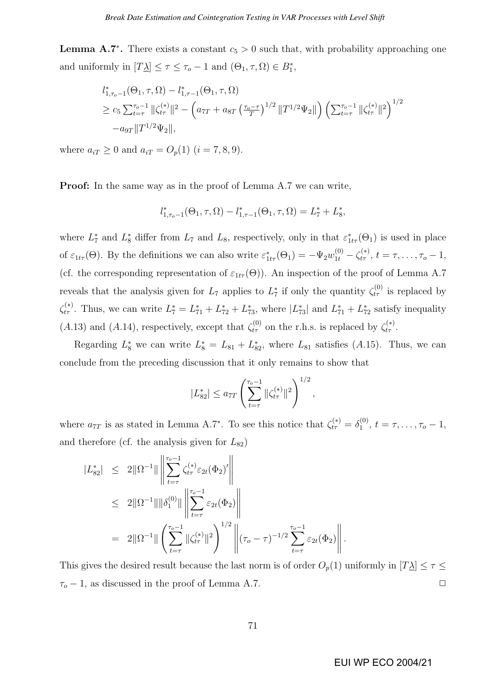**Lemma A.7<sup>\*</sup>.** There exists a constant  $c_5 > 0$  such that, with probability approaching one and uniformly in  $[T\underline{\lambda}] \leq \tau \leq \tau_o - 1$  and  $(\Theta_1, \tau, \Omega) \in B_1^*$ ,

$$
l_{1,\tau_o-1}^*(\Theta_1, \tau, \Omega) - l_{1,\tau-1}^*(\Theta_1, \tau, \Omega)
$$
  
\n
$$
\geq c_5 \sum_{t=\tau}^{\tau_o-1} ||\zeta_{t\tau}^{(*)}||^2 - \left( a_{7T} + a_{8T} \left( \frac{\tau_o - \tau}{T} \right)^{1/2} ||T^{1/2} \Psi_2|| \right) \left( \sum_{t=\tau}^{\tau_o-1} ||\zeta_{t\tau}^{(*)}||^2 \right)^{1/2}
$$
  
\n
$$
-a_{9T} ||T^{1/2} \Psi_2||,
$$

where  $a_{iT} \ge 0$  and  $a_{iT} = O_p(1)$   $(i = 7, 8, 9)$ .

Proof: In the same way as in the proof of Lemma A.7 we can write,

$$
l_{1,\tau_0-1}^*(\Theta_1, \tau, \Omega) - l_{1,\tau-1}^*(\Theta_1, \tau, \Omega) = L_7^* + L_8^*,
$$

where  $L_7^*$  and  $L_8^*$  differ from  $L_7$  and  $L_8$ , respectively, only in that  $\varepsilon_{1tr}^*(\Theta_1)$  is used in place of  $\varepsilon_{1t\tau}(\Theta)$ . By the definitions we can also write  $\varepsilon_{1t\tau}^*(\Theta_1) = -\Psi_2 w_{1t}^{(0)} - \zeta_{t\tau}^{(*)}$ ,  $t = \tau, \ldots, \tau_o - 1$ , (cf. the corresponding representation of  $\varepsilon_{1t\tau}(\Theta)$ ). An inspection of the proof of Lemma A.7 reveals that the analysis given for  $L_7$  applies to  $L_7^*$  if only the quantity  $\zeta_{t\tau}^{(0)}$  is replaced by  $\zeta_{t\tau}^{(*)}$ . Thus, we can write  $L_7^* = L_{71}^* + L_{72}^* + L_{73}^*$ , where  $|L_{73}^*|$  and  $L_{71}^* + L_{72}^*$  satisfy inequality (A.13) and (A.14), respectively, except that  $\zeta_{t\tau}^{(0)}$  on the r.h.s. is replaced by  $\zeta_{t\tau}^{(*)}$ .

Regarding  $L_8^*$  we can write  $L_8^* = L_{81} + L_{82}^*$ , where  $L_{81}$  satisfies (A.15). Thus, we can conclude from the preceding discussion that it only remains to show that

$$
|L_{82}^*| \le a_{7T} \left(\sum_{t=\tau}^{\tau_o - 1} \|\zeta_{t\tau}^{(*)}\|^2\right)^{1/2},
$$

where  $a_{7T}$  is as stated in Lemma A.7<sup>\*</sup>. To see this notice that  $\zeta_{t\tau}^{(*)} = \delta_1^{(0)}$  $t_1^{(0)}, t = \tau, \ldots, \tau_o - 1,$ and therefore (cf. the analysis given for  $L_{82}$ )

$$
|L_{82}^*| \leq 2\|\Omega^{-1}\| \left\| \sum_{t=\tau}^{\tau_o-1} \zeta_{t\tau}^{(*)} \varepsilon_{2t}(\Phi_2)' \right\|
$$
  
\n
$$
\leq 2\|\Omega^{-1}\| \|\delta_1^{(0)}\| \left\| \sum_{t=\tau}^{\tau_o-1} \varepsilon_{2t}(\Phi_2) \right\|
$$
  
\n
$$
= 2\|\Omega^{-1}\| \left(\sum_{t=\tau}^{\tau_o-1} \|\zeta_{t\tau}^{(*)}\|^2\right)^{1/2} \left\| (\tau_o - \tau)^{-1/2} \sum_{t=\tau}^{\tau_o-1} \varepsilon_{2t}(\Phi_2) \right\|.
$$

This gives the desired result because the last norm is of order  $O_p(1)$  uniformly in  $[T\Delta] \leq \tau \leq$  $\tau_o - 1$ , as discussed in the proof of Lemma A.7.  $\Box$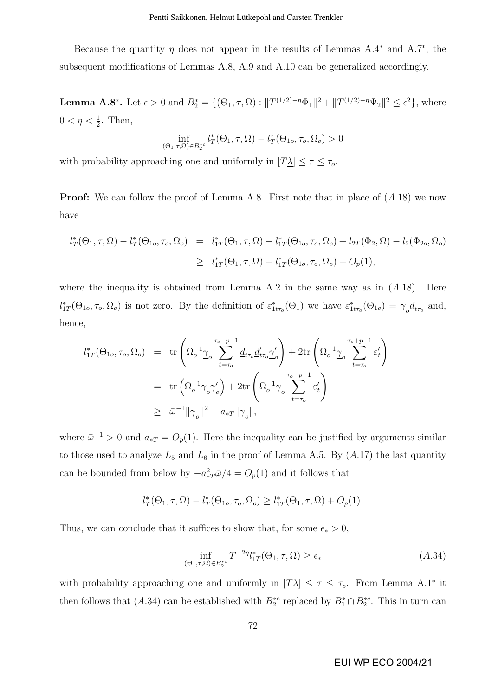Because the quantity  $\eta$  does not appear in the results of Lemmas A.4<sup>\*</sup> and A.7<sup>\*</sup>, the subsequent modifications of Lemmas A.8, A.9 and A.10 can be generalized accordingly.

**Lemma A.8<sup>\*</sup>**. Let  $\epsilon > 0$  and  $B_2^* = \{(\Theta_1, \tau, \Omega) : ||T^{(1/2)-\eta} \Phi_1||^2 + ||T^{(1/2)-\eta} \Psi_2||^2 \le \epsilon^2\}$ , where  $0 < \eta < \frac{1}{2}$ . Then,

$$
\inf_{\left(\Theta_1, \tau, \Omega\right) \in B_2^{*c}} l_T^*(\Theta_1, \tau, \Omega) - l_T^*(\Theta_{1o}, \tau_o, \Omega_o) > 0
$$

with probability approaching one and uniformly in  $[T\Delta] \leq \tau \leq \tau_o$ .

**Proof:** We can follow the proof of Lemma A.8. First note that in place of  $(A.18)$  we now have

$$
l_T^*(\Theta_1, \tau, \Omega) - l_T^*(\Theta_{1o}, \tau_o, \Omega_o) = l_{1T}^*(\Theta_1, \tau, \Omega) - l_{1T}^*(\Theta_{1o}, \tau_o, \Omega_o) + l_{2T}(\Phi_2, \Omega) - l_2(\Phi_{2o}, \Omega_o)
$$
  

$$
\geq l_{1T}^*(\Theta_1, \tau, \Omega) - l_{1T}^*(\Theta_{1o}, \tau_o, \Omega_o) + O_p(1),
$$

where the inequality is obtained from Lemma A.2 in the same way as in  $(A.18)$ . Here  $l_{1T}^*(\Theta_{1o}, \tau_o, \Omega_o)$  is not zero. By the definition of  $\varepsilon_{1tr_o}^*(\Theta_1)$  we have  $\varepsilon_{1tr_o}^*(\Theta_{1o}) = \underline{\gamma}_o d_{tr_o}$  and, hence,

$$
l_{1T}^{*}(\Theta_{1o}, \tau_o, \Omega_o) = \text{tr}\left(\Omega_o^{-1}\underline{\gamma}_o \sum_{t=\tau_o}^{\tau_o + p-1} \underline{d}_{t\tau_o} \underline{d}'_{t\tau_o} \underline{\gamma}'_o\right) + 2 \text{tr}\left(\Omega_o^{-1}\underline{\gamma}_o \sum_{t=\tau_o}^{\tau_o + p-1} \varepsilon'_t\right)
$$
  

$$
= \text{tr}\left(\Omega_o^{-1}\underline{\gamma}_o \underline{\gamma}'_o\right) + 2 \text{tr}\left(\Omega_o^{-1}\underline{\gamma}_o \sum_{t=\tau_o}^{\tau_o + p-1} \varepsilon'_t\right)
$$
  

$$
\geq \bar{\omega}^{-1} ||\underline{\gamma}_o||^2 - a_* \tau ||\underline{\gamma}_o||,
$$

where  $\bar{\omega}^{-1} > 0$  and  $a_{*T} = O_p(1)$ . Here the inequality can be justified by arguments similar to those used to analyze  $L_5$  and  $L_6$  in the proof of Lemma A.5. By  $(A.17)$  the last quantity can be bounded from below by  $-a_{*T}^2 \bar{\omega}/4 = O_p(1)$  and it follows that

$$
l_T^*(\Theta_1, \tau, \Omega) - l_T^*(\Theta_{1o}, \tau_o, \Omega_o) \ge l_{1T}^*(\Theta_1, \tau, \Omega) + O_p(1).
$$

Thus, we can conclude that it suffices to show that, for some  $\epsilon_* > 0$ ,

$$
\inf_{\left(\Theta_{1},\tau,\Omega\right)\in B_{2}^{*c}} T^{-2\eta} l_{1T}^{*}\left(\Theta_{1},\tau,\Omega\right) \geq \epsilon_{*} \tag{A.34}
$$

with probability approaching one and uniformly in  $[T\Delta] \leq \tau \leq \tau_o$ . From Lemma A.1<sup>\*</sup> it then follows that (A.34) can be established with  $B_2^{*c}$  replaced by  $B_1^* \cap B_2^{*c}$ . This in turn can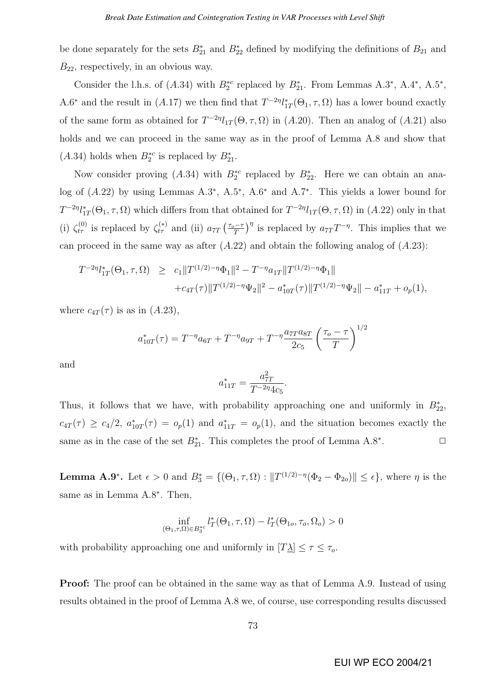be done separately for the sets  $B_{21}^*$  and  $B_{22}^*$  defined by modifying the definitions of  $B_{21}$  and  $B_{22}$ , respectively, in an obvious way.

Consider the l.h.s. of  $(A.34)$  with  $B_2^{*c}$  replaced by  $B_{21}^*$ . From Lemmas  $A.3^*$ ,  $A.4^*$ ,  $A.5^*$ , A.6<sup>\*</sup> and the result in (A.17) we then find that  $T^{-2\eta}l_{1T}^*(\Theta_1, \tau, \Omega)$  has a lower bound exactly of the same form as obtained for  $T^{-2\eta}l_{1T}(\Theta, \tau, \Omega)$  in  $(A.20)$ . Then an analog of  $(A.21)$  also holds and we can proceed in the same way as in the proof of Lemma A.8 and show that  $(A.34)$  holds when  $B_2^{*c}$  is replaced by  $B_{21}^{*}$ .

Now consider proving  $(A.34)$  with  $B_2^{*c}$  replaced by  $B_{22}^{*}$ . Here we can obtain an analog of  $(A.22)$  by using Lemmas A.3<sup>∗</sup>, A.5<sup>∗</sup>, A.6<sup>∗</sup> and A.7<sup>∗</sup>. This yields a lower bound for  $T^{-2\eta}l_{1T}^*(\Theta_1,\tau,\Omega)$  which differs from that obtained for  $T^{-2\eta}l_{1T}(\Theta,\tau,\Omega)$  in  $(A.22)$  only in that (i)  $\zeta_{t\tau}^{(0)}$  is replaced by  $\zeta_{t\tau}^{(*)}$  and (ii)  $a_{7T}$  $\int \frac{\tau_o - \tau}{\tau_o}$ T  $\sqrt{\eta}$ is replaced by  $a_{7T}T^{-\eta}$ . This implies that we can proceed in the same way as after  $(A.22)$  and obtain the following analog of  $(A.23)$ :

$$
T^{-2\eta}l_{1T}^*(\Theta_1, \tau, \Omega) \ge c_1 \|T^{(1/2)-\eta}\Phi_1\|^2 - T^{-\eta}a_{1T}\|T^{(1/2)-\eta}\Phi_1\| + c_{4T}(\tau) \|T^{(1/2)-\eta}\Psi_2\|^2 - a_{10T}^*(\tau) \|T^{(1/2)-\eta}\Psi_2\| - a_{11T}^* + o_p(1),
$$

where  $c_{4T}(\tau)$  is as in  $(A.23)$ ,

$$
a_{10T}^*(\tau) = T^{-\eta} a_{6T} + T^{-\eta} a_{9T} + T^{-\eta} \frac{a_{7T} a_{8T}}{2c_5} \left(\frac{\tau_o - \tau}{T}\right)^{1/2}
$$

and

$$
a_{11T}^* = \frac{a_{7T}^2}{T^{-2\eta}4c_5}.
$$

Thus, it follows that we have, with probability approaching one and uniformly in  $B_{22}^*$ ,  $c_{4T}(\tau) \geq c_4/2$ ,  $a_{10T}^*(\tau) = o_p(1)$  and  $a_{11T}^* = o_p(1)$ , and the situation becomes exactly the same as in the case of the set  $B_{21}^*$ . This completes the proof of Lemma A.8<sup>∗</sup>  $\Box$ 

**Lemma A.9<sup>\*</sup>**. Let  $\epsilon > 0$  and  $B_3^* = \{(\Theta_1, \tau, \Omega) : ||T^{(1/2)-\eta}(\Phi_2 - \Phi_{2o})|| \leq \epsilon\}$ , where  $\eta$  is the same as in Lemma A.8<sup>∗</sup>. Then,

$$
\inf_{\left(\Theta_1, \tau, \Omega\right) \in B_3^{*c}} l_T^*(\Theta_1, \tau, \Omega) - l_T^*(\Theta_{1o}, \tau_o, \Omega_o) > 0
$$

with probability approaching one and uniformly in  $[T\Delta] \leq \tau \leq \tau_o$ .

**Proof:** The proof can be obtained in the same way as that of Lemma A.9. Instead of using results obtained in the proof of Lemma A.8 we, of course, use corresponding results discussed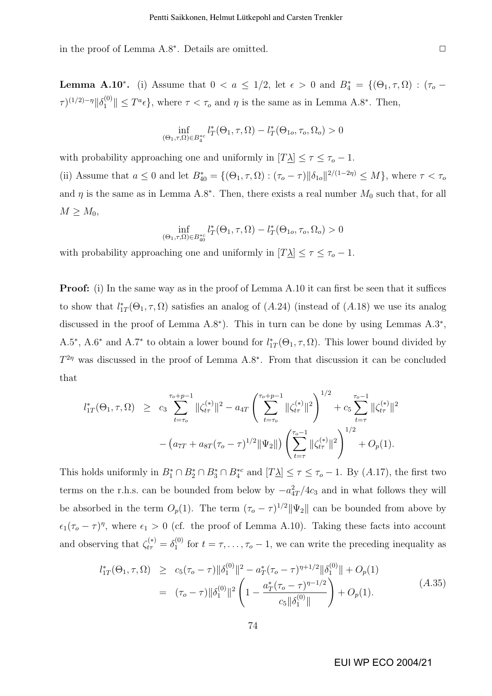in the proof of Lemma A.8<sup>∗</sup>. Details are omitted.  $□$ 

**Lemma A.10<sup>\*</sup>.** (i) Assume that  $0 < a \leq 1/2$ , let  $\epsilon > 0$  and  $B_4^* = \{(\Theta_1, \tau, \Omega) : (\tau_o - \tau_o) \leq \tau_o\}$  $\tau$ )<sup>(1/2)-η</sup> $\|\delta_1^{(0)}\| \leq T^a \epsilon$ , where  $\tau < \tau_o$  and  $\eta$  is the same as in Lemma A.8<sup>\*</sup>. Then,

$$
\inf_{\left(\Theta_1,\tau,\Omega\right)\in B_4^{*c}} l_T^*\left(\Theta_1,\tau,\Omega\right) - l_T^*\left(\Theta_{1o},\tau_o,\Omega_o\right) > 0
$$

with probability approaching one and uniformly in  $[T\Delta] \leq \tau \leq \tau_o - 1$ . (ii) Assume that  $a \leq 0$  and let  $B_{40}^* = \{(\Theta_1, \tau, \Omega) : (\tau_o - \tau) \|\delta_{1o}\|^{2/(1-2\eta)} \leq M\}$ , where  $\tau < \tau_o$ and  $\eta$  is the same as in Lemma A.8<sup>∗</sup>. Then, there exists a real number  $M_0$  such that, for all  $M \geq M_0$ 

$$
\inf_{\left(\Theta_1,\tau,\Omega\right)\in B_{40}^{*c}} l_T^*\left(\Theta_1,\tau,\Omega\right) - l_T^*\left(\Theta_{1o},\tau_o,\Omega_o\right) > 0
$$

with probability approaching one and uniformly in  $[T\Delta] \leq \tau \leq \tau_o - 1$ .

**Proof:** (i) In the same way as in the proof of Lemma A.10 it can first be seen that it suffices to show that  $l_{1T}^*(\Theta_1, \tau, \Omega)$  satisfies an analog of  $(A.24)$  (instead of  $(A.18)$ ) we use its analog discussed in the proof of Lemma A.8<sup>∗</sup> ). This in turn can be done by using Lemmas A.3<sup>∗</sup> , A.5<sup>\*</sup>, A.6<sup>\*</sup> and A.7<sup>\*</sup> to obtain a lower bound for  $l_{1T}^*(\Theta_1, \tau, \Omega)$ . This lower bound divided by  $T^{2\eta}$  was discussed in the proof of Lemma A.8<sup>∗</sup>. From that discussion it can be concluded that

$$
l_{1T}^{*}(\Theta_{1}, \tau, \Omega) \geq c_{3} \sum_{t=\tau_{o}}^{\tau_{o}+p-1} \|\zeta_{t\tau}^{(*)}\|^{2} - a_{4T} \left(\sum_{t=\tau_{o}}^{\tau_{o}+p-1} \|\zeta_{t\tau}^{(*)}\|^{2}\right)^{1/2} + c_{5} \sum_{t=\tau}^{\tau_{o}-1} \|\zeta_{t\tau}^{(*)}\|^{2} - \left(a_{7T} + a_{8T}(\tau_{o}-\tau)^{1/2} \|\Psi_{2}\|\right) \left(\sum_{t=\tau}^{\tau_{o}-1} \|\zeta_{t\tau}^{(*)}\|^{2}\right)^{1/2} + O_{p}(1).
$$

This holds uniformly in  $B_1^* \cap B_2^* \cap B_3^* \cap B_4^{*c}$  and  $[T \underline{\lambda}] \leq \tau \leq \tau_o - 1$ . By  $(A.17)$ , the first two terms on the r.h.s. can be bounded from below by  $-a_{4T}^2/4c_3$  and in what follows they will be absorbed in the term  $O_p(1)$ . The term  $({\tau_o} - \tau)^{1/2} ||\Psi_2||$  can be bounded from above by  $\epsilon_1(\tau_o - \tau)$ <sup>n</sup>, where  $\epsilon_1 > 0$  (cf. the proof of Lemma A.10). Taking these facts into account and observing that  $\zeta_{t\tau}^{(*)} = \delta_1^{(0)}$  $t_1^{(0)}$  for  $t = \tau, \ldots, \tau_o - 1$ , we can write the preceding inequality as

$$
l_{1T}^{*}(\Theta_{1}, \tau, \Omega) \geq c_{5}(\tau_{o} - \tau) ||\delta_{1}^{(0)}||^{2} - a_{T}^{*}(\tau_{o} - \tau)^{\eta + 1/2} ||\delta_{1}^{(0)}|| + O_{p}(1)
$$
  

$$
= (\tau_{o} - \tau) ||\delta_{1}^{(0)}||^{2} \left(1 - \frac{a_{T}^{*}(\tau_{o} - \tau)^{\eta - 1/2}}{c_{5} ||\delta_{1}^{(0)}||}\right) + O_{p}(1).
$$
(A.35)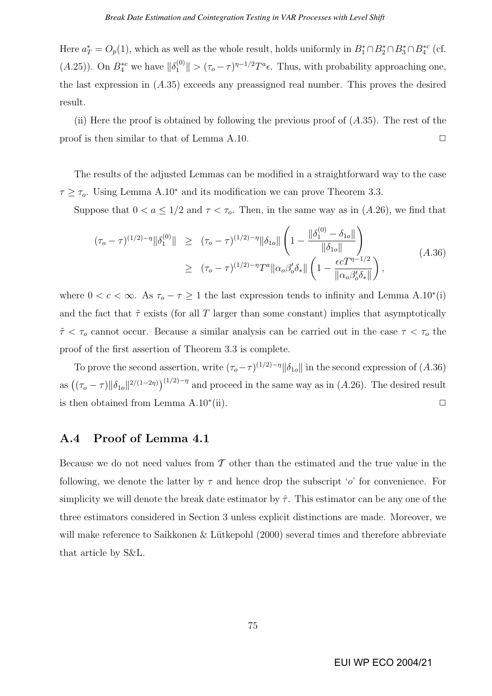Here  $a_T^* = O_p(1)$ , which as well as the whole result, holds uniformly in  $B_1^* \cap B_2^* \cap B_3^* \cap B_4^{*c}$  (cf.  $(A.25)$ ). On  $B_4^{*c}$  we have  $\|\delta_1^{(0)}\| > (\tau_o - \tau)^{\eta-1/2} T^a \epsilon$ . Thus, with probability approaching one, the last expression in  $(A.35)$  exceeds any preassigned real number. This proves the desired result.

(ii) Here the proof is obtained by following the previous proof of  $(A.35)$ . The rest of the proof is then similar to that of Lemma A.10.  $\Box$ 

The results of the adjusted Lemmas can be modified in a straightforward way to the case  $\tau \geq \tau_o$ . Using Lemma A.10<sup>\*</sup> and its modification we can prove Theorem 3.3.

Suppose that  $0 < a \leq 1/2$  and  $\tau < \tau_o$ . Then, in the same way as in (A.26), we find that

$$
(\tau_o - \tau)^{(1/2)-\eta} \|\delta_1^{(0)}\| \geq (\tau_o - \tau)^{(1/2)-\eta} \|\delta_{1o}\| \left(1 - \frac{\|\delta_1^{(0)} - \delta_{1o}\|}{\|\delta_{1o}\|}\right)
$$
  
 
$$
\geq (\tau_o - \tau)^{(1/2)-\eta} T^a \|\alpha_o \beta_o' \delta_* \| \left(1 - \frac{\epsilon c T^{\eta - 1/2}}{\|\alpha_o \beta_o' \delta_*\|}\right),
$$
 (A.36)

where  $0 < c < \infty$ . As  $\tau_o - \tau \geq 1$  the last expression tends to infinity and Lemma A.10<sup>\*</sup>(i) and the fact that  $\tilde{\tau}$  exists (for all T larger than some constant) implies that asymptotically  $\tilde{\tau} < \tau_o$  cannot occur. Because a similar analysis can be carried out in the case  $\tau < \tau_o$  the proof of the first assertion of Theorem 3.3 is complete.

To prove the second assertion, write  $(\tau_o - \tau)^{(1/2)-\eta} ||\delta_{1o}||$  in the second expression of  $(A.36)$ as  $((\tau_o - \tau) \|\delta_{1o}\|^{2/(1-2\eta)})^{(1/2)-\eta}$  and proceed in the same way as in (A.26). The desired result is then obtained from Lemma A.10<sup>∗</sup> (ii).  $\Box$ 

# A.4 Proof of Lemma 4.1

Because we do not need values from  $\mathcal T$  other than the estimated and the true value in the following, we denote the latter by  $\tau$  and hence drop the subscript 'o' for convenience. For simplicity we will denote the break date estimator by  $\hat{\tau}$ . This estimator can be any one of the three estimators considered in Section 3 unless explicit distinctions are made. Moreover, we will make reference to Saikkonen & Lütkepohl  $(2000)$  several times and therefore abbreviate that article by S&L.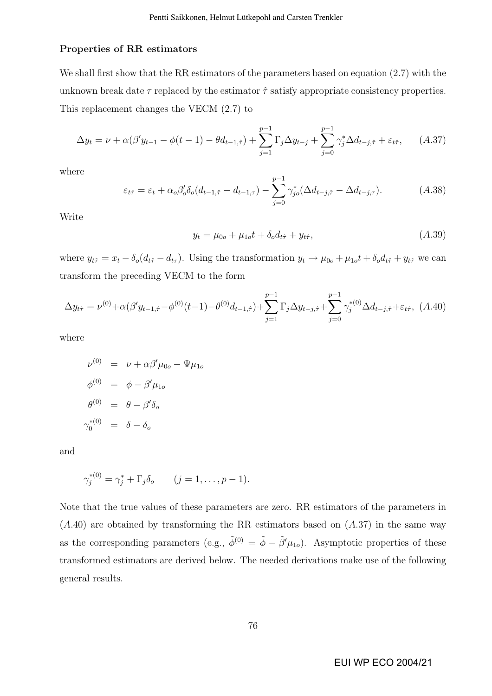#### Properties of RR estimators

We shall first show that the RR estimators of the parameters based on equation (2.7) with the unknown break date  $\tau$  replaced by the estimator  $\hat{\tau}$  satisfy appropriate consistency properties. This replacement changes the VECM (2.7) to

$$
\Delta y_t = \nu + \alpha(\beta' y_{t-1} - \phi(t-1) - \theta d_{t-1,\hat{\tau}}) + \sum_{j=1}^{p-1} \Gamma_j \Delta y_{t-j} + \sum_{j=0}^{p-1} \gamma_j^* \Delta d_{t-j,\hat{\tau}} + \varepsilon_{t\hat{\tau}}, \quad (A.37)
$$

where

$$
\varepsilon_{t\hat{\tau}} = \varepsilon_t + \alpha_o \beta_o' \delta_o(d_{t-1,\hat{\tau}} - d_{t-1,\tau}) - \sum_{j=0}^{p-1} \gamma_{jo}^* (\Delta d_{t-j,\hat{\tau}} - \Delta d_{t-j,\tau}). \tag{A.38}
$$

Write

$$
y_t = \mu_{0o} + \mu_{1o}t + \delta_o d_{t\hat{\tau}} + y_{t\hat{\tau}}, \tag{A.39}
$$

where  $y_{t\hat{\tau}} = x_t - \delta_o(d_{t\hat{\tau}} - d_{t\tau})$ . Using the transformation  $y_t \to \mu_{0o} + \mu_{1o}t + \delta_o d_{t\hat{\tau}} + y_{t\hat{\tau}}$  we can transform the preceding VECM to the form

$$
\Delta y_{t\hat{\tau}} = \nu^{(0)} + \alpha(\beta' y_{t-1,\hat{\tau}} - \phi^{(0)}(t-1) - \theta^{(0)} d_{t-1,\hat{\tau}}) + \sum_{j=1}^{p-1} \Gamma_j \Delta y_{t-j,\hat{\tau}} + \sum_{j=0}^{p-1} \gamma_j^{*(0)} \Delta d_{t-j,\hat{\tau}} + \varepsilon_{t\hat{\tau}}, \tag{A.40}
$$

where

$$
\nu^{(0)} = \nu + \alpha \beta' \mu_{0o} - \Psi \mu_{1o}
$$
  
\n
$$
\phi^{(0)} = \phi - \beta' \mu_{1o}
$$
  
\n
$$
\theta^{(0)} = \theta - \beta' \delta_o
$$
  
\n
$$
\gamma_0^{*(0)} = \delta - \delta_o
$$

and

$$
\gamma_j^{*(0)} = \gamma_j^* + \Gamma_j \delta_o \qquad (j = 1, \dots, p-1).
$$

Note that the true values of these parameters are zero. RR estimators of the parameters in  $(A.40)$  are obtained by transforming the RR estimators based on  $(A.37)$  in the same way as the corresponding parameters (e.g.,  $\tilde{\phi}^{(0)} = \tilde{\phi} - \tilde{\beta}' \mu_{1o}$ ). Asymptotic properties of these transformed estimators are derived below. The needed derivations make use of the following general results.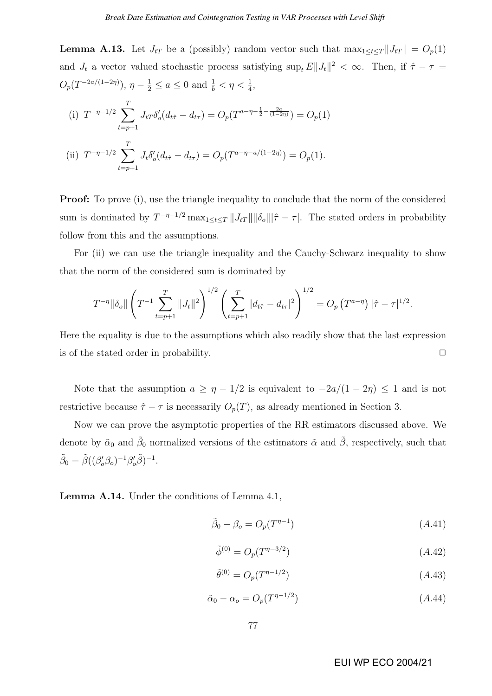**Lemma A.13.** Let  $J_{tT}$  be a (possibly) random vector such that  $\max_{1 \leq t \leq T} ||J_{tT}|| = O_p(1)$ and  $J_t$  a vector valued stochastic process satisfying  $\sup_t E||J_t||^2 < \infty$ . Then, if  $\hat{\tau} - \tau =$  $O_p(T^{-2a/(1-2\eta)}), \eta - \frac{1}{2} \le a \le 0 \text{ and } \frac{1}{b} < \eta < \frac{1}{4},$ 

(i) 
$$
T^{-\eta-1/2} \sum_{t=p+1}^{T} J_{tT} \delta'_{o}(d_{t\hat{\tau}} - d_{t\tau}) = O_p(T^{a-\eta-\frac{1}{2}-\frac{2a}{(1-2\eta)}}) = O_p(1)
$$
  
\n(ii)  $T^{-\eta-1/2} \sum_{t=p+1}^{T} J_{t} \delta'_{o}(d_{t\hat{\tau}} - d_{t\tau}) = O_p(T^{a-\eta-a/(1-2\eta)}) = O_p(1).$ 

**Proof:** To prove (i), use the triangle inequality to conclude that the norm of the considered sum is dominated by  $T^{-\eta-1/2} \max_{1 \le t \le T} ||J_{tT}|| ||\delta_{o}|| |\hat{\tau} - \tau|$ . The stated orders in probability follow from this and the assumptions.

For (ii) we can use the triangle inequality and the Cauchy-Schwarz inequality to show that the norm of the considered sum is dominated by

$$
T^{-\eta} \|\delta_o\| \left( T^{-1} \sum_{t=p+1}^T \|J_t\|^2 \right)^{1/2} \left( \sum_{t=p+1}^T |d_{t\hat{\tau}} - d_{t\tau}|^2 \right)^{1/2} = O_p \left( T^{a-\eta} \right) |\hat{\tau} - \tau|^{1/2}.
$$

Here the equality is due to the assumptions which also readily show that the last expression is of the stated order in probability.  $\Box$ 

Note that the assumption  $a \geq \eta - 1/2$  is equivalent to  $-2a/(1 - 2\eta) \leq 1$  and is not restrictive because  $\hat{\tau} - \tau$  is necessarily  $O_p(T)$ , as already mentioned in Section 3.

Now we can prove the asymptotic properties of the RR estimators discussed above. We denote by  $\tilde{\alpha}_0$  and  $\tilde{\beta}_0$  normalized versions of the estimators  $\tilde{\alpha}$  and  $\tilde{\beta}$ , respectively, such that  $\tilde{\beta}_0 = \tilde{\beta}((\beta_o'\beta_o)^{-1}\beta_o'\tilde{\beta})^{-1}.$ 

Lemma A.14. Under the conditions of Lemma 4.1,

$$
\tilde{\beta}_0 - \beta_o = O_p(T^{\eta - 1})\tag{A.41}
$$

$$
\tilde{\phi}^{(0)} = O_p(T^{\eta - 3/2})\tag{A.42}
$$

$$
\tilde{\theta}^{(0)} = O_p(T^{\eta - 1/2})\tag{A.43}
$$

$$
\tilde{\alpha}_0 - \alpha_o = O_p(T^{\eta - 1/2}) \tag{A.44}
$$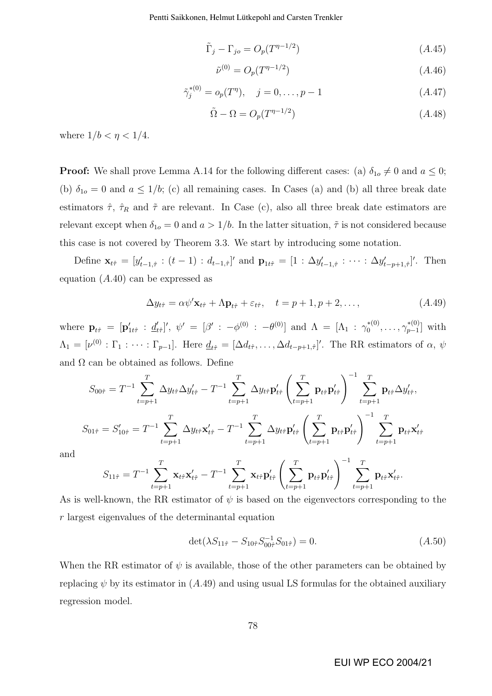Pentti Saikkonen, Helmut Lütkepohl and Carsten Trenkler

$$
\tilde{\Gamma}_j - \Gamma_{jo} = O_p(T^{\eta - 1/2})\tag{A.45}
$$

$$
\tilde{\nu}^{(0)} = O_p(T^{\eta - 1/2})\tag{A.46}
$$

$$
\tilde{\gamma}_j^{*(0)} = o_p(T^{\eta}), \quad j = 0, \dots, p - 1 \tag{A.47}
$$

$$
\tilde{\Omega} - \Omega = O_p(T^{\eta - 1/2})\tag{A.48}
$$

where  $1/b < \eta < 1/4$ .

**Proof:** We shall prove Lemma A.14 for the following different cases: (a)  $\delta_{1o} \neq 0$  and  $a \leq 0$ ; (b)  $\delta_{1o} = 0$  and  $a \leq 1/b$ ; (c) all remaining cases. In Cases (a) and (b) all three break date estimators  $\hat{\tau}$ ,  $\hat{\tau}_R$  and  $\tilde{\tau}$  are relevant. In Case (c), also all three break date estimators are relevant except when  $\delta_{1o} = 0$  and  $a > 1/b$ . In the latter situation,  $\tilde{\tau}$  is not considered because this case is not covered by Theorem 3.3. We start by introducing some notation.

Define  $\mathbf{x}_{t\hat{\tau}} = [y'_{t-1,\hat{\tau}} : (t-1) : d_{t-1,\hat{\tau}}]'$  and  $\mathbf{p}_{1t\hat{\tau}} = [1 : \Delta y'_{t-1,\hat{\tau}} : \cdots : \Delta y'_{t-p+1,\hat{\tau}}]'$ . Then equation  $(A.40)$  can be expressed as

$$
\Delta y_{t\hat{\tau}} = \alpha \psi' \mathbf{x}_{t\hat{\tau}} + \Lambda \mathbf{p}_{t\hat{\tau}} + \varepsilon_{t\hat{\tau}}, \quad t = p + 1, p + 2, \dots,
$$
 (A.49)

where  $\mathbf{p}_{t\hat{\tau}} = [\mathbf{p}_{1t\hat{\tau}}' : \underline{d}_{t}']$  $\{f_{t\hat{\tau}}\}' , \,\, \psi' \,\,=\,\, [\beta' \,\,:\,\, -\phi^{(0)} \,\,:\,\, -\theta^{(0)}] \,\,\,\text{and}\,\,\, \Lambda \,\,=\,\, [\Lambda_1 \,\,:\,\, \gamma_0^{*(0)} ]$  $\gamma^{*(0)}_0, \ldots, \gamma^{*(0)}_{p-1}$  $_{p-1}^{*(0)}$ ] with  $\Lambda_1 = [\nu^{(0)} : \Gamma_1 : \cdots : \Gamma_{p-1}]$ . Here  $\underline{d}_{t\hat{\tau}} = [\Delta d_{t\hat{\tau}}, \ldots, \Delta d_{t-p+1,\hat{\tau}}]'$ . The RR estimators of  $\alpha, \psi$ and  $\Omega$  can be obtained as follows. Define

$$
S_{00\hat{\tau}} = T^{-1} \sum_{t=p+1}^{T} \Delta y_{t\hat{\tau}} \Delta y'_{t\hat{\tau}} - T^{-1} \sum_{t=p+1}^{T} \Delta y_{t\hat{\tau}} \mathbf{p}'_{t\hat{\tau}} \left(\sum_{t=p+1}^{T} \mathbf{p}_{t\hat{\tau}} \mathbf{p}'_{t\hat{\tau}}\right)^{-1} \sum_{t=p+1}^{T} \mathbf{p}_{t\hat{\tau}} \Delta y'_{t\hat{\tau}},
$$
  

$$
S_{01\hat{\tau}} = S'_{10\hat{\tau}} = T^{-1} \sum_{t=p+1}^{T} \Delta y_{t\hat{\tau}} \mathbf{x}'_{t\hat{\tau}} - T^{-1} \sum_{t=p+1}^{T} \Delta y_{t\hat{\tau}} \mathbf{p}'_{t\hat{\tau}} \left(\sum_{t=p+1}^{T} \mathbf{p}_{t\hat{\tau}} \mathbf{p}'_{t\hat{\tau}}\right)^{-1} \sum_{t=p+1}^{T} \mathbf{p}_{t\hat{\tau}} \mathbf{x}'_{t\hat{\tau}}
$$

and

$$
S_{11\hat{\tau}} = T^{-1} \sum_{t=p+1}^{T} \mathbf{x}_{t\hat{\tau}} \mathbf{x}'_{t\hat{\tau}} - T^{-1} \sum_{t=p+1}^{T} \mathbf{x}_{t\hat{\tau}} \mathbf{p}'_{t\hat{\tau}} \left( \sum_{t=p+1}^{T} \mathbf{p}_{t\hat{\tau}} \mathbf{p}'_{t\hat{\tau}} \right)^{-1} \sum_{t=p+1}^{T} \mathbf{p}_{t\hat{\tau}} \mathbf{x}'_{t\hat{\tau}}.
$$

As is well-known, the RR estimator of  $\psi$  is based on the eigenvectors corresponding to the r largest eigenvalues of the determinantal equation

$$
\det(\lambda S_{11\hat{\tau}} - S_{10\hat{\tau}} S_{00\hat{\tau}}^{-1} S_{01\hat{\tau}}) = 0.
$$
\n
$$
(A.50)
$$

When the RR estimator of  $\psi$  is available, those of the other parameters can be obtained by replacing  $\psi$  by its estimator in (A.49) and using usual LS formulas for the obtained auxiliary regression model.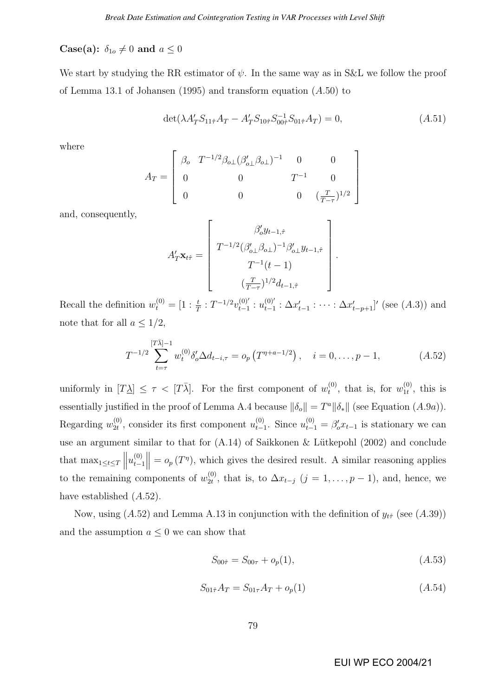**Case(a):**  $\delta_{1o} \neq 0$  and  $a \leq 0$ 

We start by studying the RR estimator of  $\psi$ . In the same way as in S&L we follow the proof of Lemma 13.1 of Johansen (1995) and transform equation (A.50) to

$$
\det(\lambda A'_T S_{11\hat{\tau}} A_T - A'_T S_{10\hat{\tau}} S_{00\hat{\tau}}^{-1} S_{01\hat{\tau}} A_T) = 0, \qquad (A.51)
$$

 $\overline{a}$ 

where

$$
A_T = \left[ \begin{array}{cccc} \beta_o & T^{-1/2} \beta_{o\perp} (\beta'_{o\perp} \beta_{o\perp})^{-1} & 0 & 0 \\ 0 & 0 & T^{-1} & 0 \\ 0 & 0 & 0 & (\frac{T}{T-\tau})^{1/2} \end{array} \right]
$$

 $\overline{r}$ 

and, consequently,

$$
A'_T \mathbf{x}_{t\hat{\tau}} = \begin{bmatrix} \beta'_o y_{t-1,\hat{\tau}} \\ T^{-1/2} (\beta'_{o\perp} \beta_{o\perp})^{-1} \beta'_{o\perp} y_{t-1,\hat{\tau}} \\ T^{-1} (t-1) \\ (\frac{T}{T-\tau})^{1/2} d_{t-1,\hat{\tau}} \end{bmatrix}.
$$

Recall the definition  $w_t^{(0)} = [1 : \frac{t}{T} : T^{-1/2} v_{t-1}^{(0)}]$  $u_{t-1}^{(0)'}:u_{t-1}^{(0)'}$  $_{t-1}^{(0)}$  :  $\Delta x'_{t-1}$  :  $\cdots$  :  $\Delta x'_{t-p+1}$ ]' (see (A.3)) and note that for all  $a \leq 1/2$ ,

$$
T^{-1/2} \sum_{t=\tau}^{[T\bar{\lambda}]-1} w_t^{(0)} \delta'_o \Delta d_{t-i,\tau} = o_p \left( T^{\eta+a-1/2} \right), \quad i = 0, \dots, p-1,
$$
 (A.52)

uniformly in  $[T\lambda] \leq \tau < [T\overline{\lambda}]$ . For the first component of  $w_t^{(0)}$  $t^{(0)}$ , that is, for  $w_{1t}^{(0)}$  $_{1t}^{(0)}$ , this is essentially justified in the proof of Lemma A.4 because  $\|\delta_o\| = T^a \|\delta_*\|$  (see Equation  $(A.9a)$ ). Regarding  $w_{2t}^{(0)}$  $u_{2t}^{(0)}$ , consider its first component  $u_{t-1}^{(0)}$  $t_{t-1}^{(0)}$ . Since  $u_{t-1}^{(0)} = \beta'_{o} x_{t-1}$  is stationary we can use an argument similar to that for  $(A.14)$  of Saikkonen & Lütkepohl  $(2002)$  and conclude that max<sub>1≤t≤T</sub>  $\| u_{t-1}^{(0)} \|$  $t-1$  $\parallel$  =  $o_p(T^{\eta})$ , which gives the desired result. A similar reasoning applies to the remaining components of  $w_{2t}^{(0)}$  $\mathcal{L}^{(0)}_{2t}$ , that is, to  $\Delta x_{t-j}$   $(j = 1, \ldots, p-1)$ , and, hence, we have established  $(A.52)$ .

Now, using  $(A.52)$  and Lemma A.13 in conjunction with the definition of  $y_{t\hat{\tau}}$  (see  $(A.39)$ ) and the assumption  $a \leq 0$  we can show that

$$
S_{00\hat{\tau}} = S_{00\tau} + o_p(1), \tag{A.53}
$$

$$
S_{01\hat{\tau}}A_T = S_{01\tau}A_T + o_p(1) \tag{A.54}
$$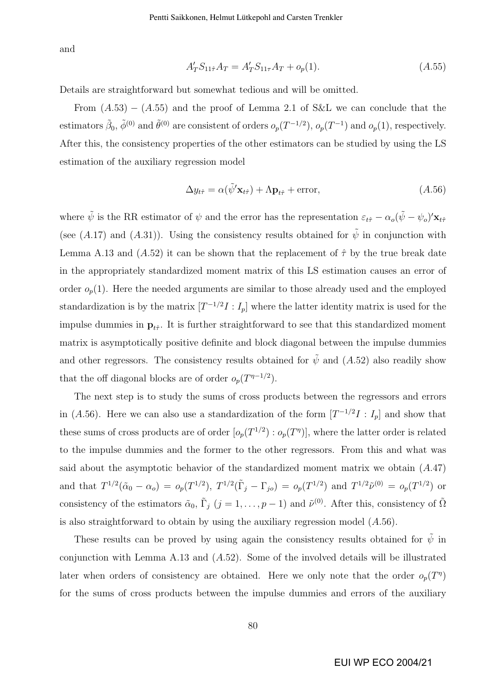and

$$
A'_{T}S_{11\hat{\tau}}A_{T} = A'_{T}S_{11\tau}A_{T} + o_{p}(1). \qquad (A.55)
$$

Details are straightforward but somewhat tedious and will be omitted.

From  $(A.53) - (A.55)$  and the proof of Lemma 2.1 of S&L we can conclude that the estimators  $\tilde{\beta}_0$ ,  $\tilde{\phi}^{(0)}$  and  $\tilde{\theta}^{(0)}$  are consistent of orders  $o_p(T^{-1/2})$ ,  $o_p(T^{-1})$  and  $o_p(1)$ , respectively. After this, the consistency properties of the other estimators can be studied by using the LS estimation of the auxiliary regression model

$$
\Delta y_{t\hat{\tau}} = \alpha(\tilde{\psi}' \mathbf{x}_{t\hat{\tau}}) + \Lambda \mathbf{p}_{t\hat{\tau}} + \text{error},\tag{A.56}
$$

where  $\tilde{\psi}$  is the RR estimator of  $\psi$  and the error has the representation  $\varepsilon_{t\hat{\tau}} - \alpha_o(\tilde{\psi} - \psi_o)' \mathbf{x}_{t\hat{\tau}}$ (see (A.17) and (A.31)). Using the consistency results obtained for  $\tilde{\psi}$  in conjunction with Lemma A.13 and  $(A.52)$  it can be shown that the replacement of  $\hat{\tau}$  by the true break date in the appropriately standardized moment matrix of this LS estimation causes an error of order  $o_p(1)$ . Here the needed arguments are similar to those already used and the employed standardization is by the matrix  $[T^{-1/2}I:I_p]$  where the latter identity matrix is used for the impulse dummies in  $p_{t\hat{\tau}}$ . It is further straightforward to see that this standardized moment matrix is asymptotically positive definite and block diagonal between the impulse dummies and other regressors. The consistency results obtained for  $\tilde{\psi}$  and  $(A.52)$  also readily show that the off diagonal blocks are of order  $o_p(T^{\eta-1/2})$ .

The next step is to study the sums of cross products between the regressors and errors in (A.56). Here we can also use a standardization of the form  $[T^{-1/2}I : I_p]$  and show that these sums of cross products are of order  $[o_p(T^{1/2}) : o_p(T^{\eta})]$ , where the latter order is related to the impulse dummies and the former to the other regressors. From this and what was said about the asymptotic behavior of the standardized moment matrix we obtain (A.47) and that  $T^{1/2}(\tilde{\alpha}_0 - \alpha_o) = o_p(T^{1/2}), T^{1/2}(\tilde{\Gamma}_j - \Gamma_{jo}) = o_p(T^{1/2})$  and  $T^{1/2}\tilde{\nu}^{(0)} = o_p(T^{1/2})$  or consistency of the estimators  $\tilde{\alpha}_0$ ,  $\tilde{\Gamma}_j$   $(j = 1, \ldots, p - 1)$  and  $\tilde{\nu}^{(0)}$ . After this, consistency of  $\tilde{\Omega}$ is also straightforward to obtain by using the auxiliary regression model  $(A.56)$ .

These results can be proved by using again the consistency results obtained for  $\tilde{\psi}$  in conjunction with Lemma A.13 and  $(A.52)$ . Some of the involved details will be illustrated later when orders of consistency are obtained. Here we only note that the order  $o_p(T<sup>\eta</sup>)$ for the sums of cross products between the impulse dummies and errors of the auxiliary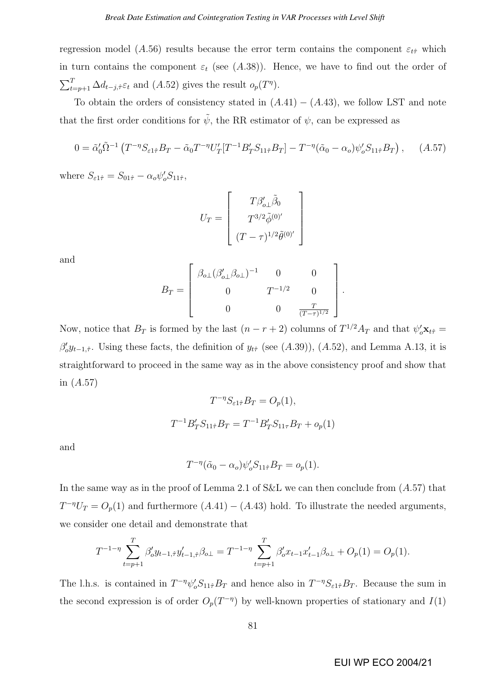regression model (A.56) results because the error term contains the component  $\varepsilon_{t\hat{\tau}}$  which in turn contains the component  $\varepsilon_t$  (see (A.38)). Hence, we have to find out the order of  $\overline{\smash{\bigtriangledown^T}}$  $T_{t=p+1} \Delta d_{t-j,\hat{\tau}} \varepsilon_t$  and  $(A.52)$  gives the result  $o_p(T^{\eta})$ .

To obtain the orders of consistency stated in  $(A.41) - (A.43)$ , we follow LST and note that the first order conditions for  $\tilde{\psi}$ , the RR estimator of  $\psi$ , can be expressed as

$$
0 = \tilde{\alpha}'_0 \tilde{\Omega}^{-1} \left( T^{-\eta} S_{\varepsilon 1 \hat{\tau}} B_T - \tilde{\alpha}_0 T^{-\eta} U'_T [T^{-1} B'_T S_{11 \hat{\tau}} B_T] - T^{-\eta} (\tilde{\alpha}_0 - \alpha_o) \psi'_o S_{11 \hat{\tau}} B_T \right), \quad (A.57)
$$

where  $S_{\varepsilon 1\hat{\tau}} = S_{01\hat{\tau}} - \alpha_o \psi_o' S_{11\hat{\tau}},$ 

$$
U_T = \left[ \begin{array}{c} T \beta'_{o\perp} \tilde{\beta}_0 \\ T^{3/2} \tilde{\phi}^{(0)'} \\ (T - \tau)^{1/2} \tilde{\theta}^{(0)'} \end{array} \right]
$$

and

$$
B_T = \begin{bmatrix} \beta_{o\perp} (\beta'_{o\perp} \beta_{o\perp})^{-1} & 0 & 0 \\ 0 & T^{-1/2} & 0 \\ 0 & 0 & \frac{T}{(T-\tau)^{1/2}} \end{bmatrix}
$$

.

Now, notice that  $B_T$  is formed by the last  $(n - r + 2)$  columns of  $T^{1/2}A_T$  and that  $\psi_o' \mathbf{x}_{t\hat{\tau}} =$  $\beta'_0 y_{t-1,\hat{\tau}}$ . Using these facts, the definition of  $y_{t\hat{\tau}}$  (see (A.39)), (A.52), and Lemma A.13, it is straightforward to proceed in the same way as in the above consistency proof and show that in  $(A.57)$ 

$$
T^{-\eta} S_{\varepsilon 1 \hat{\tau}} B_T = O_p(1),
$$
  

$$
T^{-1} B_T' S_{11 \hat{\tau}} B_T = T^{-1} B_T' S_{11 \tau} B_T + o_p(1)
$$

and

$$
T^{-\eta}(\tilde{\alpha}_0 - \alpha_o)\psi_o'S_{11\hat{\tau}}B_T = o_p(1).
$$

In the same way as in the proof of Lemma 2.1 of S&L we can then conclude from  $(A.57)$  that  $T^{-\eta}U_T = O_p(1)$  and furthermore  $(A.41) - (A.43)$  hold. To illustrate the needed arguments, we consider one detail and demonstrate that

$$
T^{-1-\eta} \sum_{t=p+1}^T \beta'_o y_{t-1,\hat{\tau}} y'_{t-1,\hat{\tau}} \beta_{o\perp} = T^{-1-\eta} \sum_{t=p+1}^T \beta'_o x_{t-1} x'_{t-1} \beta_{o\perp} + O_p(1) = O_p(1).
$$

The l.h.s. is contained in  $T^{-\eta}\psi_o' S_{11\hat{\tau}}B_T$  and hence also in  $T^{-\eta}S_{\varepsilon 1\hat{\tau}}B_T$ . Because the sum in the second expression is of order  $O_p(T^{-\eta})$  by well-known properties of stationary and  $I(1)$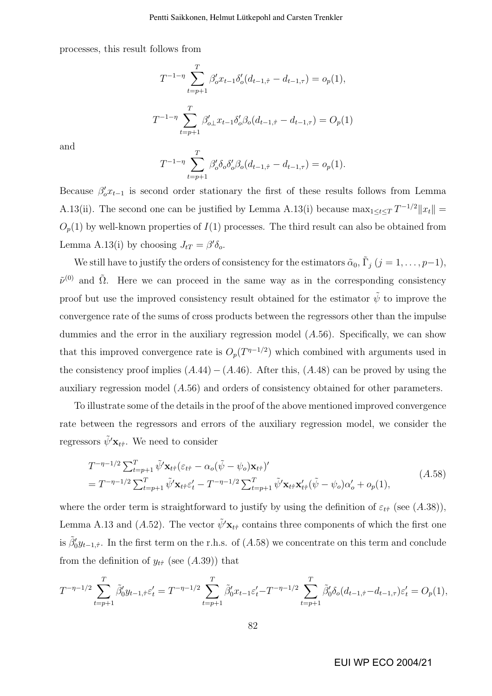processes, this result follows from

$$
T^{-1-\eta} \sum_{t=p+1}^{T} \beta_o' x_{t-1} \delta_o' (d_{t-1,\hat{\tau}} - d_{t-1,\tau}) = o_p(1),
$$
  

$$
T^{-1-\eta} \sum_{t=p+1}^{T} \beta_{o\perp}' x_{t-1} \delta_o' \beta_o (d_{t-1,\hat{\tau}} - d_{t-1,\tau}) = O_p(1)
$$

and

$$
T^{-1-\eta} \sum_{t=p+1}^{T} \beta_o' \delta_o \delta_o' \beta_o (d_{t-1,\hat{\tau}} - d_{t-1,\tau}) = o_p(1).
$$

Because  $\beta'_0 x_{t-1}$  is second order stationary the first of these results follows from Lemma A.13(ii). The second one can be justified by Lemma A.13(i) because  $\max_{1 \leq t \leq T} T^{-1/2} ||x_t|| =$  $O_p(1)$  by well-known properties of  $I(1)$  processes. The third result can also be obtained from Lemma A.13(i) by choosing  $J_{tT} = \beta' \delta_o$ .

We still have to justify the orders of consistency for the estimators  $\tilde{\alpha}_0$ ,  $\tilde{\Gamma}_j$   $(j = 1, \ldots, p-1)$ ,  $\tilde{\nu}^{(0)}$  and  $\tilde{\Omega}$ . Here we can proceed in the same way as in the corresponding consistency proof but use the improved consistency result obtained for the estimator  $\tilde{\psi}$  to improve the convergence rate of the sums of cross products between the regressors other than the impulse dummies and the error in the auxiliary regression model  $(A.56)$ . Specifically, we can show that this improved convergence rate is  $O_p(T^{n-1/2})$  which combined with arguments used in the consistency proof implies  $(A.44) - (A.46)$ . After this,  $(A.48)$  can be proved by using the auxiliary regression model (A.56) and orders of consistency obtained for other parameters.

To illustrate some of the details in the proof of the above mentioned improved convergence rate between the regressors and errors of the auxiliary regression model, we consider the regressors  $\tilde{\psi}' \mathbf{x}_{t\hat{\tau}}$ . We need to consider

$$
T^{-\eta-1/2} \sum_{t=p+1}^{T} \tilde{\psi}' \mathbf{x}_{t\hat{\tau}} (\varepsilon_{t\hat{\tau}} - \alpha_o(\tilde{\psi} - \psi_o) \mathbf{x}_{t\hat{\tau}})'
$$
  
= 
$$
T^{-\eta-1/2} \sum_{t=p+1}^{T} \tilde{\psi}' \mathbf{x}_{t\hat{\tau}} \varepsilon'_t - T^{-\eta-1/2} \sum_{t=p+1}^{T} \tilde{\psi}' \mathbf{x}_{t\hat{\tau}} \mathbf{x}'_{t\hat{\tau}} (\tilde{\psi} - \psi_o) \alpha'_o + o_p(1),
$$
 (A.58)

where the order term is straightforward to justify by using the definition of  $\varepsilon_{t\hat{\tau}}$  (see (A.38)), Lemma A.13 and (A.52). The vector  $\tilde{\psi}' \mathbf{x}_{t\hat{\tau}}$  contains three components of which the first one is  $\tilde{\beta}'_0 y_{t-1,\hat{\tau}}$ . In the first term on the r.h.s. of  $(A.58)$  we concentrate on this term and conclude from the definition of  $y_{t\hat{\tau}}$  (see (A.39)) that

$$
T^{-\eta-1/2} \sum_{t=p+1}^{T} \tilde{\beta}'_0 y_{t-1,\hat{\tau}} \varepsilon'_t = T^{-\eta-1/2} \sum_{t=p+1}^{T} \tilde{\beta}'_0 x_{t-1} \varepsilon'_t - T^{-\eta-1/2} \sum_{t=p+1}^{T} \tilde{\beta}'_0 \delta_o(d_{t-1,\hat{\tau}} - d_{t-1,\tau}) \varepsilon'_t = O_p(1),
$$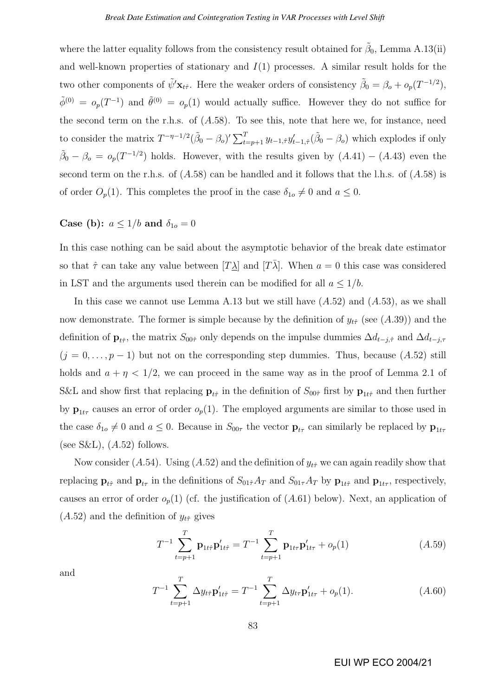where the latter equality follows from the consistency result obtained for  $\tilde{\beta}_0$ , Lemma A.13(ii) and well-known properties of stationary and  $I(1)$  processes. A similar result holds for the two other components of  $\tilde{\psi}' \mathbf{x}_{t\hat{\tau}}$ . Here the weaker orders of consistency  $\tilde{\beta}_0 = \beta_o + o_p(T^{-1/2}),$  $\tilde{\phi}^{(0)} = o_p(T^{-1})$  and  $\tilde{\theta}^{(0)} = o_p(1)$  would actually suffice. However they do not suffice for the second term on the r.h.s. of  $(A.58)$ . To see this, note that here we, for instance, need to consider the matrix  $T^{-\eta-1/2}(\tilde{\beta}_0-\beta_o)' \sum_{t=p+1}^T y_{t-1,\hat{\tau}} y_{t-1,\hat{\tau}}'(\tilde{\beta}_0-\beta_o)$  which explodes if only  $\tilde{\beta}_0 - \beta_o = o_p(T^{-1/2})$  holds. However, with the results given by  $(A.41) - (A.43)$  even the second term on the r.h.s. of  $(A.58)$  can be handled and it follows that the l.h.s. of  $(A.58)$  is of order  $O_p(1)$ . This completes the proof in the case  $\delta_{1o} \neq 0$  and  $a \leq 0$ .

### Case (b):  $a \leq 1/b$  and  $\delta_{10} = 0$

In this case nothing can be said about the asymptotic behavior of the break date estimator so that  $\hat{\tau}$  can take any value between  $[T\lambda]$  and  $[T\overline{\lambda}]$ . When  $a = 0$  this case was considered in LST and the arguments used therein can be modified for all  $a \leq 1/b$ .

In this case we cannot use Lemma A.13 but we still have  $(A.52)$  and  $(A.53)$ , as we shall now demonstrate. The former is simple because by the definition of  $y_{t\hat{\tau}}$  (see (A.39)) and the definition of  $\mathbf{p}_{t\hat{\tau}}$ , the matrix  $S_{00\hat{\tau}}$  only depends on the impulse dummies  $\Delta d_{t-j,\hat{\tau}}$  and  $\Delta d_{t-j,\tau}$  $(j = 0, \ldots, p - 1)$  but not on the corresponding step dummies. Thus, because  $(A.52)$  still holds and  $a + \eta < 1/2$ , we can proceed in the same way as in the proof of Lemma 2.1 of S&L and show first that replacing  $\mathbf{p}_{t\hat{\tau}}$  in the definition of  $S_{00\hat{\tau}}$  first by  $\mathbf{p}_{1t\hat{\tau}}$  and then further by  $\mathbf{p}_{1t\tau}$  causes an error of order  $o_p(1)$ . The employed arguments are similar to those used in the case  $\delta_{1o} \neq 0$  and  $a \leq 0$ . Because in  $S_{00\tau}$  the vector  $\mathbf{p}_{t\tau}$  can similarly be replaced by  $\mathbf{p}_{1t\tau}$ (see S&L),  $(A.52)$  follows.

Now consider (A.54). Using (A.52) and the definition of  $y_{t\hat{\tau}}$  we can again readily show that replacing  $\mathbf{p}_{t\hat{\tau}}$  and  $\mathbf{p}_{t\tau}$  in the definitions of  $S_{01\hat{\tau}}A_T$  and  $S_{01\tau}A_T$  by  $\mathbf{p}_{1t\hat{\tau}}$  and  $\mathbf{p}_{1t\tau}$ , respectively, causes an error of order  $o_p(1)$  (cf. the justification of  $(A.61)$  below). Next, an application of  $(A.52)$  and the definition of  $y_{t\hat{\tau}}$  gives

$$
T^{-1} \sum_{t=p+1}^{T} \mathbf{p}_{1t\hat{\tau}} \mathbf{p}'_{1t\hat{\tau}} = T^{-1} \sum_{t=p+1}^{T} \mathbf{p}_{1t\tau} \mathbf{p}'_{1t\tau} + o_p(1)
$$
 (A.59)

and

$$
T^{-1} \sum_{t=p+1}^{T} \Delta y_{t\hat{\tau}} \mathbf{p}'_{1t\hat{\tau}} = T^{-1} \sum_{t=p+1}^{T} \Delta y_{t\tau} \mathbf{p}'_{1t\tau} + o_p(1).
$$
 (A.60)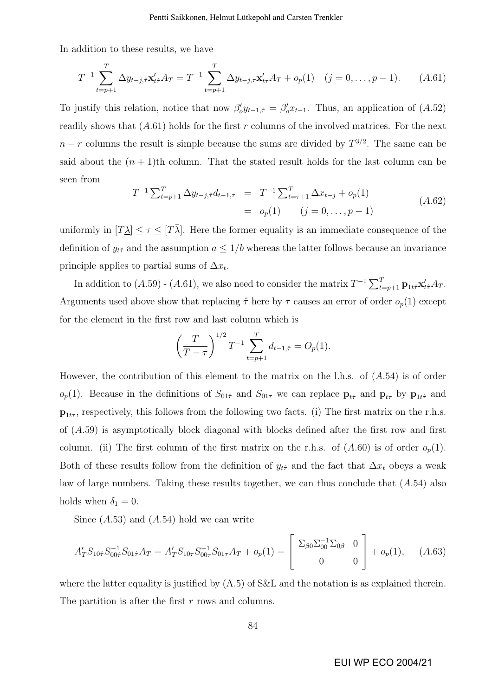In addition to these results, we have

$$
T^{-1} \sum_{t=p+1}^{T} \Delta y_{t-j,\hat{\tau}} \mathbf{x}'_{t\hat{\tau}} A_T = T^{-1} \sum_{t=p+1}^{T} \Delta y_{t-j,\tau} \mathbf{x}'_{t\tau} A_T + o_p(1) \quad (j = 0, \dots, p-1). \tag{A.61}
$$

To justify this relation, notice that now  $\beta'_0 y_{t-1,\hat{\tau}} = \beta'_0 x_{t-1}$ . Thus, an application of  $(A.52)$ readily shows that  $(A.61)$  holds for the first r columns of the involved matrices. For the next  $n-r$  columns the result is simple because the sums are divided by  $T^{3/2}$ . The same can be said about the  $(n + 1)$ th column. That the stated result holds for the last column can be seen from

$$
T^{-1} \sum_{t=p+1}^{T} \Delta y_{t-j,\hat{\tau}} d_{t-1,\tau} = T^{-1} \sum_{t=\tau+1}^{T} \Delta x_{t-j} + o_p(1)
$$
  
=  $o_p(1)$   $(j = 0, ..., p - 1)$   $(A.62)$ 

uniformly in  $[T\lambda] \leq \tau \leq [T\overline{\lambda}]$ . Here the former equality is an immediate consequence of the definition of  $y_{t\hat{\tau}}$  and the assumption  $a \leq 1/b$  whereas the latter follows because an invariance principle applies to partial sums of  $\Delta x_t$ .

In addition to  $(A.59)$  -  $(A.61)$ , we also need to consider the matrix  $T^{-1} \sum_{t=p+1}^{T} \mathbf{p}_{1t\hat{\tau}} \mathbf{x}'_{t\hat{\tau}} A_T$ . Arguments used above show that replacing  $\hat{\tau}$  here by  $\tau$  causes an error of order  $o_p(1)$  except for the element in the first row and last column which is

$$
\left(\frac{T}{T-\tau}\right)^{1/2}T^{-1}\sum_{t=p+1}^{T}d_{t-1,\hat{\tau}} = O_p(1).
$$

However, the contribution of this element to the matrix on the l.h.s. of  $(A.54)$  is of order  $o_p(1)$ . Because in the definitions of  $S_{01\hat{\tau}}$  and  $S_{01\tau}$  we can replace  $\mathbf{p}_{t\hat{\tau}}$  and  $\mathbf{p}_{t\tau}$  by  $\mathbf{p}_{1t\hat{\tau}}$  and  $\mathbf{p}_{1t\tau}$ , respectively, this follows from the following two facts. (i) The first matrix on the r.h.s. of (A.59) is asymptotically block diagonal with blocks defined after the first row and first column. (ii) The first column of the first matrix on the r.h.s. of  $(A.60)$  is of order  $o_p(1)$ . Both of these results follow from the definition of  $y_{t\hat{\tau}}$  and the fact that  $\Delta x_t$  obeys a weak law of large numbers. Taking these results together, we can thus conclude that  $(A.54)$  also holds when  $\delta_1 = 0$ .

Since  $(A.53)$  and  $(A.54)$  hold we can write

$$
A'_T S_{10\hat{\tau}} S_{00\hat{\tau}}^{-1} S_{01\hat{\tau}} A_T = A'_T S_{10\tau} S_{00\tau}^{-1} S_{01\tau} A_T + o_p(1) = \begin{bmatrix} \Sigma_{\beta 0} \Sigma_{00}^{-1} \Sigma_{0\beta} & 0 \\ 0 & 0 \end{bmatrix} + o_p(1), \quad (A.63)
$$

where the latter equality is justified by  $(A.5)$  of S&L and the notation is as explained therein. The partition is after the first r rows and columns.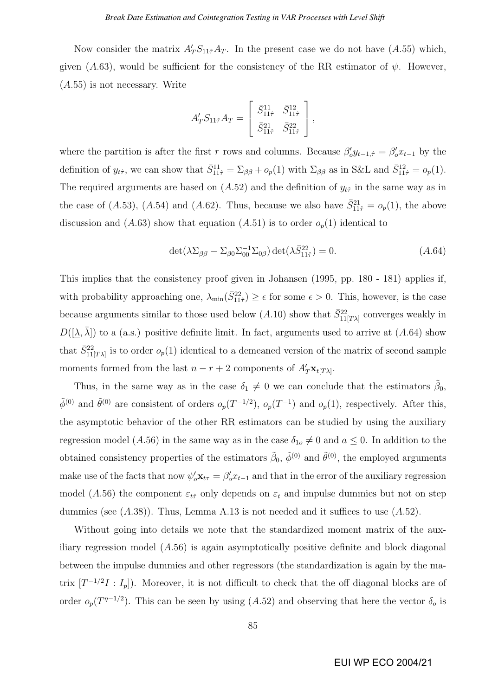Now consider the matrix  $A'_T S_{11\hat{\tau}} A_T$ . In the present case we do not have  $(A.55)$  which, given (A.63), would be sufficient for the consistency of the RR estimator of  $\psi$ . However, (A.55) is not necessary. Write

$$
A'_T S_{11\hat{\tau}} A_T = \begin{bmatrix} \bar{S}_{11\hat{\tau}}^{11} & \bar{S}_{11\hat{\tau}}^{12} \\ \bar{S}_{11\hat{\tau}}^{21} & \bar{S}_{11\hat{\tau}}^{22} \end{bmatrix},
$$

where the partition is after the first r rows and columns. Because  $\beta'_0 y_{t-1,\hat{\tau}} = \beta'_0 x_{t-1}$  by the definition of  $y_{t\hat{\tau}}$ , we can show that  $\bar{S}_{11\hat{\tau}}^{11} = \sum_{\beta\beta} + o_p(1)$  with  $\sum_{\beta\beta}$  as in S&L and  $\bar{S}_{11\hat{\tau}}^{12} = o_p(1)$ . The required arguments are based on  $(A.52)$  and the definition of  $y_{t\hat{\tau}}$  in the same way as in the case of (A.53), (A.54) and (A.62). Thus, because we also have  $\bar{S}_{11\hat{\tau}}^{21} = o_p(1)$ , the above discussion and (A.63) show that equation (A.51) is to order  $o_p(1)$  identical to

$$
\det(\lambda \Sigma_{\beta\beta} - \Sigma_{\beta 0} \Sigma_{00}^{-1} \Sigma_{0\beta}) \det(\lambda \bar{S}_{11\hat{\tau}}^{22}) = 0.
$$
 (A.64)

This implies that the consistency proof given in Johansen (1995, pp. 180 - 181) applies if, with probability approaching one,  $\lambda_{\min}(\bar{S}_{11\hat{\tau}}^{22}) \geq \epsilon$  for some  $\epsilon > 0$ . This, however, is the case because arguments similar to those used below  $(A.10)$  show that  $\bar{S}_{11[T\lambda]}^{22}$  converges weakly in  $D([\underline{\lambda}, \overline{\lambda}])$  to a (a.s.) positive definite limit. In fact, arguments used to arrive at (A.64) show that  $\bar{S}_{11[T\lambda]}^{22}$  is to order  $o_p(1)$  identical to a demeaned version of the matrix of second sample moments formed from the last  $n - r + 2$  components of  $A'_T \mathbf{x}_{t[T\lambda]}.$ 

Thus, in the same way as in the case  $\delta_1 \neq 0$  we can conclude that the estimators  $\tilde{\beta}_0$ ,  $\tilde{\phi}^{(0)}$  and  $\tilde{\theta}^{(0)}$  are consistent of orders  $o_p(T^{-1/2})$ ,  $o_p(T^{-1})$  and  $o_p(1)$ , respectively. After this, the asymptotic behavior of the other RR estimators can be studied by using the auxiliary regression model (A.56) in the same way as in the case  $\delta_{1o} \neq 0$  and  $a \leq 0$ . In addition to the obtained consistency properties of the estimators  $\tilde{\beta}_0$ ,  $\tilde{\phi}^{(0)}$  and  $\tilde{\theta}^{(0)}$ , the employed arguments make use of the facts that now  $\psi'_o \mathbf{x}_{t\tau} = \beta'_o x_{t-1}$  and that in the error of the auxiliary regression model (A.56) the component  $\varepsilon_{t\hat{\tau}}$  only depends on  $\varepsilon_t$  and impulse dummies but not on step dummies (see  $(A.38)$ ). Thus, Lemma A.13 is not needed and it suffices to use  $(A.52)$ .

Without going into details we note that the standardized moment matrix of the auxiliary regression model  $(A.56)$  is again asymptotically positive definite and block diagonal between the impulse dummies and other regressors (the standardization is again by the matrix  $[T^{-1/2}I : I_p]$ ). Moreover, it is not difficult to check that the off diagonal blocks are of order  $o_p(T^{\eta-1/2})$ . This can be seen by using  $(A.52)$  and observing that here the vector  $\delta_o$  is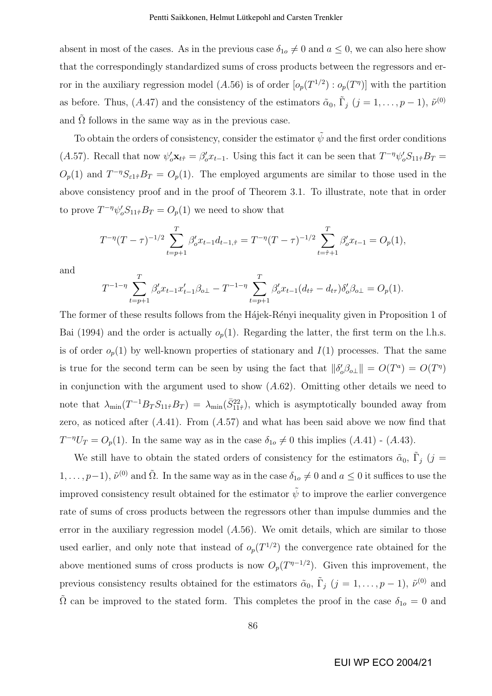absent in most of the cases. As in the previous case  $\delta_{1o} \neq 0$  and  $a \leq 0$ , we can also here show that the correspondingly standardized sums of cross products between the regressors and error in the auxiliary regression model (A.56) is of order  $[o_p(T^{1/2}) : o_p(T^{\eta})]$  with the partition as before. Thus, (A.47) and the consistency of the estimators  $\tilde{\alpha}_0$ ,  $\tilde{\Gamma}_j$  ( $j = 1, \ldots, p-1$ ),  $\tilde{\nu}^{(0)}$ and  $\Omega$  follows in the same way as in the previous case.

To obtain the orders of consistency, consider the estimator  $\tilde{\psi}$  and the first order conditions (A.57). Recall that now  $\psi_o' \mathbf{x}_{t\hat{\tau}} = \beta_o' x_{t-1}$ . Using this fact it can be seen that  $T^{-\eta} \psi_o' S_{11\hat{\tau}} B_T =$  $O_p(1)$  and  $T^{-\eta}S_{\epsilon 1\hat{\tau}}B_T = O_p(1)$ . The employed arguments are similar to those used in the above consistency proof and in the proof of Theorem 3.1. To illustrate, note that in order to prove  $T^{-\eta}\psi_o'S_{11\hat{\tau}}B_T = O_p(1)$  we need to show that

$$
T^{-\eta}(T-\tau)^{-1/2} \sum_{t=p+1}^{T} \beta_o' x_{t-1} d_{t-1,\hat{\tau}} = T^{-\eta}(T-\tau)^{-1/2} \sum_{t=\hat{\tau}+1}^{T} \beta_o' x_{t-1} = O_p(1),
$$

and

$$
T^{-1-\eta} \sum_{t=p+1}^{T} \beta_o' x_{t-1} x_{t-1}' \beta_{o\perp} - T^{-1-\eta} \sum_{t=p+1}^{T} \beta_o' x_{t-1} (d_{t\hat{\tau}} - d_{t\tau}) \delta_o' \beta_{o\perp} = O_p(1).
$$

The former of these results follows from the Haziek-Renyi inequality given in Proposition 1 of Bai (1994) and the order is actually  $o_p(1)$ . Regarding the latter, the first term on the l.h.s. is of order  $o_p(1)$  by well-known properties of stationary and  $I(1)$  processes. That the same is true for the second term can be seen by using the fact that  $\|\delta'_o\beta_{o\perp}\| = O(T^a) = O(T^{\eta})$ in conjunction with the argument used to show  $(A.62)$ . Omitting other details we need to note that  $\lambda_{\min}(T^{-1}B_T S_{11\hat{\tau}}B_T) = \lambda_{\min}(\bar{S}_{11\hat{\tau}}^{22})$ , which is asymptotically bounded away from zero, as noticed after  $(A.41)$ . From  $(A.57)$  and what has been said above we now find that  $T^{-\eta}U_T = O_p(1)$ . In the same way as in the case  $\delta_{1o} \neq 0$  this implies  $(A.41)$  -  $(A.43)$ .

We still have to obtain the stated orders of consistency for the estimators  $\tilde{\alpha}_0$ ,  $\tilde{\Gamma}_j$  (j =  $1,\ldots,p-1$ ,  $\tilde{\nu}^{(0)}$  and  $\tilde{\Omega}$ . In the same way as in the case  $\delta_{1o}\neq 0$  and  $a\leq 0$  it suffices to use the improved consistency result obtained for the estimator  $\psi$  to improve the earlier convergence rate of sums of cross products between the regressors other than impulse dummies and the error in the auxiliary regression model  $(A.56)$ . We omit details, which are similar to those used earlier, and only note that instead of  $o_p(T^{1/2})$  the convergence rate obtained for the above mentioned sums of cross products is now  $O_p(T^{n-1/2})$ . Given this improvement, the previous consistency results obtained for the estimators  $\tilde{\alpha}_0$ ,  $\tilde{\Gamma}_j$   $(j = 1, \ldots, p-1)$ ,  $\tilde{\nu}^{(0)}$  and  $\tilde{\Omega}$  can be improved to the stated form. This completes the proof in the case  $\delta_{1o} = 0$  and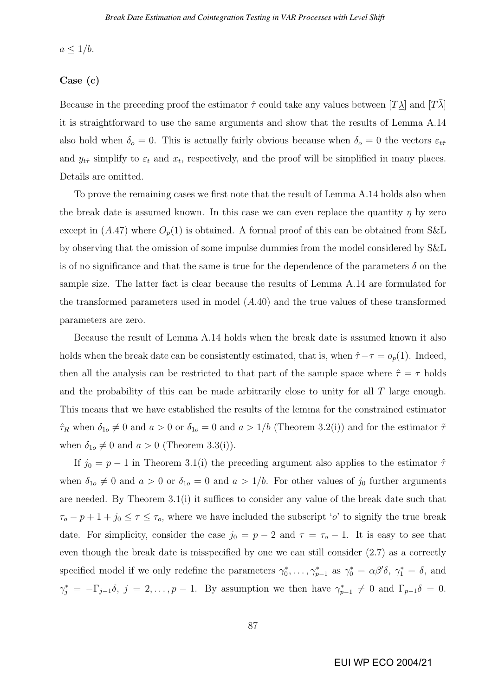$a \leq 1/b$ .

#### Case (c)

Because in the preceding proof the estimator  $\hat{\tau}$  could take any values between  $[T\lambda]$  and  $[T\lambda]$ it is straightforward to use the same arguments and show that the results of Lemma A.14 also hold when  $\delta_{\rm o}=0$ . This is actually fairly obvious because when  $\delta_{\rm o}=0$  the vectors  $\varepsilon_{t\hat{\tau}}$ and  $y_{t\hat{\tau}}$  simplify to  $\varepsilon_t$  and  $x_t$ , respectively, and the proof will be simplified in many places. Details are omitted.

To prove the remaining cases we first note that the result of Lemma A.14 holds also when the break date is assumed known. In this case we can even replace the quantity  $\eta$  by zero except in  $(A.47)$  where  $O_p(1)$  is obtained. A formal proof of this can be obtained from S&L by observing that the omission of some impulse dummies from the model considered by S&L is of no significance and that the same is true for the dependence of the parameters  $\delta$  on the sample size. The latter fact is clear because the results of Lemma A.14 are formulated for the transformed parameters used in model  $(A.40)$  and the true values of these transformed parameters are zero.

Because the result of Lemma A.14 holds when the break date is assumed known it also holds when the break date can be consistently estimated, that is, when  $\hat{\tau} - \tau = o_p(1)$ . Indeed, then all the analysis can be restricted to that part of the sample space where  $\hat{\tau} = \tau$  holds and the probability of this can be made arbitrarily close to unity for all T large enough. This means that we have established the results of the lemma for the constrained estimator  $\hat{\tau}_R$  when  $\delta_{1o} \neq 0$  and  $a > 0$  or  $\delta_{1o} = 0$  and  $a > 1/b$  (Theorem 3.2(i)) and for the estimator  $\tilde{\tau}$ when  $\delta_{1o} \neq 0$  and  $a > 0$  (Theorem 3.3(i)).

If  $j_0 = p - 1$  in Theorem 3.1(i) the preceding argument also applies to the estimator  $\hat{\tau}$ when  $\delta_{1o} \neq 0$  and  $a > 0$  or  $\delta_{1o} = 0$  and  $a > 1/b$ . For other values of  $j_0$  further arguments are needed. By Theorem 3.1(i) it suffices to consider any value of the break date such that  $\tau_o - p + 1 + j_0 \leq \tau \leq \tau_o$ , where we have included the subscript 'o' to signify the true break date. For simplicity, consider the case  $j_0 = p - 2$  and  $\tau = \tau_o - 1$ . It is easy to see that even though the break date is misspecified by one we can still consider (2.7) as a correctly specified model if we only redefine the parameters  $\gamma_0^*, \ldots, \gamma_{p-1}^*$  as  $\gamma_0^* = \alpha \beta' \delta$ ,  $\gamma_1^* = \delta$ , and  $\gamma_j^* = -\Gamma_{j-1}\delta, \ j = 2,\ldots,p-1$ . By assumption we then have  $\gamma_{p-1}^* \neq 0$  and  $\Gamma_{p-1}\delta = 0$ .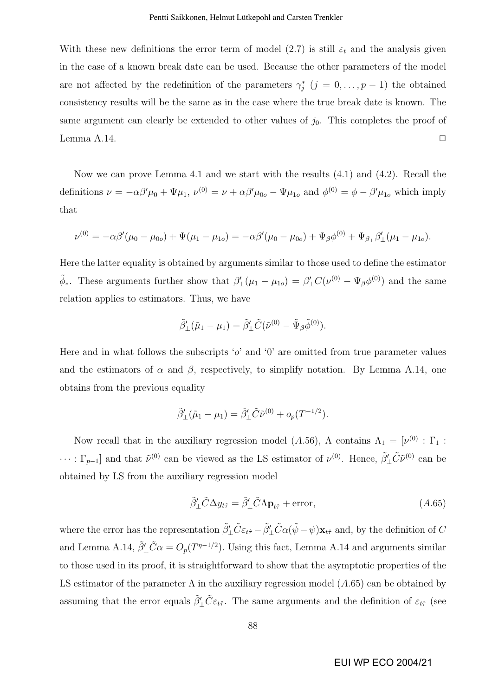With these new definitions the error term of model  $(2.7)$  is still  $\varepsilon_t$  and the analysis given in the case of a known break date can be used. Because the other parameters of the model are not affected by the redefinition of the parameters  $\gamma_j^*$   $(j = 0, \ldots, p-1)$  the obtained consistency results will be the same as in the case where the true break date is known. The same argument can clearly be extended to other values of  $j_0$ . This completes the proof of Lemma A.14.  $\Box$ 

Now we can prove Lemma 4.1 and we start with the results (4.1) and (4.2). Recall the definitions  $\nu = -\alpha\beta'\mu_0 + \Psi\mu_1$ ,  $\nu^{(0)} = \nu + \alpha\beta'\mu_{0o} - \Psi\mu_{1o}$  and  $\phi^{(0)} = \phi - \beta'\mu_{1o}$  which imply that

$$
\nu^{(0)} = -\alpha\beta'(\mu_0 - \mu_{0o}) + \Psi(\mu_1 - \mu_{1o}) = -\alpha\beta'(\mu_0 - \mu_{0o}) + \Psi_{\beta}\phi^{(0)} + \Psi_{\beta_{\perp}}\beta'_{\perp}(\mu_1 - \mu_{1o}).
$$

Here the latter equality is obtained by arguments similar to those used to define the estimator  $\tilde{\phi}_*$ . These arguments further show that  $\beta'_{\perp}(\mu_1 - \mu_{1o}) = \beta'_{\perp}C(\nu^{(0)} - \Psi_{\beta}\phi^{(0)})$  and the same relation applies to estimators. Thus, we have

$$
\tilde{\beta}'_{\perp}(\tilde{\mu}_1 - \mu_1) = \tilde{\beta}'_{\perp} \tilde{C} (\tilde{\nu}^{(0)} - \tilde{\Psi}_{\beta} \tilde{\phi}^{(0)}).
$$

Here and in what follows the subscripts 'o' and '0' are omitted from true parameter values and the estimators of  $\alpha$  and  $\beta$ , respectively, to simplify notation. By Lemma A.14, one obtains from the previous equality

$$
\tilde{\beta}'_{\perp}(\tilde{\mu}_1 - \mu_1) = \tilde{\beta}'_{\perp}\tilde{C}\tilde{\nu}^{(0)} + o_p(T^{-1/2}).
$$

Now recall that in the auxiliary regression model (A.56),  $\Lambda$  contains  $\Lambda_1 = [\nu^{(0)} : \Gamma_1 :$  $\cdots$ :  $\Gamma_{p-1}$  and that  $\tilde{\nu}^{(0)}$  can be viewed as the LS estimator of  $\nu^{(0)}$ . Hence,  $\tilde{\beta}'_{\perp}\tilde{C}\tilde{\nu}^{(0)}$  can be obtained by LS from the auxiliary regression model

$$
\tilde{\beta}'_{\perp}\tilde{C}\Delta y_{t\hat{\tau}} = \tilde{\beta}'_{\perp}\tilde{C}\Lambda \mathbf{p}_{t\hat{\tau}} + \text{error},\tag{A.65}
$$

where the error has the representation  $\tilde{\beta}'_{\perp}\tilde{C}\varepsilon_{t\hat{\tau}} - \tilde{\beta}'_{\perp}\tilde{C}\alpha(\tilde{\psi} - \psi)\mathbf{x}_{t\hat{\tau}}$  and, by the definition of C and Lemma A.14,  $\tilde{\beta}'_{\perp}\tilde{C}\alpha = O_p(T^{\eta-1/2})$ . Using this fact, Lemma A.14 and arguments similar to those used in its proof, it is straightforward to show that the asymptotic properties of the LS estimator of the parameter  $\Lambda$  in the auxiliary regression model  $(A.65)$  can be obtained by assuming that the error equals  $\tilde{\beta}'_L \tilde{C} \varepsilon_{t\hat{\tau}}$ . The same arguments and the definition of  $\varepsilon_{t\hat{\tau}}$  (see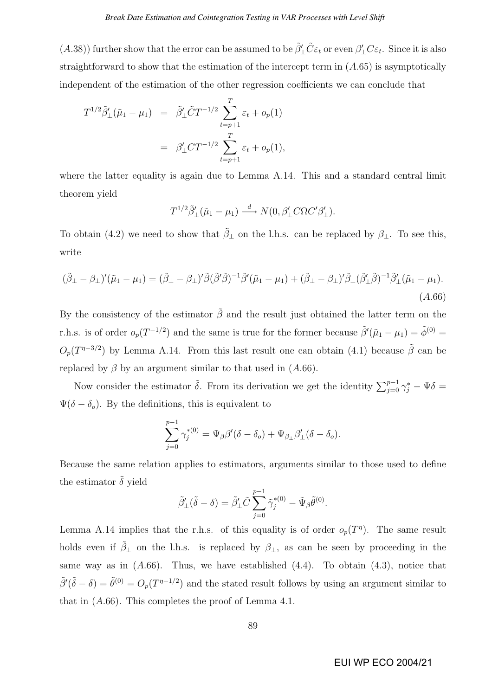(A.38)) further show that the error can be assumed to be  $\tilde{\beta}'_L \tilde{C} \varepsilon_t$  or even  $\beta'_L C \varepsilon_t$ . Since it is also straightforward to show that the estimation of the intercept term in  $(A.65)$  is asymptotically independent of the estimation of the other regression coefficients we can conclude that

$$
T^{1/2} \tilde{\beta}'_{\perp}(\tilde{\mu}_1 - \mu_1) = \tilde{\beta}'_{\perp} \tilde{C} T^{-1/2} \sum_{t=p+1}^T \varepsilon_t + o_p(1)
$$
  
=  $\beta'_{\perp} C T^{-1/2} \sum_{t=p+1}^T \varepsilon_t + o_p(1),$ 

where the latter equality is again due to Lemma A.14. This and a standard central limit theorem yield

$$
T^{1/2}\tilde{\beta}'_{\perp}(\tilde{\mu}_1 - \mu_1) \stackrel{d}{\longrightarrow} N(0, \beta'_{\perp}C\Omega C'\beta'_{\perp}).
$$

To obtain (4.2) we need to show that  $\tilde{\beta}_{\perp}$  on the l.h.s. can be replaced by  $\beta_{\perp}$ . To see this, write

$$
(\tilde{\beta}_{\perp} - \beta_{\perp})'(\tilde{\mu}_1 - \mu_1) = (\tilde{\beta}_{\perp} - \beta_{\perp})'\tilde{\beta}(\tilde{\beta}'\tilde{\beta})^{-1}\tilde{\beta}'(\tilde{\mu}_1 - \mu_1) + (\tilde{\beta}_{\perp} - \beta_{\perp})'\tilde{\beta}_{\perp}(\tilde{\beta}'_{\perp}\tilde{\beta})^{-1}\tilde{\beta}'_{\perp}(\tilde{\mu}_1 - \mu_1). \tag{A.66}
$$

By the consistency of the estimator  $\tilde{\beta}$  and the result just obtained the latter term on the r.h.s. is of order  $o_p(T^{-1/2})$  and the same is true for the former because  $\tilde{\beta}'(\tilde{\mu}_1 - \mu_1) = \tilde{\phi}^{(0)} =$  $O_p(T^{\eta-3/2})$  by Lemma A.14. From this last result one can obtain (4.1) because  $\tilde{\beta}$  can be replaced by  $\beta$  by an argument similar to that used in  $(A.66)$ .

Now consider the estimator  $\tilde{\delta}$ . From its derivation we get the identity  $\sum_{j=0}^{p-1} \gamma_j^* - \Psi \delta =$  $\Psi(\delta - \delta_o)$ . By the definitions, this is equivalent to

$$
\sum_{j=0}^{p-1} \gamma_j^{*(0)} = \Psi_{\beta} \beta' (\delta - \delta_o) + \Psi_{\beta_{\perp}} \beta'_{\perp} (\delta - \delta_o).
$$

Because the same relation applies to estimators, arguments similar to those used to define the estimator  $\tilde{\delta}$  yield

$$
\tilde{\beta}'_{\perp}(\tilde{\delta}-\delta) = \tilde{\beta}'_{\perp}\tilde{C} \sum_{j=0}^{p-1} \tilde{\gamma}_j^{*}(0) - \tilde{\Psi}_{\beta}\tilde{\theta}^{(0)}.
$$

Lemma A.14 implies that the r.h.s. of this equality is of order  $o_p(T)$ . The same result holds even if  $\tilde{\beta}_{\perp}$  on the l.h.s. is replaced by  $\beta_{\perp}$ , as can be seen by proceeding in the same way as in  $(A.66)$ . Thus, we have established  $(4.4)$ . To obtain  $(4.3)$ , notice that  $\tilde{\beta}'(\tilde{\delta}-\delta) = \tilde{\theta}^{(0)} = O_p(T^{\eta-1/2})$  and the stated result follows by using an argument similar to that in (A.66). This completes the proof of Lemma 4.1.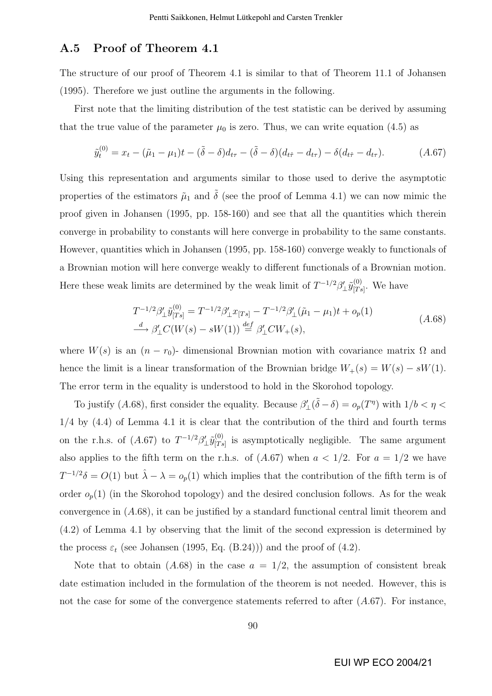## A.5 Proof of Theorem 4.1

The structure of our proof of Theorem 4.1 is similar to that of Theorem 11.1 of Johansen (1995). Therefore we just outline the arguments in the following.

First note that the limiting distribution of the test statistic can be derived by assuming that the true value of the parameter  $\mu_0$  is zero. Thus, we can write equation (4.5) as

$$
\tilde{y}_t^{(0)} = x_t - (\tilde{\mu}_1 - \mu_1)t - (\tilde{\delta} - \delta)d_{t\tau} - (\tilde{\delta} - \delta)(d_{t\hat{\tau}} - d_{t\tau}) - \delta(d_{t\hat{\tau}} - d_{t\tau}).
$$
\n(A.67)

Using this representation and arguments similar to those used to derive the asymptotic properties of the estimators  $\tilde{\mu}_1$  and  $\tilde{\delta}$  (see the proof of Lemma 4.1) we can now mimic the proof given in Johansen (1995, pp. 158-160) and see that all the quantities which therein converge in probability to constants will here converge in probability to the same constants. However, quantities which in Johansen (1995, pp. 158-160) converge weakly to functionals of a Brownian motion will here converge weakly to different functionals of a Brownian motion. Here these weak limits are determined by the weak limit of  $T^{-1/2}\beta'_\perp \tilde{y}_{|T_s}^{(0)}$  $T_s^{(0)}$ . We have

$$
T^{-1/2}\beta'_{\perp}\tilde{y}_{[Ts]}^{(0)} = T^{-1/2}\beta'_{\perp}x_{[Ts]} - T^{-1/2}\beta'_{\perp}(\tilde{\mu}_1 - \mu_1)t + o_p(1)
$$
  
\n
$$
\xrightarrow{d} \beta'_{\perp}C(W(s) - sW(1)) \xrightarrow{def} \beta'_{\perp}CW_+(s),
$$
\n(A.68)

where  $W(s)$  is an  $(n - r_0)$ - dimensional Brownian motion with covariance matrix  $\Omega$  and hence the limit is a linear transformation of the Brownian bridge  $W_+(s) = W(s) - sW(1)$ . The error term in the equality is understood to hold in the Skorohod topology.

To justify (A.68), first consider the equality. Because  $\beta'_{\perp}(\tilde{\delta} - \delta) = o_p(T^{\eta})$  with  $1/b < \eta <$ 1/4 by (4.4) of Lemma 4.1 it is clear that the contribution of the third and fourth terms on the r.h.s. of  $(A.67)$  to  $T^{-1/2}\beta'_{\perp}\tilde{y}^{(0)}_{|T_{\delta}}$  $T_{\text{[Ts]}}^{(0)}$  is asymptotically negligible. The same argument also applies to the fifth term on the r.h.s. of  $(A.67)$  when  $a < 1/2$ . For  $a = 1/2$  we have  $T^{-1/2}\delta = O(1)$  but  $\hat{\lambda} - \lambda = o_p(1)$  which implies that the contribution of the fifth term is of order  $o_p(1)$  (in the Skorohod topology) and the desired conclusion follows. As for the weak convergence in (A.68), it can be justified by a standard functional central limit theorem and (4.2) of Lemma 4.1 by observing that the limit of the second expression is determined by the process  $\varepsilon_t$  (see Johansen (1995, Eq. (B.24))) and the proof of (4.2).

Note that to obtain  $(A.68)$  in the case  $a = 1/2$ , the assumption of consistent break date estimation included in the formulation of the theorem is not needed. However, this is not the case for some of the convergence statements referred to after  $(A.67)$ . For instance,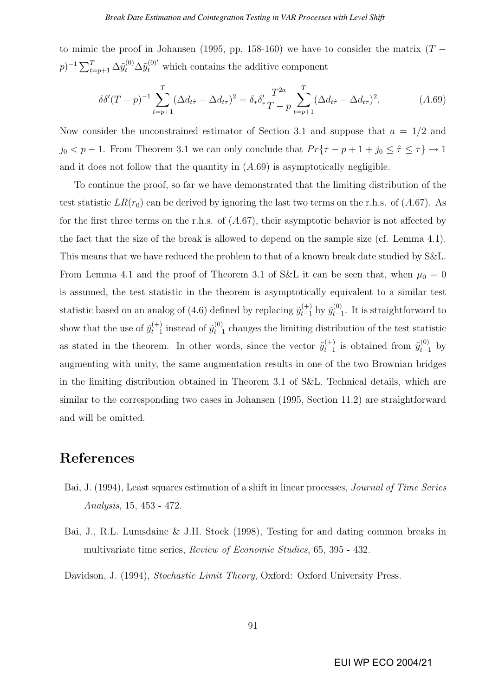to mimic the proof in Johansen (1995, pp. 158-160) we have to consider the matrix  $(T (p)^{-1} \sum_{t=p+1}^{T} \Delta \tilde{y}_{t}^{(0)} \Delta \tilde{y}_{t}^{(0)'}$  which contains the additive component

$$
\delta \delta'(T - p)^{-1} \sum_{t=p+1}^{T} (\Delta d_{t\hat{\tau}} - \Delta d_{t\tau})^2 = \delta_* \delta'_* \frac{T^{2a}}{T - p} \sum_{t=p+1}^{T} (\Delta d_{t\hat{\tau}} - \Delta d_{t\tau})^2.
$$
 (A.69)

Now consider the unconstrained estimator of Section 3.1 and suppose that  $a = 1/2$  and  $j_0 < p - 1$ . From Theorem 3.1 we can only conclude that  $Pr{\lbrace \tau - p + 1 + j_0 \leq \hat{\tau} \leq \tau \rbrace} \rightarrow 1$ and it does not follow that the quantity in  $(A.69)$  is asymptotically negligible.

To continue the proof, so far we have demonstrated that the limiting distribution of the test statistic  $LR(r_0)$  can be derived by ignoring the last two terms on the r.h.s. of  $(A.67)$ . As for the first three terms on the r.h.s. of  $(A.67)$ , their asymptotic behavior is not affected by the fact that the size of the break is allowed to depend on the sample size (cf. Lemma 4.1). This means that we have reduced the problem to that of a known break date studied by S&L. From Lemma 4.1 and the proof of Theorem 3.1 of S&L it can be seen that, when  $\mu_0 = 0$ is assumed, the test statistic in the theorem is asymptotically equivalent to a similar test statistic based on an analog of (4.6) defined by replacing  $\tilde{y}_{t-1}^{(+)}$  by  $\tilde{y}_{t-1}^{(0)}$  $_{t-1}^{(0)}$ . It is straightforward to show that the use of  $\tilde{y}_{t-1}^{(+)}$  $_{t-1}^{(+)}$  instead of  $\tilde{y}_{t-1}^{(0)}$  $t_{t-1}^{(0)}$  changes the limiting distribution of the test statistic as stated in the theorem. In other words, since the vector  $\tilde{y}_{t-1}^{(+)}$  $_{t-1}^{(+)}$  is obtained from  $\tilde{y}_{t-1}^{(0)}$  by augmenting with unity, the same augmentation results in one of the two Brownian bridges in the limiting distribution obtained in Theorem 3.1 of S&L. Technical details, which are similar to the corresponding two cases in Johansen (1995, Section 11.2) are straightforward and will be omitted.

# References

- Bai, J. (1994), Least squares estimation of a shift in linear processes, Journal of Time Series Analysis, 15, 453 - 472.
- Bai, J., R.L. Lumsdaine & J.H. Stock (1998), Testing for and dating common breaks in multivariate time series, *Review of Economic Studies*, 65, 395 - 432.

Davidson, J. (1994), Stochastic Limit Theory, Oxford: Oxford University Press.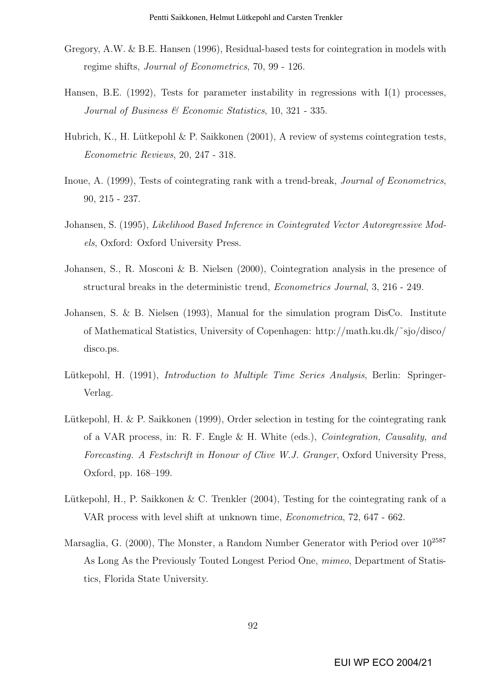- Gregory, A.W. & B.E. Hansen (1996), Residual-based tests for cointegration in models with regime shifts, Journal of Econometrics, 70, 99 - 126.
- Hansen, B.E.  $(1992)$ , Tests for parameter instability in regressions with  $I(1)$  processes, Journal of Business & Economic Statistics, 10, 321 - 335.
- Hubrich, K., H. Lütkepohl  $\&$  P. Saikkonen (2001), A review of systems cointegration tests, Econometric Reviews, 20, 247 - 318.
- Inoue, A. (1999), Tests of cointegrating rank with a trend-break, Journal of Econometrics, 90, 215 - 237.
- Johansen, S. (1995), Likelihood Based Inference in Cointegrated Vector Autoregressive Models, Oxford: Oxford University Press.
- Johansen, S., R. Mosconi & B. Nielsen (2000), Cointegration analysis in the presence of structural breaks in the deterministic trend, Econometrics Journal, 3, 216 - 249.
- Johansen, S. & B. Nielsen (1993), Manual for the simulation program DisCo. Institute of Mathematical Statistics, University of Copenhagen: http://math.ku.dk/˜sjo/disco/ disco.ps.
- Lütkepohl, H. (1991), *Introduction to Multiple Time Series Analysis*, Berlin: Springer-Verlag.
- Lütkepohl, H. & P. Saikkonen (1999), Order selection in testing for the cointegrating rank of a VAR process, in: R. F. Engle & H. White (eds.), Cointegration, Causality, and Forecasting. A Festschrift in Honour of Clive W.J. Granger, Oxford University Press, Oxford, pp. 168–199.
- Lütkepohl, H., P. Saikkonen  $&\mathbb{C}$ . Trenkler (2004), Testing for the cointegrating rank of a VAR process with level shift at unknown time, Econometrica, 72, 647 - 662.
- Marsaglia, G. (2000), The Monster, a Random Number Generator with Period over  $10^{2587}$ As Long As the Previously Touted Longest Period One, mimeo, Department of Statistics, Florida State University.